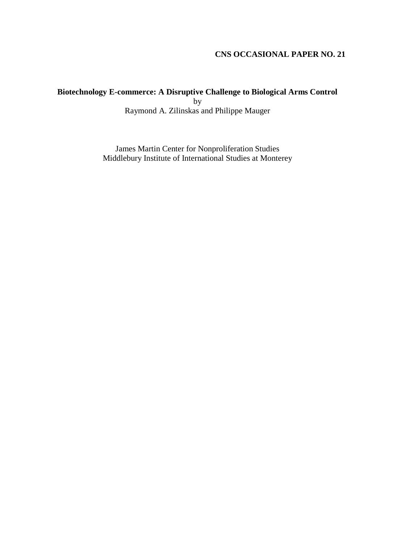# **CNS OCCASIONAL PAPER NO. 21**

# **Biotechnology E-commerce: A Disruptive Challenge to Biological Arms Control** by

Raymond A. Zilinskas and Philippe Mauger

James Martin Center for Nonproliferation Studies Middlebury Institute of International Studies at Monterey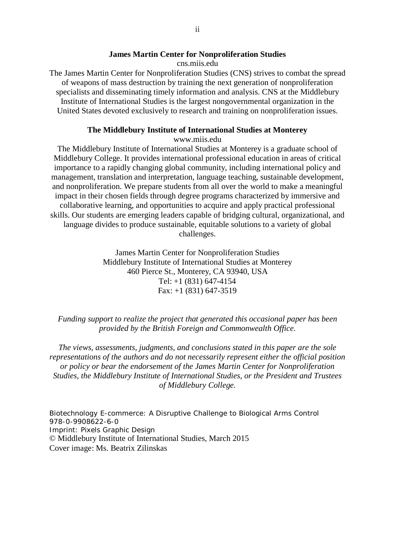#### **James Martin Center for Nonproliferation Studies**

cns.miis.edu

The James Martin Center for Nonproliferation Studies (CNS) strives to combat the spread of weapons of mass destruction by training the next generation of nonproliferation specialists and disseminating timely information and analysis. CNS at the Middlebury Institute of International Studies is the largest nongovernmental organization in the United States devoted exclusively to research and training on nonproliferation issues.

#### **The Middlebury Institute of International Studies at Monterey**

www.miis.edu

The Middlebury Institute of International Studies at Monterey is a graduate school of Middlebury College. It provides international professional education in areas of critical importance to a rapidly changing global community, including international policy and management, translation and interpretation, language teaching, sustainable development, and nonproliferation. We prepare students from all over the world to make a meaningful impact in their chosen fields through degree programs characterized by immersive and collaborative learning, and opportunities to acquire and apply practical professional skills. Our students are emerging leaders capable of bridging cultural, organizational, and language divides to produce sustainable, equitable solutions to a variety of global challenges.

> James Martin Center for Nonproliferation Studies Middlebury Institute of International Studies at Monterey 460 Pierce St., Monterey, CA 93940, USA Tel: +1 (831) 647-4154 Fax: +1 (831) 647-3519

#### *Funding support to realize the project that generated this occasional paper has been provided by the British Foreign and Commonwealth Office.*

*The views, assessments, judgments, and conclusions stated in this paper are the sole representations of the authors and do not necessarily represent either the official position or policy or bear the endorsement of the James Martin Center for Nonproliferation Studies, the Middlebury Institute of International Studies, or the President and Trustees of Middlebury College.*

Biotechnology E-commerce: A Disruptive Challenge to Biological Arms Control 978-0-9908622-6-0 Imprint: Pixels Graphic Design © Middlebury Institute of International Studies, March 2015 Cover image: Ms. Beatrix Zilinskas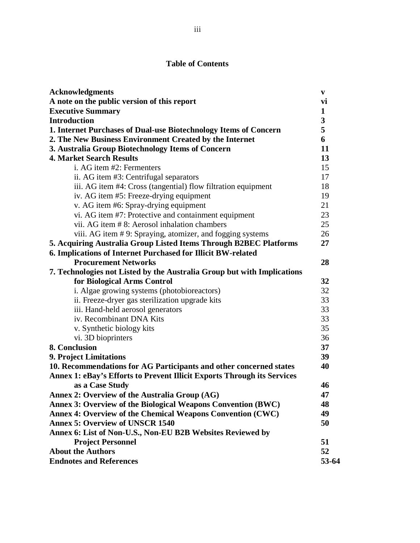# **Table of Contents**

| <b>Acknowledgments</b>                                                  | $\mathbf v$ |
|-------------------------------------------------------------------------|-------------|
| A note on the public version of this report                             | vi          |
| <b>Executive Summary</b>                                                | 1           |
| <b>Introduction</b>                                                     | 3           |
| 1. Internet Purchases of Dual-use Biotechnology Items of Concern        | 5           |
| 2. The New Business Environment Created by the Internet                 | 6           |
| 3. Australia Group Biotechnology Items of Concern                       | 11          |
| <b>4. Market Search Results</b>                                         | 13          |
| i. AG item #2: Fermenters                                               | 15          |
| ii. AG item #3: Centrifugal separators                                  | 17          |
| iii. AG item #4: Cross (tangential) flow filtration equipment           | 18          |
| iv. AG item #5: Freeze-drying equipment                                 | 19          |
| v. AG item #6: Spray-drying equipment                                   | 21          |
| vi. AG item #7: Protective and containment equipment                    | 23          |
| vii. AG item # 8: Aerosol inhalation chambers                           | 25          |
| viii. AG item #9: Spraying, atomizer, and fogging systems               | 26          |
| 5. Acquiring Australia Group Listed Items Through B2BEC Platforms       | 27          |
| 6. Implications of Internet Purchased for Illicit BW-related            |             |
| <b>Procurement Networks</b>                                             | 28          |
| 7. Technologies not Listed by the Australia Group but with Implications |             |
| for Biological Arms Control                                             | 32          |
| i. Algae growing systems (photobioreactors)                             | 32          |
| ii. Freeze-dryer gas sterilization upgrade kits                         | 33          |
| iii. Hand-held aerosol generators                                       | 33          |
| iv. Recombinant DNA Kits                                                | 33          |
| v. Synthetic biology kits                                               | 35          |
| vi. 3D bioprinters                                                      | 36          |
| 8. Conclusion                                                           | 37          |
| 9. Project Limitations                                                  | 39          |
| 10. Recommendations for AG Participants and other concerned states      | 40          |
| Annex 1: eBay's Efforts to Prevent Illicit Exports Through its Services |             |
| as a Case Study                                                         | 46          |
| Annex 2: Overview of the Australia Group (AG)                           | 47          |
| Annex 3: Overview of the Biological Weapons Convention (BWC)            | 48          |
| Annex 4: Overview of the Chemical Weapons Convention (CWC)              | 49          |
| <b>Annex 5: Overview of UNSCR 1540</b>                                  | 50          |
| Annex 6: List of Non-U.S., Non-EU B2B Websites Reviewed by              |             |
| <b>Project Personnel</b>                                                | 51          |
| <b>About the Authors</b>                                                | 52          |
| <b>Endnotes and References</b>                                          | 53-64       |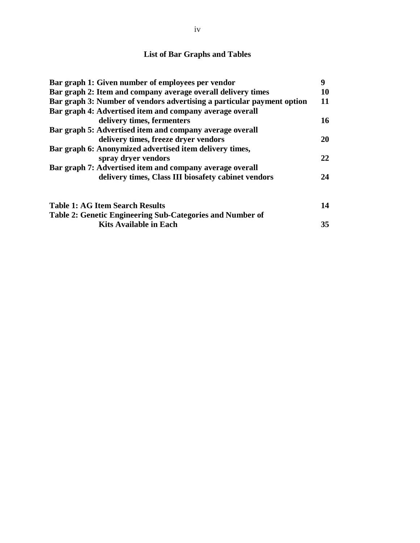# **List of Bar Graphs and Tables**

| Bar graph 1: Given number of employees per vendor                      |    |  |  |  |  |
|------------------------------------------------------------------------|----|--|--|--|--|
| Bar graph 2: Item and company average overall delivery times           |    |  |  |  |  |
| Bar graph 3: Number of vendors advertising a particular payment option |    |  |  |  |  |
| Bar graph 4: Advertised item and company average overall               |    |  |  |  |  |
| delivery times, fermenters                                             | 16 |  |  |  |  |
| Bar graph 5: Advertised item and company average overall               |    |  |  |  |  |
| delivery times, freeze dryer vendors                                   | 20 |  |  |  |  |
| Bar graph 6: Anonymized advertised item delivery times,                |    |  |  |  |  |
| spray dryer vendors                                                    | 22 |  |  |  |  |
| Bar graph 7: Advertised item and company average overall               |    |  |  |  |  |
| delivery times, Class III biosafety cabinet vendors                    | 24 |  |  |  |  |
| <b>Table 1: AG Item Search Results</b>                                 | 14 |  |  |  |  |
| Table 2: Genetic Engineering Sub-Categories and Number of              |    |  |  |  |  |
| <b>Kits Available in Each</b>                                          | 35 |  |  |  |  |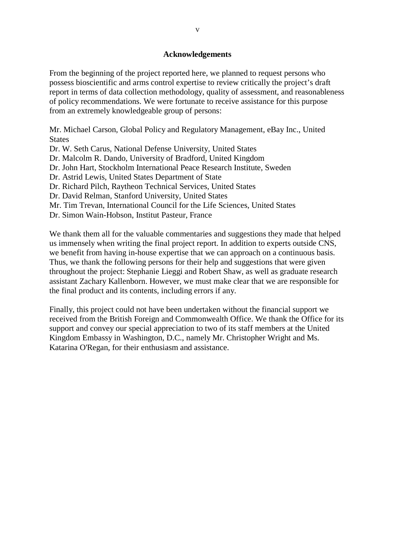#### **Acknowledgements**

From the beginning of the project reported here, we planned to request persons who possess bioscientific and arms control expertise to review critically the project's draft report in terms of data collection methodology, quality of assessment, and reasonableness of policy recommendations. We were fortunate to receive assistance for this purpose from an extremely knowledgeable group of persons:

Mr. Michael Carson, Global Policy and Regulatory Management, eBay Inc., United **States** 

Dr. W. Seth Carus, National Defense University, United States

Dr. Malcolm R. Dando, University of Bradford, United Kingdom

Dr. John Hart, Stockholm International Peace Research Institute, Sweden

Dr. Astrid Lewis, United States Department of State

Dr. Richard Pilch, Raytheon Technical Services, United States

Dr. David Relman, Stanford University, United States

Mr. Tim Trevan, International Council for the Life Sciences, United States

Dr. Simon Wain-Hobson, Institut Pasteur, France

We thank them all for the valuable commentaries and suggestions they made that helped us immensely when writing the final project report. In addition to experts outside CNS, we benefit from having in-house expertise that we can approach on a continuous basis. Thus, we thank the following persons for their help and suggestions that were given throughout the project: Stephanie Lieggi and Robert Shaw, as well as graduate research assistant Zachary Kallenborn. However, we must make clear that we are responsible for the final product and its contents, including errors if any.

Finally, this project could not have been undertaken without the financial support we received from the British Foreign and Commonwealth Office. We thank the Office for its support and convey our special appreciation to two of its staff members at the United Kingdom Embassy in Washington, D.C., namely Mr. Christopher Wright and Ms. Katarina O'Regan, for their enthusiasm and assistance.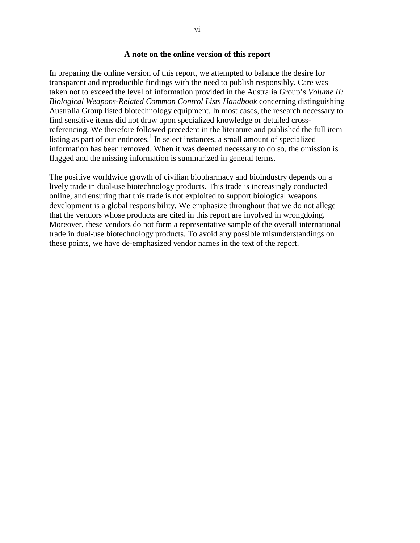#### **A note on the online version of this report**

In preparing the online version of this report, we attempted to balance the desire for transparent and reproducible findings with the need to publish responsibly. Care was taken not to exceed the level of information provided in the Australia Group's *Volume II: Biological Weapons-Related Common Control Lists Handbook* concerning distinguishing Australia Group listed biotechnology equipment. In most cases, the research necessary to find sensitive items did not draw upon specialized knowledge or detailed crossreferencing. We therefore followed precedent in the literature and published the full item listing as part of our endnotes.<sup>[1](#page-59-0)</sup> In select instances, a small amount of specialized information has been removed. When it was deemed necessary to do so, the omission is flagged and the missing information is summarized in general terms.

The positive worldwide growth of civilian biopharmacy and bioindustry depends on a lively trade in dual-use biotechnology products. This trade is increasingly conducted online, and ensuring that this trade is not exploited to support biological weapons development is a global responsibility. We emphasize throughout that we do not allege that the vendors whose products are cited in this report are involved in wrongdoing. Moreover, these vendors do not form a representative sample of the overall international trade in dual-use biotechnology products. To avoid any possible misunderstandings on these points, we have de-emphasized vendor names in the text of the report.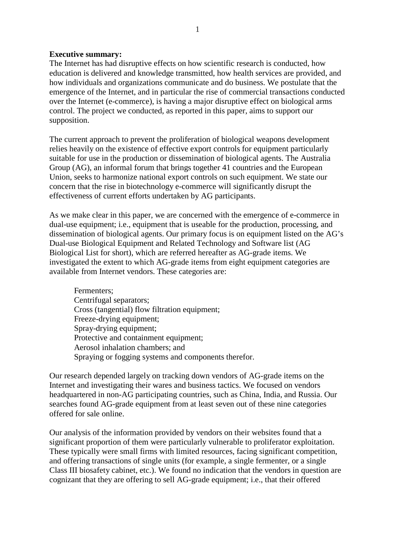#### **Executive summary:**

The Internet has had disruptive effects on how scientific research is conducted, how education is delivered and knowledge transmitted, how health services are provided, and how individuals and organizations communicate and do business. We postulate that the emergence of the Internet, and in particular the rise of commercial transactions conducted over the Internet (e-commerce), is having a major disruptive effect on biological arms control. The project we conducted, as reported in this paper, aims to support our supposition.

The current approach to prevent the proliferation of biological weapons development relies heavily on the existence of effective export controls for equipment particularly suitable for use in the production or dissemination of biological agents. The Australia Group (AG), an informal forum that brings together 41 countries and the European Union, seeks to harmonize national export controls on such equipment. We state our concern that the rise in biotechnology e-commerce will significantly disrupt the effectiveness of current efforts undertaken by AG participants.

As we make clear in this paper, we are concerned with the emergence of e-commerce in dual-use equipment; i.e., equipment that is useable for the production, processing, and dissemination of biological agents. Our primary focus is on equipment listed on the AG's Dual-use Biological Equipment and Related Technology and Software list (AG Biological List for short), which are referred hereafter as AG-grade items. We investigated the extent to which AG-grade items from eight equipment categories are available from Internet vendors. These categories are:

Fermenters; Centrifugal separators; Cross (tangential) flow filtration equipment; Freeze-drying equipment; Spray-drying equipment; Protective and containment equipment; Aerosol inhalation chambers; and Spraying or fogging systems and components therefor.

Our research depended largely on tracking down vendors of AG-grade items on the Internet and investigating their wares and business tactics. We focused on vendors headquartered in non-AG participating countries, such as China, India, and Russia. Our searches found AG-grade equipment from at least seven out of these nine categories offered for sale online.

Our analysis of the information provided by vendors on their websites found that a significant proportion of them were particularly vulnerable to proliferator exploitation. These typically were small firms with limited resources, facing significant competition, and offering transactions of single units (for example, a single fermenter, or a single Class III biosafety cabinet, etc.). We found no indication that the vendors in question are cognizant that they are offering to sell AG-grade equipment; i.e., that their offered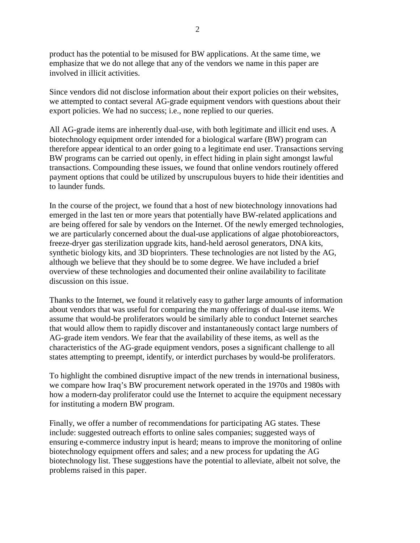product has the potential to be misused for BW applications. At the same time, we emphasize that we do not allege that any of the vendors we name in this paper are involved in illicit activities.

Since vendors did not disclose information about their export policies on their websites, we attempted to contact several AG-grade equipment vendors with questions about their export policies. We had no success; i.e., none replied to our queries.

All AG-grade items are inherently dual-use, with both legitimate and illicit end uses. A biotechnology equipment order intended for a biological warfare (BW) program can therefore appear identical to an order going to a legitimate end user. Transactions serving BW programs can be carried out openly, in effect hiding in plain sight amongst lawful transactions. Compounding these issues, we found that online vendors routinely offered payment options that could be utilized by unscrupulous buyers to hide their identities and to launder funds.

In the course of the project, we found that a host of new biotechnology innovations had emerged in the last ten or more years that potentially have BW-related applications and are being offered for sale by vendors on the Internet. Of the newly emerged technologies, we are particularly concerned about the dual-use applications of algae photobioreactors, freeze-dryer gas sterilization upgrade kits, hand-held aerosol generators, DNA kits, synthetic biology kits, and 3D bioprinters. These technologies are not listed by the AG, although we believe that they should be to some degree. We have included a brief overview of these technologies and documented their online availability to facilitate discussion on this issue.

Thanks to the Internet, we found it relatively easy to gather large amounts of information about vendors that was useful for comparing the many offerings of dual-use items. We assume that would-be proliferators would be similarly able to conduct Internet searches that would allow them to rapidly discover and instantaneously contact large numbers of AG-grade item vendors. We fear that the availability of these items, as well as the characteristics of the AG-grade equipment vendors, poses a significant challenge to all states attempting to preempt, identify, or interdict purchases by would-be proliferators.

To highlight the combined disruptive impact of the new trends in international business, we compare how Iraq's BW procurement network operated in the 1970s and 1980s with how a modern-day proliferator could use the Internet to acquire the equipment necessary for instituting a modern BW program.

Finally, we offer a number of recommendations for participating AG states. These include: suggested outreach efforts to online sales companies; suggested ways of ensuring e-commerce industry input is heard; means to improve the monitoring of online biotechnology equipment offers and sales; and a new process for updating the AG biotechnology list. These suggestions have the potential to alleviate, albeit not solve, the problems raised in this paper.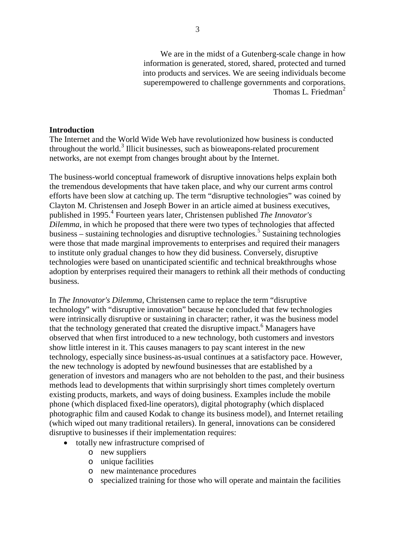We are in the midst of a Gutenberg-scale change in how information is generated, stored, shared, protected and turned into products and services. We are seeing individuals become superempowered to challenge governments and corporations. Thomas L. Friedman<sup>[2](#page-60-0)</sup>

#### **Introduction**

The Internet and the World Wide Web have revolutionized how business is conducted throughout the world.<sup>[3](#page-60-1)</sup> Illicit businesses, such as bioweapons-related procurement networks, are not exempt from changes brought about by the Internet.

The business-world conceptual framework of disruptive innovations helps explain both the tremendous developments that have taken place, and why our current arms control efforts have been slow at catching up. The term "disruptive technologies" was coined by Clayton M. Christensen and Joseph Bower in an article aimed at business executives, published in 1995.[4](#page-60-2) Fourteen years later, Christensen published *The Innovator's Dilemma*, in which he proposed that there were two types of technologies that affected business – sustaining technologies and disruptive technologies.<sup>[5](#page-60-3)</sup> Sustaining technologies were those that made marginal improvements to enterprises and required their managers to institute only gradual changes to how they did business. Conversely, disruptive technologies were based on unanticipated scientific and technical breakthroughs whose adoption by enterprises required their managers to rethink all their methods of conducting business.

In *The Innovator's Dilemma,* Christensen came to replace the term "disruptive technology" with "disruptive innovation" because he concluded that few technologies were intrinsically disruptive or sustaining in character; rather, it was the business model that the technology generated that created the disruptive impact.<sup>[6](#page-60-4)</sup> Managers have observed that when first introduced to a new technology, both customers and investors show little interest in it. This causes managers to pay scant interest in the new technology, especially since business-as-usual continues at a satisfactory pace. However, the new technology is adopted by newfound businesses that are established by a generation of investors and managers who are not beholden to the past, and their business methods lead to developments that within surprisingly short times completely overturn existing products, markets, and ways of doing business. Examples include the mobile phone (which displaced fixed-line operators), digital photography (which displaced photographic film and caused Kodak to change its business model), and Internet retailing (which wiped out many traditional retailers). In general, innovations can be considered disruptive to businesses if their implementation requires:

- totally new infrastructure comprised of
	- o new suppliers
	- o unique facilities
	- o new maintenance procedures
	- o specialized training for those who will operate and maintain the facilities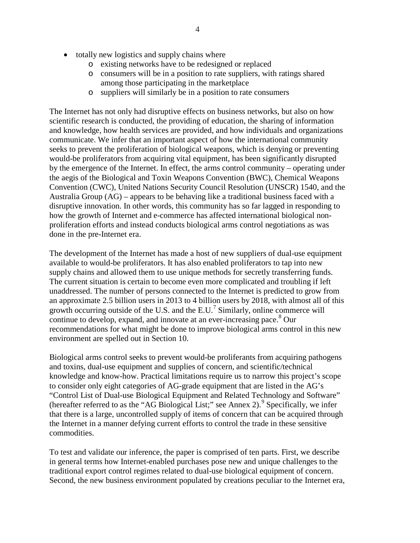- totally new logistics and supply chains where
	- o existing networks have to be redesigned or replaced
	- o consumers will be in a position to rate suppliers, with ratings shared among those participating in the marketplace
	- o suppliers will similarly be in a position to rate consumers

The Internet has not only had disruptive effects on business networks, but also on how scientific research is conducted, the providing of education, the sharing of information and knowledge, how health services are provided, and how individuals and organizations communicate. We infer that an important aspect of how the international community seeks to prevent the proliferation of biological weapons, which is denying or preventing would-be proliferators from acquiring vital equipment, has been significantly disrupted by the emergence of the Internet. In effect, the arms control community – operating under the aegis of the Biological and Toxin Weapons Convention (BWC), Chemical Weapons Convention (CWC), United Nations Security Council Resolution (UNSCR) 1540, and the Australia Group (AG) – appears to be behaving like a traditional business faced with a disruptive innovation. In other words, this community has so far lagged in responding to how the growth of Internet and e-commerce has affected international biological nonproliferation efforts and instead conducts biological arms control negotiations as was done in the pre-Internet era.

The development of the Internet has made a host of new suppliers of dual-use equipment available to would-be proliferators. It has also enabled proliferators to tap into new supply chains and allowed them to use unique methods for secretly transferring funds. The current situation is certain to become even more complicated and troubling if left unaddressed. The number of persons connected to the Internet is predicted to grow from an approximate 2.5 billion users in 2013 to 4 billion users by 2018, with almost all of this growth occurring outside of the U.S. and the E.U.<sup>[7](#page-61-0)</sup> Similarly, online commerce will continue to develop, expand, and innovate at an ever-increasing pace.<sup>[8](#page-61-1)</sup> Our recommendations for what might be done to improve biological arms control in this new environment are spelled out in Section 10.

Biological arms control seeks to prevent would-be proliferants from acquiring pathogens and toxins, dual-use equipment and supplies of concern, and scientific/technical knowledge and know-how. Practical limitations require us to narrow this project's scope to consider only eight categories of AG-grade equipment that are listed in the AG's "Control List of Dual-use Biological Equipment and Related Technology and Software" (hereafter referred to as the "AG Biological List;" see Annex 2). <sup>[9](#page-61-2)</sup> Specifically, we infer that there is a large, uncontrolled supply of items of concern that can be acquired through the Internet in a manner defying current efforts to control the trade in these sensitive commodities.

To test and validate our inference, the paper is comprised of ten parts. First, we describe in general terms how Internet-enabled purchases pose new and unique challenges to the traditional export control regimes related to dual-use biological equipment of concern. Second, the new business environment populated by creations peculiar to the Internet era,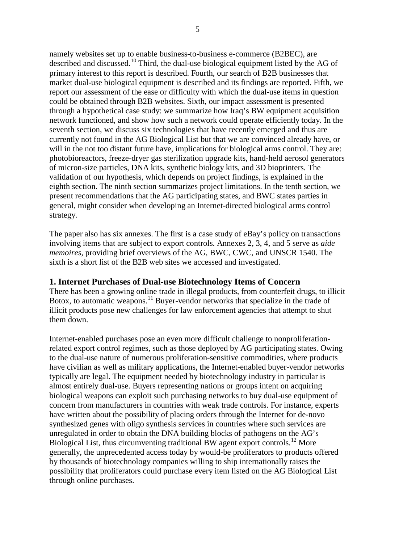namely websites set up to enable business-to-business e-commerce (B2BEC), are described and discussed.<sup>[10](#page-62-0)</sup> Third, the dual-use biological equipment listed by the AG of primary interest to this report is described. Fourth, our search of B2B businesses that market dual-use biological equipment is described and its findings are reported. Fifth, we report our assessment of the ease or difficulty with which the dual-use items in question could be obtained through B2B websites. Sixth, our impact assessment is presented through a hypothetical case study: we summarize how Iraq's BW equipment acquisition network functioned, and show how such a network could operate efficiently today. In the seventh section, we discuss six technologies that have recently emerged and thus are currently not found in the AG Biological List but that we are convinced already have, or will in the not too distant future have, implications for biological arms control. They are: photobioreactors, freeze-dryer gas sterilization upgrade kits, hand-held aerosol generators of micron-size particles, DNA kits, synthetic biology kits, and 3D bioprinters. The validation of our hypothesis, which depends on project findings, is explained in the eighth section. The ninth section summarizes project limitations. In the tenth section, we present recommendations that the AG participating states, and BWC states parties in general, might consider when developing an Internet-directed biological arms control strategy.

The paper also has six annexes. The first is a case study of eBay's policy on transactions involving items that are subject to export controls. Annexes 2, 3, 4, and 5 serve as *aide memoires*, providing brief overviews of the AG, BWC, CWC, and UNSCR 1540. The sixth is a short list of the B2B web sites we accessed and investigated.

## **1. Internet Purchases of Dual-use Biotechnology Items of Concern**

There has been a growing online trade in illegal products, from counterfeit drugs, to illicit Botox, to automatic weapons.<sup>[11](#page-62-1)</sup> Buyer-vendor networks that specialize in the trade of illicit products pose new challenges for law enforcement agencies that attempt to shut them down.

Internet-enabled purchases pose an even more difficult challenge to nonproliferationrelated export control regimes, such as those deployed by AG participating states. Owing to the dual-use nature of numerous proliferation-sensitive commodities, where products have civilian as well as military applications, the Internet-enabled buyer-vendor networks typically are legal. The equipment needed by biotechnology industry in particular is almost entirely dual-use. Buyers representing nations or groups intent on acquiring biological weapons can exploit such purchasing networks to buy dual-use equipment of concern from manufacturers in countries with weak trade controls. For instance, experts have written about the possibility of placing orders through the Internet for de-novo synthesized genes with oligo synthesis services in countries where such services are unregulated in order to obtain the DNA building blocks of pathogens on the AG's Biological List, thus circumventing traditional BW agent export controls.<sup>[12](#page-62-2)</sup> More generally, the unprecedented access today by would-be proliferators to products offered by thousands of biotechnology companies willing to ship internationally raises the possibility that proliferators could purchase every item listed on the AG Biological List through online purchases.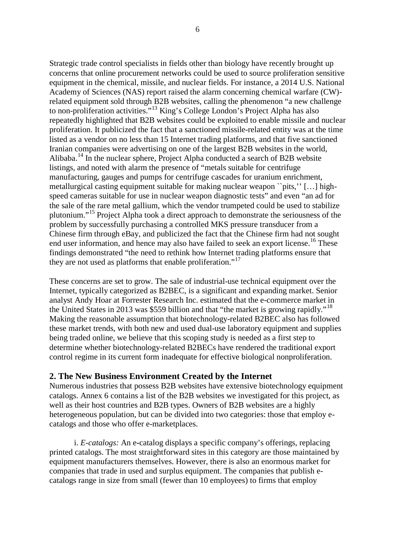Strategic trade control specialists in fields other than biology have recently brought up concerns that online procurement networks could be used to source proliferation sensitive equipment in the chemical, missile, and nuclear fields. For instance, a 2014 U.S. National Academy of Sciences (NAS) report raised the alarm concerning chemical warfare (CW) related equipment sold through B2B websites, calling the phenomenon "a new challenge to non-proliferation activities."[13](#page-63-0) King's College London's Project Alpha has also repeatedly highlighted that B2B websites could be exploited to enable missile and nuclear proliferation. It publicized the fact that a sanctioned missile-related entity was at the time listed as a vendor on no less than 15 Internet trading platforms, and that five sanctioned Iranian companies were advertising on one of the largest B2B websites in the world, Alibaba. [14](#page-63-1) In the nuclear sphere, Project Alpha conducted a search of B2B website listings, and noted with alarm the presence of "metals suitable for centrifuge manufacturing, gauges and pumps for centrifuge cascades for uranium enrichment, metallurgical casting equipment suitable for making nuclear weapon ``pits,'' […] highspeed cameras suitable for use in nuclear weapon diagnostic tests" and even "an ad for the sale of the rare metal gallium, which the vendor trumpeted could be used to stabilize plutonium."[15](#page-63-2) Project Alpha took a direct approach to demonstrate the seriousness of the problem by successfully purchasing a controlled MKS pressure transducer from a Chinese firm through eBay, and publicized the fact that the Chinese firm had not sought end user information, and hence may also have failed to seek an export license.<sup>[16](#page-63-3)</sup> These findings demonstrated "the need to rethink how Internet trading platforms ensure that they are not used as platforms that enable proliferation."<sup>[17](#page-63-4)</sup>

These concerns are set to grow. The sale of industrial-use technical equipment over the Internet, typically categorized as B2BEC, is a significant and expanding market. Senior analyst Andy Hoar at Forrester Research Inc. estimated that the e-commerce market in the United States in 2013 was \$559 billion and that "the market is growing rapidly."<sup>[18](#page-63-5)</sup> Making the reasonable assumption that biotechnology-related B2BEC also has followed these market trends, with both new and used dual-use laboratory equipment and supplies being traded online, we believe that this scoping study is needed as a first step to determine whether biotechnology-related B2BECs have rendered the traditional export control regime in its current form inadequate for effective biological nonproliferation.

## **2. The New Business Environment Created by the Internet**

Numerous industries that possess B2B websites have extensive biotechnology equipment catalogs. Annex 6 contains a list of the B2B websites we investigated for this project, as well as their host countries and B2B types. Owners of B2B websites are a highly heterogeneous population, but can be divided into two categories: those that employ ecatalogs and those who offer e-marketplaces.

i. *E-catalogs:* An e**-**catalog displays a specific company's offerings, replacing printed catalogs. The most straightforward sites in this category are those maintained by equipment manufacturers themselves. However, there is also an enormous market for companies that trade in used and surplus equipment. The companies that publish ecatalogs range in size from small (fewer than 10 employees) to firms that employ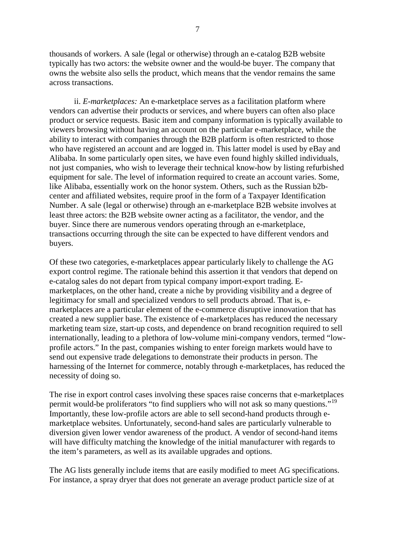thousands of workers. A sale (legal or otherwise) through an e-catalog B2B website typically has two actors: the website owner and the would-be buyer. The company that owns the website also sells the product, which means that the vendor remains the same across transactions.

ii. *E-marketplaces:* An e-marketplace serves as a facilitation platform where vendors can advertise their products or services, and where buyers can often also place product or service requests. Basic item and company information is typically available to viewers browsing without having an account on the particular e-marketplace, while the ability to interact with companies through the B2B platform is often restricted to those who have registered an account and are logged in. This latter model is used by eBay and Alibaba. In some particularly open sites, we have even found highly skilled individuals, not just companies, who wish to leverage their technical know-how by listing refurbished equipment for sale. The level of information required to create an account varies. Some, like Alibaba, essentially work on the honor system. Others, such as the Russian b2bcenter and affiliated websites, require proof in the form of a Taxpayer Identification Number. A sale (legal or otherwise) through an e-marketplace B2B website involves at least three actors: the B2B website owner acting as a facilitator, the vendor, and the buyer. Since there are numerous vendors operating through an e-marketplace, transactions occurring through the site can be expected to have different vendors and buyers.

Of these two categories, e-marketplaces appear particularly likely to challenge the AG export control regime. The rationale behind this assertion it that vendors that depend on e-catalog sales do not depart from typical company import-export trading. Emarketplaces, on the other hand, create a niche by providing visibility and a degree of legitimacy for small and specialized vendors to sell products abroad. That is, emarketplaces are a particular element of the e-commerce disruptive innovation that has created a new supplier base. The existence of e-marketplaces has reduced the necessary marketing team size, start-up costs, and dependence on brand recognition required to sell internationally, leading to a plethora of low-volume mini-company vendors, termed "lowprofile actors." In the past, companies wishing to enter foreign markets would have to send out expensive trade delegations to demonstrate their products in person. The harnessing of the Internet for commerce, notably through e-marketplaces, has reduced the necessity of doing so.

The rise in export control cases involving these spaces raise concerns that e-marketplaces permit would-be proliferators "to find suppliers who will not ask so many questions."<sup>[19](#page-63-6)</sup> Importantly, these low-profile actors are able to sell second-hand products through emarketplace websites. Unfortunately, second-hand sales are particularly vulnerable to diversion given lower vendor awareness of the product. A vendor of second-hand items will have difficulty matching the knowledge of the initial manufacturer with regards to the item's parameters, as well as its available upgrades and options.

The AG lists generally include items that are easily modified to meet AG specifications. For instance, a spray dryer that does not generate an average product particle size of at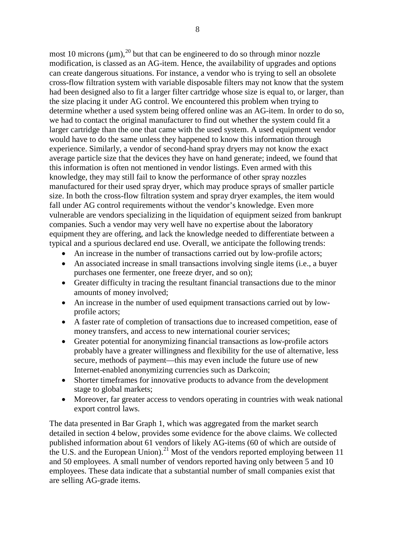most 10 microns  $(\mu m)$ ,<sup>[20](#page-64-0)</sup> but that can be engineered to do so through minor nozzle modification, is classed as an AG-item. Hence, the availability of upgrades and options can create dangerous situations. For instance, a vendor who is trying to sell an obsolete cross-flow filtration system with variable disposable filters may not know that the system had been designed also to fit a larger filter cartridge whose size is equal to, or larger, than the size placing it under AG control. We encountered this problem when trying to determine whether a used system being offered online was an AG-item. In order to do so, we had to contact the original manufacturer to find out whether the system could fit a larger cartridge than the one that came with the used system. A used equipment vendor would have to do the same unless they happened to know this information through experience. Similarly, a vendor of second-hand spray dryers may not know the exact average particle size that the devices they have on hand generate; indeed, we found that this information is often not mentioned in vendor listings. Even armed with this knowledge, they may still fail to know the performance of other spray nozzles manufactured for their used spray dryer, which may produce sprays of smaller particle size. In both the cross-flow filtration system and spray dryer examples, the item would fall under AG control requirements without the vendor's knowledge. Even more vulnerable are vendors specializing in the liquidation of equipment seized from bankrupt companies. Such a vendor may very well have no expertise about the laboratory equipment they are offering, and lack the knowledge needed to differentiate between a typical and a spurious declared end use. Overall, we anticipate the following trends:

- An increase in the number of transactions carried out by low-profile actors;
- An associated increase in small transactions involving single items (i.e., a buyer purchases one fermenter, one freeze dryer, and so on);
- Greater difficulty in tracing the resultant financial transactions due to the minor amounts of money involved;
- An increase in the number of used equipment transactions carried out by lowprofile actors;
- A faster rate of completion of transactions due to increased competition, ease of money transfers, and access to new international courier services;
- Greater potential for anonymizing financial transactions as low-profile actors probably have a greater willingness and flexibility for the use of alternative, less secure, methods of payment—this may even include the future use of new Internet-enabled anonymizing currencies such as Darkcoin;
- Shorter timeframes for innovative products to advance from the development stage to global markets;
- Moreover, far greater access to vendors operating in countries with weak national export control laws.

The data presented in Bar Graph 1, which was aggregated from the market search detailed in section 4 below, provides some evidence for the above claims. We collected published information about 61 vendors of likely AG-items (60 of which are outside of the U.S. and the European Union).<sup>[21](#page-64-1)</sup> Most of the vendors reported employing between 11 and 50 employees. A small number of vendors reported having only between 5 and 10 employees. These data indicate that a substantial number of small companies exist that are selling AG-grade items.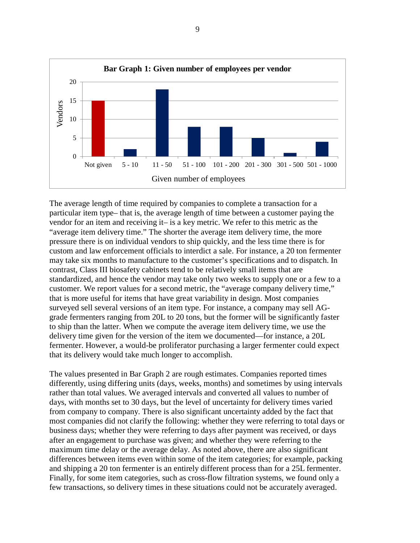

The average length of time required by companies to complete a transaction for a particular item type– that is, the average length of time between a customer paying the vendor for an item and receiving it– is a key metric. We refer to this metric as the "average item delivery time." The shorter the average item delivery time, the more pressure there is on individual vendors to ship quickly, and the less time there is for custom and law enforcement officials to interdict a sale. For instance, a 20 ton fermenter may take six months to manufacture to the customer's specifications and to dispatch. In contrast, Class III biosafety cabinets tend to be relatively small items that are standardized, and hence the vendor may take only two weeks to supply one or a few to a customer. We report values for a second metric, the "average company delivery time," that is more useful for items that have great variability in design. Most companies surveyed sell several versions of an item type. For instance, a company may sell AGgrade fermenters ranging from 20L to 20 tons, but the former will be significantly faster to ship than the latter. When we compute the average item delivery time, we use the delivery time given for the version of the item we documented—for instance, a 20L fermenter. However, a would-be proliferator purchasing a larger fermenter could expect that its delivery would take much longer to accomplish.

The values presented in Bar Graph 2 are rough estimates. Companies reported times differently, using differing units (days, weeks, months) and sometimes by using intervals rather than total values. We averaged intervals and converted all values to number of days, with months set to 30 days, but the level of uncertainty for delivery times varied from company to company. There is also significant uncertainty added by the fact that most companies did not clarify the following: whether they were referring to total days or business days; whether they were referring to days after payment was received, or days after an engagement to purchase was given; and whether they were referring to the maximum time delay or the average delay. As noted above, there are also significant differences between items even within some of the item categories; for example, packing and shipping a 20 ton fermenter is an entirely different process than for a 25L fermenter. Finally, for some item categories, such as cross-flow filtration systems, we found only a few transactions, so delivery times in these situations could not be accurately averaged.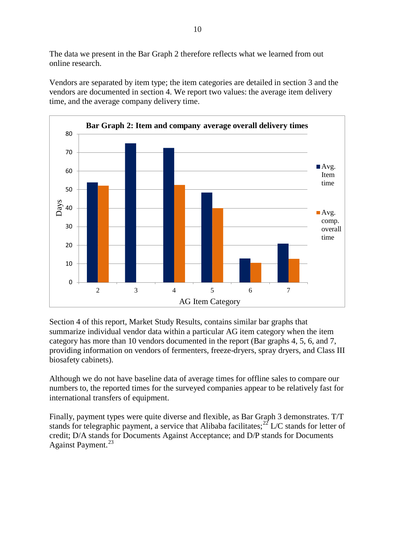The data we present in the Bar Graph 2 therefore reflects what we learned from out online research.

Vendors are separated by item type; the item categories are detailed in section 3 and the vendors are documented in section 4. We report two values: the average item delivery time, and the average company delivery time.



Section 4 of this report, Market Study Results, contains similar bar graphs that summarize individual vendor data within a particular AG item category when the item category has more than 10 vendors documented in the report (Bar graphs 4, 5, 6, and 7, providing information on vendors of fermenters, freeze-dryers, spray dryers, and Class III biosafety cabinets).

Although we do not have baseline data of average times for offline sales to compare our numbers to, the reported times for the surveyed companies appear to be relatively fast for international transfers of equipment.

Finally, payment types were quite diverse and flexible, as Bar Graph 3 demonstrates. T/T stands for telegraphic payment, a service that Alibaba facilitates;<sup>[22](#page-65-0)</sup> L/C stands for letter of credit; D/A stands for Documents Against Acceptance; and D/P stands for Documents Against Payment.<sup>[23](#page-65-1)</sup>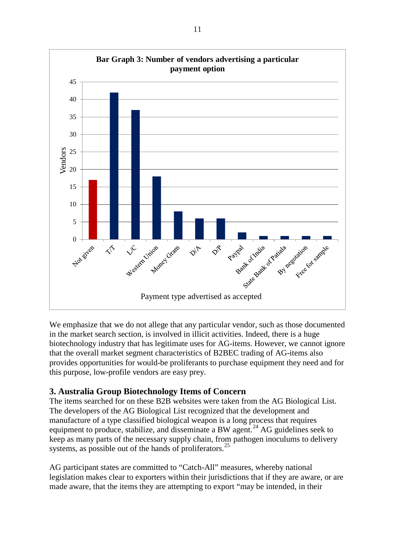

We emphasize that we do not allege that any particular vendor, such as those documented in the market search section, is involved in illicit activities. Indeed, there is a huge biotechnology industry that has legitimate uses for AG-items. However, we cannot ignore that the overall market segment characteristics of B2BEC trading of AG-items also provides opportunities for would-be proliferants to purchase equipment they need and for this purpose, low-profile vendors are easy prey.

# **3. Australia Group Biotechnology Items of Concern**

The items searched for on these B2B websites were taken from the AG Biological List. The developers of the AG Biological List recognized that the development and manufacture of a type classified biological weapon is a long process that requires equipment to produce, stabilize, and disseminate a BW agent.<sup>[24](#page-66-0)</sup> AG guidelines seek to keep as many parts of the necessary supply chain, from pathogen inoculums to delivery systems, as possible out of the hands of proliferators.<sup>[25](#page-66-1)</sup>

AG participant states are committed to "Catch-All" measures, whereby national legislation makes clear to exporters within their jurisdictions that if they are aware, or are made aware, that the items they are attempting to export "may be intended, in their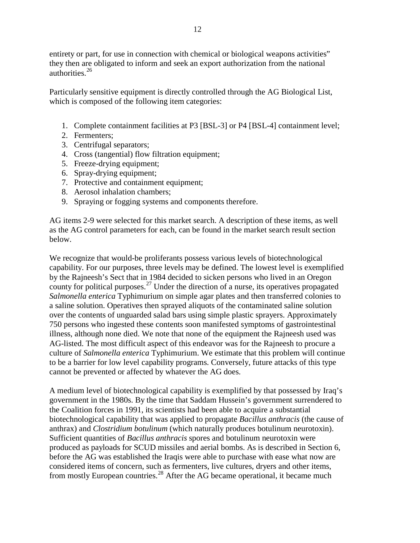entirety or part, for use in connection with chemical or biological weapons activities" they then are obligated to inform and seek an export authorization from the national authorities.<sup>[26](#page-67-0)</sup>

Particularly sensitive equipment is directly controlled through the AG Biological List, which is composed of the following item categories:

- 1. Complete containment facilities at P3 [BSL-3] or P4 [BSL-4] containment level;
- 2. Fermenters;
- 3. Centrifugal separators;
- 4. Cross (tangential) flow filtration equipment;
- 5. Freeze-drying equipment;
- 6. Spray-drying equipment;
- 7. Protective and containment equipment;
- 8. Aerosol inhalation chambers;
- 9. Spraying or fogging systems and components therefore.

AG items 2-9 were selected for this market search. A description of these items, as well as the AG control parameters for each, can be found in the market search result section below.

We recognize that would-be proliferants possess various levels of biotechnological capability. For our purposes, three levels may be defined. The lowest level is exemplified by the Rajneesh's Sect that in 1984 decided to sicken persons who lived in an Oregon county for political purposes.<sup>[27](#page-67-1)</sup> Under the direction of a nurse, its operatives propagated *Salmonella enterica* Typhimurium on simple agar plates and then transferred colonies to a saline solution. Operatives then sprayed aliquots of the contaminated saline solution over the contents of unguarded salad bars using simple plastic sprayers. Approximately 750 persons who ingested these contents soon manifested symptoms of gastrointestinal illness, although none died. We note that none of the equipment the Rajneesh used was AG-listed. The most difficult aspect of this endeavor was for the Rajneesh to procure a culture of *Salmonella enterica* Typhimurium. We estimate that this problem will continue to be a barrier for low level capability programs. Conversely, future attacks of this type cannot be prevented or affected by whatever the AG does.

A medium level of biotechnological capability is exemplified by that possessed by Iraq's government in the 1980s. By the time that Saddam Hussein's government surrendered to the Coalition forces in 1991, its scientists had been able to acquire a substantial biotechnological capability that was applied to propagate *Bacillus anthracis* (the cause of anthrax) and *Clostridium botulinum* (which naturally produces botulinum neurotoxin). Sufficient quantities of *Bacillus anthracis* spores and botulinum neurotoxin were produced as payloads for SCUD missiles and aerial bombs. As is described in Section 6, before the AG was established the Iraqis were able to purchase with ease what now are considered items of concern, such as fermenters, live cultures, dryers and other items, from mostly European countries.<sup>[28](#page-67-2)</sup> After the AG became operational, it became much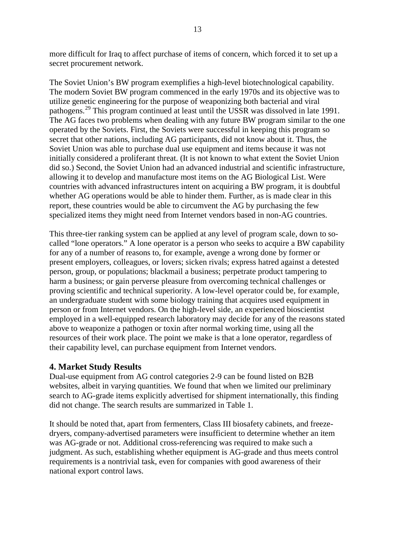more difficult for Iraq to affect purchase of items of concern, which forced it to set up a secret procurement network.

The Soviet Union's BW program exemplifies a high-level biotechnological capability. The modern Soviet BW program commenced in the early 1970s and its objective was to utilize genetic engineering for the purpose of weaponizing both bacterial and viral pathogens.[29](#page-68-0) This program continued at least until the USSR was dissolved in late 1991. The AG faces two problems when dealing with any future BW program similar to the one operated by the Soviets. First, the Soviets were successful in keeping this program so secret that other nations, including AG participants, did not know about it. Thus, the Soviet Union was able to purchase dual use equipment and items because it was not initially considered a proliferant threat. (It is not known to what extent the Soviet Union did so.) Second, the Soviet Union had an advanced industrial and scientific infrastructure, allowing it to develop and manufacture most items on the AG Biological List. Were countries with advanced infrastructures intent on acquiring a BW program, it is doubtful whether AG operations would be able to hinder them. Further, as is made clear in this report, these countries would be able to circumvent the AG by purchasing the few specialized items they might need from Internet vendors based in non-AG countries.

This three-tier ranking system can be applied at any level of program scale, down to socalled "lone operators." A lone operator is a person who seeks to acquire a BW capability for any of a number of reasons to, for example, avenge a wrong done by former or present employers, colleagues, or lovers; sicken rivals; express hatred against a detested person, group, or populations; blackmail a business; perpetrate product tampering to harm a business; or gain perverse pleasure from overcoming technical challenges or proving scientific and technical superiority. A low-level operator could be, for example, an undergraduate student with some biology training that acquires used equipment in person or from Internet vendors. On the high-level side, an experienced bioscientist employed in a well-equipped research laboratory may decide for any of the reasons stated above to weaponize a pathogen or toxin after normal working time, using all the resources of their work place. The point we make is that a lone operator, regardless of their capability level, can purchase equipment from Internet vendors.

# **4. Market Study Results**

Dual-use equipment from AG control categories 2-9 can be found listed on B2B websites, albeit in varying quantities. We found that when we limited our preliminary search to AG-grade items explicitly advertised for shipment internationally, this finding did not change. The search results are summarized in Table 1.

It should be noted that, apart from fermenters, Class III biosafety cabinets, and freezedryers, company-advertised parameters were insufficient to determine whether an item was AG-grade or not. Additional cross-referencing was required to make such a judgment. As such, establishing whether equipment is AG-grade and thus meets control requirements is a nontrivial task, even for companies with good awareness of their national export control laws.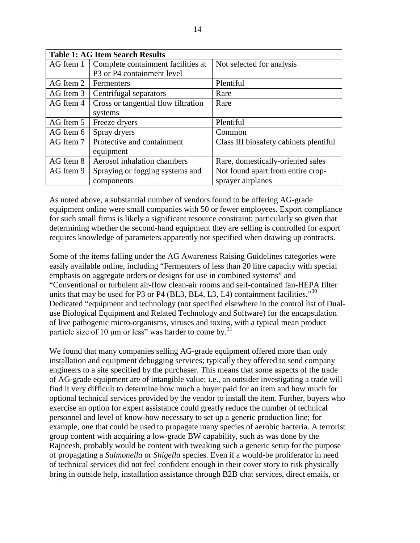| <b>Table 1: AG Item Search Results</b> |                                                    |                                        |  |  |
|----------------------------------------|----------------------------------------------------|----------------------------------------|--|--|
| AG Item 1                              | Complete containment facilities at                 | Not selected for analysis              |  |  |
|                                        | P <sub>3</sub> or P <sub>4</sub> containment level |                                        |  |  |
| AG Item 2                              | Fermenters                                         | Plentiful                              |  |  |
| AG Item 3                              | Centrifugal separators                             | Rare                                   |  |  |
| AG Item 4                              | Cross or tangential flow filtration                | Rare                                   |  |  |
|                                        | systems                                            |                                        |  |  |
| AG Item 5                              | Freeze dryers                                      | Plentiful                              |  |  |
| AG Item 6                              | Spray dryers                                       | Common                                 |  |  |
| AG Item 7                              | Protective and containment                         | Class III biosafety cabinets plentiful |  |  |
|                                        | equipment                                          |                                        |  |  |
| AG Item 8                              | Aerosol inhalation chambers                        | Rare, domestically-oriented sales      |  |  |
| AG Item 9                              | Spraying or fogging systems and                    | Not found apart from entire crop-      |  |  |
|                                        | components                                         | sprayer airplanes                      |  |  |

As noted above, a substantial number of vendors found to be offering AG-grade equipment online were small companies with 50 or fewer employees. Export compliance for such small firms is likely a significant resource constraint; particularly so given that determining whether the second-hand equipment they are selling is controlled for export requires knowledge of parameters apparently not specified when drawing up contracts.

Some of the items falling under the AG Awareness Raising Guidelines categories were easily available online, including "Fermenters of less than 20 litre capacity with special emphasis on aggregate orders or designs for use in combined systems" and "Conventional or turbulent air-flow clean-air rooms and self-contained fan-HEPA filter units that may be used for P3 or P4 (BL3, BL4, L3, L4) containment facilities."<sup>[30](#page-68-1)</sup> Dedicated "equipment and technology (not specified elsewhere in the control list of Dualuse Biological Equipment and Related Technology and Software) for the encapsulation of live pathogenic micro-organisms, viruses and toxins, with a typical mean product particle size of 10  $\mu$ m or less" was harder to come by.<sup>[31](#page-68-2)</sup>

We found that many companies selling AG-grade equipment offered more than only installation and equipment debugging services; typically they offered to send company engineers to a site specified by the purchaser. This means that some aspects of the trade of AG-grade equipment are of intangible value; i.e., an outsider investigating a trade will find it very difficult to determine how much a buyer paid for an item and how much for optional technical services provided by the vendor to install the item. Further, buyers who exercise an option for expert assistance could greatly reduce the number of technical personnel and level of know-how necessary to set up a generic production line; for example, one that could be used to propagate many species of aerobic bacteria. A terrorist group content with acquiring a low-grade BW capability, such as was done by the Rajneesh, probably would be content with tweaking such a generic setup for the purpose of propagating a *Salmonella* or *Shigella* species. Even if a would-be proliferator in need of technical services did not feel confident enough in their cover story to risk physically bring in outside help, installation assistance through B2B chat services, direct emails, or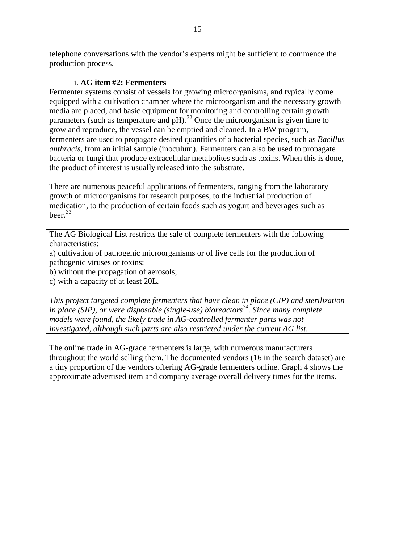telephone conversations with the vendor's experts might be sufficient to commence the production process.

# i. **AG item #2: Fermenters**

Fermenter systems consist of vessels for growing microorganisms, and typically come equipped with a cultivation chamber where the microorganism and the necessary growth media are placed, and basic equipment for monitoring and controlling certain growth parameters (such as temperature and  $pH$ ).<sup>[32](#page-69-0)</sup> Once the microorganism is given time to grow and reproduce, the vessel can be emptied and cleaned. In a BW program, fermenters are used to propagate desired quantities of a bacterial species, such as *Bacillus anthracis*, from an initial sample (inoculum). Fermenters can also be used to propagate bacteria or fungi that produce extracellular metabolites such as toxins. When this is done, the product of interest is usually released into the substrate.

There are numerous peaceful applications of fermenters, ranging from the laboratory growth of microorganisms for research purposes, to the industrial production of medication, to the production of certain foods such as yogurt and beverages such as beer. $33$ 

The AG Biological List restricts the sale of complete fermenters with the following characteristics:

a) cultivation of pathogenic microorganisms or of live cells for the production of pathogenic viruses or toxins;

b) without the propagation of aerosols;

c) with a capacity of at least 20L.

*This project targeted complete fermenters that have clean in place (CIP) and sterilization in place (SIP), or were disposable (single-use) bioreactors[34](#page-69-2). Since many complete models were found, the likely trade in AG-controlled fermenter parts was not investigated, although such parts are also restricted under the current AG list.* 

The online trade in AG-grade fermenters is large, with numerous manufacturers throughout the world selling them. The documented vendors (16 in the search dataset) are a tiny proportion of the vendors offering AG-grade fermenters online. Graph 4 shows the approximate advertised item and company average overall delivery times for the items.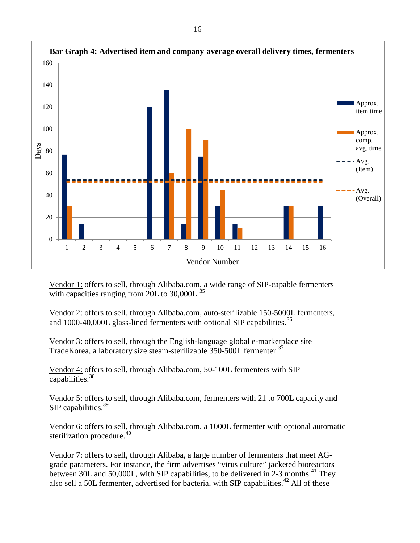

Vendor 1: offers to sell, through Alibaba.com, a wide range of SIP-capable fermenters with capacities ranging from 20L to  $30,000L$ .<sup>[35](#page-70-0)</sup>

Vendor 2: offers to sell, through Alibaba.com, auto-sterilizable 150-5000L fermenters, and 1000-40,000L glass-lined fermenters with optional SIP capabilities.<sup>[36](#page-70-1)</sup>

Vendor 3: offers to sell, through the English-language global e-marketplace site TradeKorea, a laboratory size steam-sterilizable 350-500L fermenter.<sup>[37](#page-70-2)</sup>

Vendor 4: offers to sell, through Alibaba.com, 50-100L fermenters with SIP capabilities. $38$ 

Vendor 5: offers to sell, through Alibaba.com, fermenters with 21 to 700L capacity and SIP capabilities. $39$ 

Vendor 6: offers to sell, through Alibaba.com, a 1000L fermenter with optional automatic sterilization procedure. $40$ 

Vendor 7: offers to sell, through Alibaba, a large number of fermenters that meet AGgrade parameters. For instance, the firm advertises "virus culture" jacketed bioreactors between 30L and 50,000L, with SIP capabilities, to be delivered in 2-3 months.<sup>[41](#page-70-6)</sup> They also sell a 50L fermenter, advertised for bacteria, with SIP capabilities.<sup>[42](#page-70-7)</sup> All of these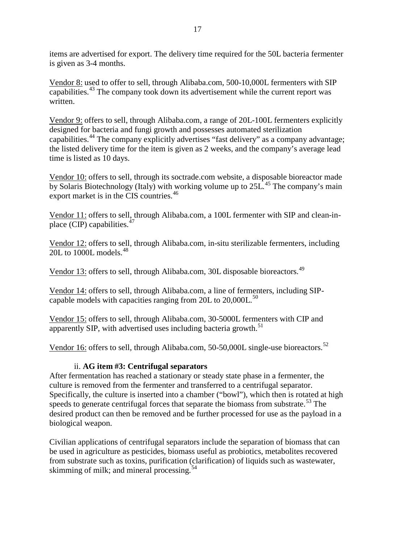items are advertised for export. The delivery time required for the 50L bacteria fermenter is given as 3-4 months.

Vendor 8: used to offer to sell, through Alibaba.com, 500-10,000L fermenters with SIP capabilities.<sup>[43](#page-70-8)</sup> The company took down its advertisement while the current report was written.

Vendor 9: offers to sell, through Alibaba.com, a range of 20L-100L fermenters explicitly designed for bacteria and fungi growth and possesses automated sterilization capabilities.<sup>[44](#page-70-9)</sup> The company explicitly advertises "fast delivery" as a company advantage; the listed delivery time for the item is given as 2 weeks, and the company's average lead time is listed as 10 days.

Vendor 10: offers to sell, through its soctrade.com website, a disposable bioreactor made by Solaris Biotechnology (Italy) with working volume up to  $25L<sup>45</sup>$  $25L<sup>45</sup>$  $25L<sup>45</sup>$  The company's main export market is in the CIS countries.<sup>[46](#page-70-11)</sup>

Vendor 11: offers to sell, through Alibaba.com, a 100L fermenter with SIP and clean-inplace (CIP) capabilities. $47$ 

Vendor 12: offers to sell, through Alibaba.com, in-situ sterilizable fermenters, including 20L to 1000L models. [48](#page-70-13)

Vendor 13: offers to sell, through Alibaba.com, 30L disposable bioreactors.<sup>[49](#page-70-14)</sup>

Vendor 14: offers to sell, through Alibaba.com, a line of fermenters, including SIPcapable models with capacities ranging from  $20L$  to  $20,000L$ .<sup>[50](#page-70-15)</sup>

Vendor 15: offers to sell, through Alibaba.com, 30-5000L fermenters with CIP and apparently SIP, with advertised uses including bacteria growth.<sup>[51](#page-70-16)</sup>

Vendor 16: offers to sell, through Alibaba.com, 50-50,000L single-use bioreactors.<sup>[52](#page-70-0)</sup>

## ii. **AG item #3: Centrifugal separators**

After fermentation has reached a stationary or steady state phase in a fermenter, the culture is removed from the fermenter and transferred to a centrifugal separator. Specifically, the culture is inserted into a chamber ("bowl"), which then is rotated at high speeds to generate centrifugal forces that separate the biomass from substrate.<sup>[53](#page-70-17)</sup> The desired product can then be removed and be further processed for use as the payload in a biological weapon.

Civilian applications of centrifugal separators include the separation of biomass that can be used in agriculture as pesticides, biomass useful as probiotics, metabolites recovered from substrate such as toxins, purification (clarification) of liquids such as wastewater, skimming of milk; and mineral processing. $54$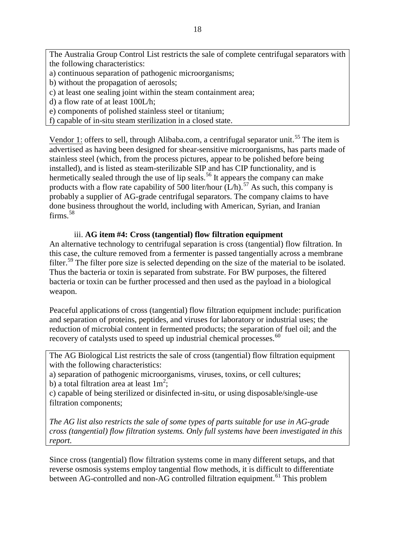The Australia Group Control List restricts the sale of complete centrifugal separators with the following characteristics:

- a) continuous separation of pathogenic microorganisms;
- b) without the propagation of aerosols;
- c) at least one sealing joint within the steam containment area;
- d) a flow rate of at least 100L/h;
- e) components of polished stainless steel or titanium;
- f) capable of in-situ steam sterilization in a closed state.

Vendor 1: offers to sell, through Alibaba.com, a centrifugal separator unit.<sup>[55](#page-70-19)</sup> The item is advertised as having been designed for shear-sensitive microorganisms, has parts made of stainless steel (which, from the process pictures, appear to be polished before being installed), and is listed as steam-sterilizable SIP and has CIP functionality, and is hermetically sealed through the use of lip seals.<sup>[56](#page-70-20)</sup> It appears the company can make products with a flow rate capability of 500 liter/hour  $(L/h)$ .<sup>[57](#page-70-21)</sup> As such, this company is probably a supplier of AG-grade centrifugal separators. The company claims to have done business throughout the world, including with American, Syrian, and Iranian  $firms.<sup>58</sup>$  $firms.<sup>58</sup>$  $firms.<sup>58</sup>$ 

#### iii. **AG item #4: Cross (tangential) flow filtration equipment**

An alternative technology to centrifugal separation is cross (tangential) flow filtration. In this case, the culture removed from a fermenter is passed tangentially across a membrane filter.<sup>[59](#page-70-22)</sup> The filter pore size is selected depending on the size of the material to be isolated. Thus the bacteria or toxin is separated from substrate. For BW purposes, the filtered bacteria or toxin can be further processed and then used as the payload in a biological weapon.

Peaceful applications of cross (tangential) flow filtration equipment include: purification and separation of proteins, peptides, and viruses for laboratory or industrial uses; the reduction of microbial content in fermented products; the separation of fuel oil; and the recovery of catalysts used to speed up industrial chemical processes.<sup>[60](#page-70-23)</sup>

The AG Biological List restricts the sale of cross (tangential) flow filtration equipment with the following characteristics:

a) separation of pathogenic microorganisms, viruses, toxins, or cell cultures;

b) a total filtration area at least  $1m^2$ ;

c) capable of being sterilized or disinfected in-situ, or using disposable/single-use filtration components;

*The AG list also restricts the sale of some types of parts suitable for use in AG-grade cross (tangential) flow filtration systems. Only full systems have been investigated in this report.*

Since cross (tangential) flow filtration systems come in many different setups, and that reverse osmosis systems employ tangential flow methods, it is difficult to differentiate between AG-controlled and non-AG controlled filtration equipment.<sup>[61](#page-70-24)</sup> This problem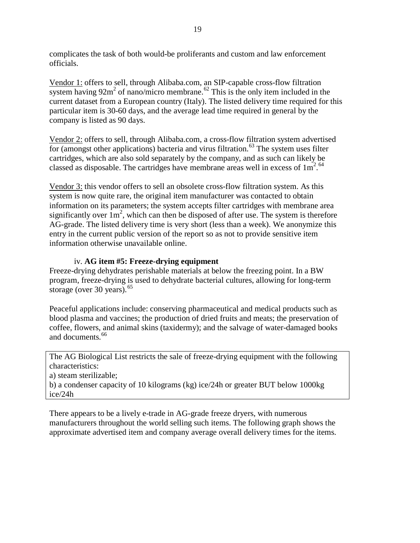complicates the task of both would-be proliferants and custom and law enforcement officials.

Vendor 1: offers to sell, through Alibaba.com, an SIP-capable cross-flow filtration system having  $92m^2$  of nano/micro membrane.<sup>[62](#page-70-25)</sup> This is the only item included in the current dataset from a European country (Italy). The listed delivery time required for this particular item is 30-60 days, and the average lead time required in general by the company is listed as 90 days.

Vendor 2: offers to sell, through Alibaba.com, a cross-flow filtration system advertised  $\overline{\text{for (amongst other applications)}}$  bacteria and virus filtration.<sup>[63](#page-70-7)</sup> The system uses filter cartridges, which are also sold separately by the company, and as such can likely be classed as disposable. The cartridges have membrane areas well in excess of  $1m<sup>2.64</sup>$  $1m<sup>2.64</sup>$  $1m<sup>2.64</sup>$ 

Vendor 3: this vendor offers to sell an obsolete cross-flow filtration system. As this system is now quite rare, the original item manufacturer was contacted to obtain information on its parameters; the system accepts filter cartridges with membrane area significantly over  $1m^2$ , which can then be disposed of after use. The system is therefore AG-grade. The listed delivery time is very short (less than a week). We anonymize this entry in the current public version of the report so as not to provide sensitive item information otherwise unavailable online.

# iv. **AG item #5: Freeze-drying equipment**

Freeze-drying dehydrates perishable materials at below the freezing point. In a BW program, freeze-drying is used to dehydrate bacterial cultures, allowing for long-term storage (over 30 years).<sup>[65](#page-70-9)</sup>

Peaceful applications include: conserving pharmaceutical and medical products such as blood plasma and vaccines; the production of dried fruits and meats; the preservation of coffee, flowers, and animal skins (taxidermy); and the salvage of water-damaged books and documents.<sup>[66](#page-70-26)</sup>

The AG Biological List restricts the sale of freeze-drying equipment with the following characteristics:

a) steam sterilizable;

b) a condenser capacity of 10 kilograms (kg) ice/24h or greater BUT below 1000kg ice/24h

There appears to be a lively e-trade in AG-grade freeze dryers, with numerous manufacturers throughout the world selling such items. The following graph shows the approximate advertised item and company average overall delivery times for the items.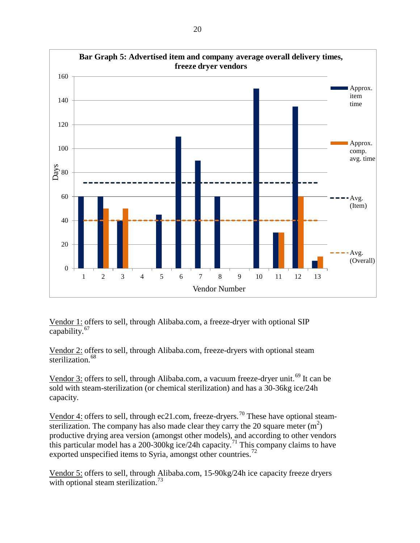

Vendor 1: offers to sell, through Alibaba.com, a freeze-dryer with optional SIP capability. [67](#page-70-27)

Vendor 2: offers to sell, through Alibaba.com, freeze-dryers with optional steam sterilization.<sup>[68](#page-70-11)</sup>

Vendor 3: offers to sell, through Alibaba.com, a vacuum freeze-dryer unit.<sup>[69](#page-70-13)</sup> It can be sold with steam-sterilization (or chemical sterilization) and has a 30-36kg ice/24h capacity.

Vendor 4: offers to sell, through ec21.com, freeze-dryers.<sup>[70](#page-70-28)</sup> These have optional steamsterilization. The company has also made clear they carry the 20 square meter  $(m<sup>2</sup>)$ productive drying area version (amongst other models), and according to other vendors this particular model has a 200-300kg ice/24h capacity.<sup>[71](#page-70-14)</sup> This company claims to have exported unspecified items to Syria, amongst other countries.<sup>[72](#page-70-29)</sup>

Vendor 5: offers to sell, through Alibaba.com, 15-90kg/24h ice capacity freeze dryers with optional steam sterilization.<sup>[73](#page-70-0)</sup>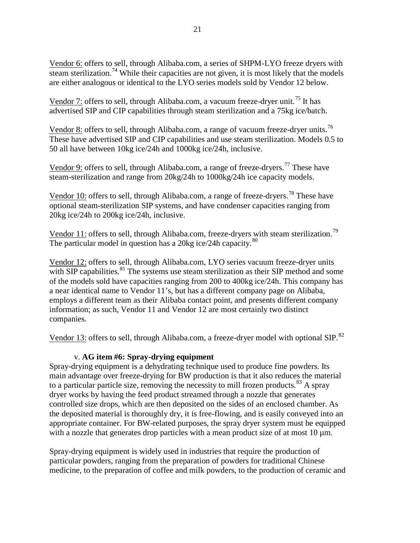Vendor 6: offers to sell, through Alibaba.com, a series of SHPM-LYO freeze dryers with steam sterilization.<sup>[74](#page-70-1)</sup> While their capacities are not given, it is most likely that the models are either analogous or identical to the LYO series models sold by Vendor 12 below.

Vendor 7: offers to sell, through Alibaba.com, a vacuum freeze-dryer unit.<sup>[75](#page-70-20)</sup> It has advertised SIP and CIP capabilities through steam sterilization and a 75kg ice/batch.

Vendor 8: offers to sell, through Alibaba.com, a range of vacuum freeze-dryer units.<sup>[76](#page-70-3)</sup> These have advertised SIP and CIP capabilities and use steam sterilization. Models 0.5 to 50 all have between 10kg ice/24h and 1000kg ice/24h, inclusive.

Vendor 9: offers to sell, through Alibaba.com, a range of freeze-dryers.<sup>[77](#page-70-4)</sup> These have steam-sterilization and range from 20kg/24h to 1000kg/24h ice capacity models.

Vendor 10: offers to sell, through Alibaba.com, a range of freeze-dryers.<sup>[78](#page-70-6)</sup> These have optional steam-sterilization SIP systems, and have condenser capacities ranging from 20kg ice/24h to 200kg ice/24h, inclusive.

Vendor 11: offers to sell, through Alibaba.com, freeze-dryers with steam sterilization.<sup>[79](#page-70-30)</sup> The particular model in question has a 20kg ice/24h capacity. $80$ 

Vendor 12: offers to sell, through Alibaba.com, LYO series vacuum freeze-dryer units with SIP capabilities. $81$  The systems use steam sterilization as their SIP method and some of the models sold have capacities ranging from 200 to 400kg ice/24h. This company has a near identical name to Vendor 11's, but has a different company page on Alibaba, employs a different team as their Alibaba contact point, and presents different company information; as such, Vendor 11 and Vendor 12 are most certainly two distinct companies.

Vendor 13: offers to sell, through Alibaba.com, a freeze-dryer model with optional SIP.<sup>[82](#page-70-10)</sup>

# v. **AG item #6: Spray-drying equipment**

Spray-drying equipment is a dehydrating technique used to produce fine powders. Its main advantage over freeze-drying for BW production is that it also reduces the material to a particular particle size, removing the necessity to mill frozen products.<sup>[83](#page-70-12)</sup> A spray dryer works by having the feed product streamed through a nozzle that generates controlled size drops, which are then deposited on the sides of an enclosed chamber. As the deposited material is thoroughly dry, it is free-flowing, and is easily conveyed into an appropriate container. For BW-related purposes, the spray dryer system must be equipped with a nozzle that generates drop particles with a mean product size of at most  $10 \mu m$ .

Spray-drying equipment is widely used in industries that require the production of particular powders, ranging from the preparation of powders for traditional Chinese medicine, to the preparation of coffee and milk powders, to the production of ceramic and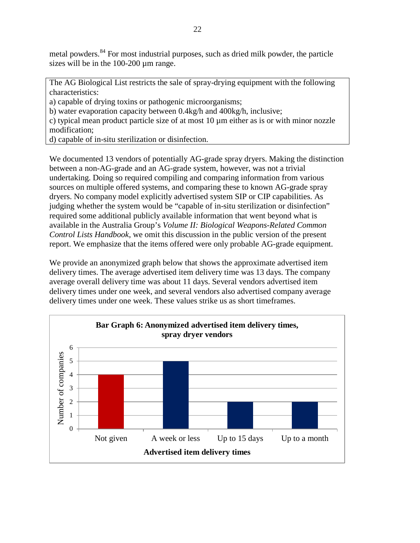metal powders.<sup>[84](#page-70-32)</sup> For most industrial purposes, such as dried milk powder, the particle sizes will be in the 100-200 µm range.

The AG Biological List restricts the sale of spray-drying equipment with the following characteristics:

a) capable of drying toxins or pathogenic microorganisms;

b) water evaporation capacity between 0.4kg/h and 400kg/h, inclusive;

c) typical mean product particle size of at most 10 µm either as is or with minor nozzle modification;

d) capable of in-situ sterilization or disinfection.

We documented 13 vendors of potentially AG-grade spray dryers. Making the distinction between a non-AG-grade and an AG-grade system, however, was not a trivial undertaking. Doing so required compiling and comparing information from various sources on multiple offered systems, and comparing these to known AG-grade spray dryers. No company model explicitly advertised system SIP or CIP capabilities. As judging whether the system would be "capable of in-situ sterilization or disinfection" required some additional publicly available information that went beyond what is available in the Australia Group's *Volume II: Biological Weapons-Related Common Control Lists Handbook*, we omit this discussion in the public version of the present report. We emphasize that the items offered were only probable AG-grade equipment.

We provide an anonymized graph below that shows the approximate advertised item delivery times. The average advertised item delivery time was 13 days. The company average overall delivery time was about 11 days. Several vendors advertised item delivery times under one week, and several vendors also advertised company average delivery times under one week. These values strike us as short timeframes.

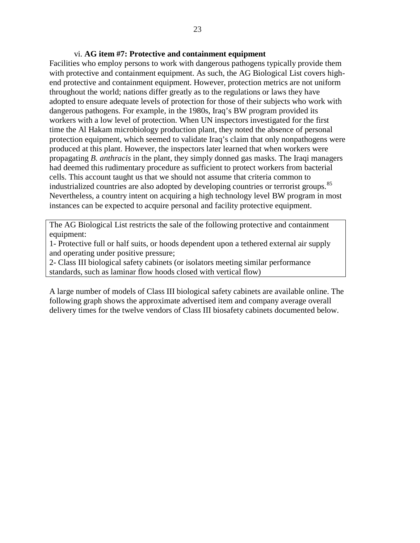#### vi. **AG item #7: Protective and containment equipment**

Facilities who employ persons to work with dangerous pathogens typically provide them with protective and containment equipment. As such, the AG Biological List covers highend protective and containment equipment. However, protection metrics are not uniform throughout the world; nations differ greatly as to the regulations or laws they have adopted to ensure adequate levels of protection for those of their subjects who work with dangerous pathogens. For example, in the 1980s, Iraq's BW program provided its workers with a low level of protection. When UN inspectors investigated for the first time the Al Hakam microbiology production plant, they noted the absence of personal protection equipment, which seemed to validate Iraq's claim that only nonpathogens were produced at this plant. However, the inspectors later learned that when workers were propagating *B. anthracis* in the plant, they simply donned gas masks. The Iraqi managers had deemed this rudimentary procedure as sufficient to protect workers from bacterial cells. This account taught us that we should not assume that criteria common to industrialized countries are also adopted by developing countries or terrorist groups.<sup>[85](#page-70-13)</sup> Nevertheless, a country intent on acquiring a high technology level BW program in most instances can be expected to acquire personal and facility protective equipment.

The AG Biological List restricts the sale of the following protective and containment equipment:

1- Protective full or half suits, or hoods dependent upon a tethered external air supply and operating under positive pressure;

2- Class III biological safety cabinets (or isolators meeting similar performance standards, such as laminar flow hoods closed with vertical flow)

A large number of models of Class III biological safety cabinets are available online. The following graph shows the approximate advertised item and company average overall delivery times for the twelve vendors of Class III biosafety cabinets documented below.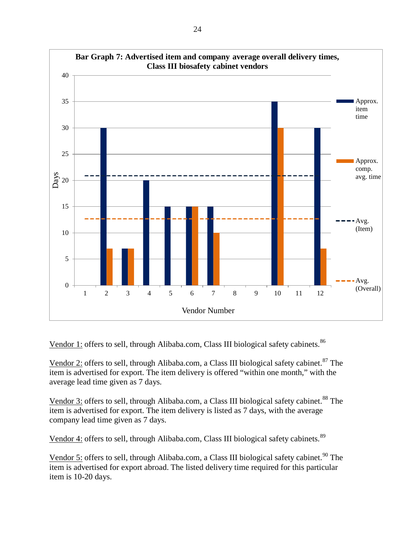

Vendor 1: offers to sell, through Alibaba.com, Class III biological safety cabinets.<sup>[86](#page-70-33)</sup>

Vendor 2: offers to sell, through Alibaba.com, a Class III biological safety cabinet.<sup>[87](#page-70-34)</sup> The item is advertised for export. The item delivery is offered "within one month," with the average lead time given as 7 days.

Vendor 3: offers to sell, through Alibaba.com, a Class III biological safety cabinet.<sup>[88](#page-70-16)</sup> The item is advertised for export. The item delivery is listed as 7 days, with the average company lead time given as 7 days.

Vendor 4: offers to sell, through Alibaba.com, Class III biological safety cabinets.<sup>[89](#page-70-35)</sup>

Vendor 5: offers to sell, through Alibaba.com, a Class III biological safety cabinet.<sup>[90](#page-70-18)</sup> The item is advertised for export abroad. The listed delivery time required for this particular item is 10-20 days.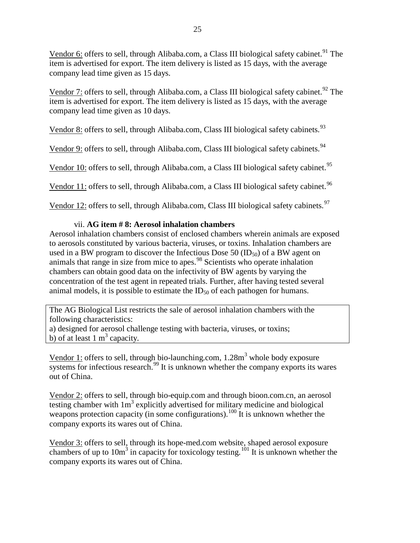Vendor 6: offers to sell, through Alibaba.com, a Class III biological safety cabinet.<sup>[91](#page-70-20)</sup> The item is advertised for export. The item delivery is listed as 15 days, with the average company lead time given as 15 days.

Vendor 7: offers to sell, through Alibaba.com, a Class III biological safety cabinet.<sup>[92](#page-70-36)</sup> The item is advertised for export. The item delivery is listed as 15 days, with the average company lead time given as 10 days.

Vendor 8: offers to sell, through Alibaba.com, Class III biological safety cabinets.<sup>[93](#page-70-21)</sup>

Vendor 9: offers to sell, through Alibaba.com, Class III biological safety cabinets.<sup>[94](#page-70-4)</sup>

Vendor 10: offers to sell, through Alibaba.com, a Class III biological safety cabinet.<sup>[95](#page-70-5)</sup>

Vendor 11: offers to sell, through Alibaba.com, a Class III biological safety cabinet.<sup>[96](#page-70-6)</sup>

Vendor 12: offers to sell, through Alibaba.com, Class III biological safety cabinets.<sup>[97](#page-70-7)</sup>

# vii. **AG item # 8: Aerosol inhalation chambers**

Aerosol inhalation chambers consist of enclosed chambers wherein animals are exposed to aerosols constituted by various bacteria, viruses, or toxins. Inhalation chambers are used in a BW program to discover the Infectious Dose 50 (ID $_{50}$ ) of a BW agent on animals that range in size from mice to apes. [98](#page-70-37) Scientists who operate inhalation chambers can obtain good data on the infectivity of BW agents by varying the concentration of the test agent in repeated trials. Further, after having tested several animal models, it is possible to estimate the  $ID_{50}$  of each pathogen for humans.

The AG Biological List restricts the sale of aerosol inhalation chambers with the following characteristics:

a) designed for aerosol challenge testing with bacteria, viruses, or toxins; b) of at least  $1 \text{ m}^3$  capacity.

Vendor 1: offers to sell, through bio-launching.com,  $1.28m<sup>3</sup>$  whole body exposure systems for infectious research.<sup>[99](#page-70-31)</sup> It is unknown whether the company exports its wares out of China.

Vendor 2: offers to sell, through bio-equip.com and through bioon.com.cn, an aerosol testing chamber with 1m<sup>3</sup> explicitly advertised for military medicine and biological weapons protection capacity (in some configurations).<sup>[100](#page-70-38)</sup> It is unknown whether the company exports its wares out of China.

Vendor 3: offers to sell, through its hope-med.com website, shaped aerosol exposure chambers of up to  $10m^3$  in capacity for toxicology testing.<sup>[101](#page-70-27)</sup> It is unknown whether the company exports its wares out of China.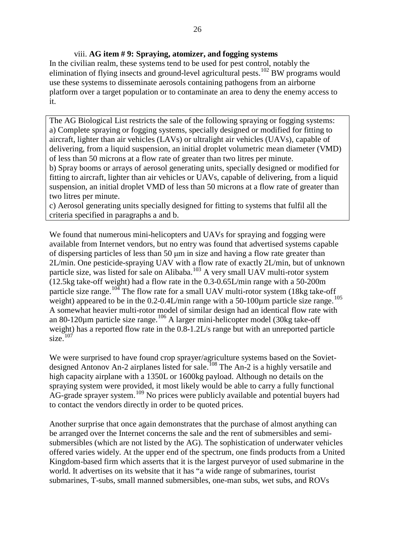## viii. **AG item # 9: Spraying, atomizer, and fogging systems**

In the civilian realm, these systems tend to be used for pest control, notably the elimination of flying insects and ground-level agricultural pests.<sup>[102](#page-70-39)</sup> BW programs would use these systems to disseminate aerosols containing pathogens from an airborne platform over a target population or to contaminate an area to deny the enemy access to it.

The AG Biological List restricts the sale of the following spraying or fogging systems: a) Complete spraying or fogging systems, specially designed or modified for fitting to aircraft, lighter than air vehicles (LAVs) or ultralight air vehicles (UAVs), capable of delivering, from a liquid suspension, an initial droplet volumetric mean diameter (VMD) of less than 50 microns at a flow rate of greater than two litres per minute.

b) Spray booms or arrays of aerosol generating units, specially designed or modified for fitting to aircraft, lighter than air vehicles or UAVs, capable of delivering, from a liquid suspension, an initial droplet VMD of less than 50 microns at a flow rate of greater than two litres per minute.

c) Aerosol generating units specially designed for fitting to systems that fulfil all the criteria specified in paragraphs a and b.

We found that numerous mini-helicopters and UAVs for spraying and fogging were available from Internet vendors, but no entry was found that advertised systems capable of dispersing particles of less than 50 μm in size and having a flow rate greater than 2L/min. One pesticide-spraying UAV with a flow rate of exactly 2L/min, but of unknown particle size, was listed for sale on Alibaba.<sup>[103](#page-70-11)</sup> A very small UAV multi-rotor system (12.5kg take-off weight) had a flow rate in the 0.3-0.65L/min range with a 50-200m particle size range.<sup>[104](#page-70-32)</sup> The flow rate for a small UAV multi-rotor system (18kg take-off weight) appeared to be in the  $0.2$ -0.4L/min range with a 50-100 $\mu$ m particle size range.<sup>[105](#page-70-33)</sup> A somewhat heavier multi-rotor model of similar design had an identical flow rate with an 80-120 $\mu$ m particle size range.<sup>[106](#page-70-14)</sup> A larger mini-helicopter model (30kg take-off weight) has a reported flow rate in the 0.8-1.2L/s range but with an unreported particle  $size<sup>-107</sup>$  $size<sup>-107</sup>$  $size<sup>-107</sup>$ 

We were surprised to have found crop sprayer/agriculture systems based on the Sovietdesigned Antonov An-2 airplanes listed for sale.[108](#page-70-41) The An-2 is a highly versatile and high capacity airplane with a 1350L or 1600kg payload. Although no details on the spraying system were provided, it most likely would be able to carry a fully functional AG-grade sprayer system.<sup>[109](#page-70-17)</sup> No prices were publicly available and potential buyers had to contact the vendors directly in order to be quoted prices.

Another surprise that once again demonstrates that the purchase of almost anything can be arranged over the Internet concerns the sale and the rent of submersibles and semisubmersibles (which are not listed by the AG). The sophistication of underwater vehicles offered varies widely. At the upper end of the spectrum, one finds products from a United Kingdom-based firm which asserts that it is the largest purveyor of used submarine in the world. It advertises on its website that it has "a wide range of submarines, tourist submarines, T-subs, small manned submersibles, one-man subs, wet subs, and ROVs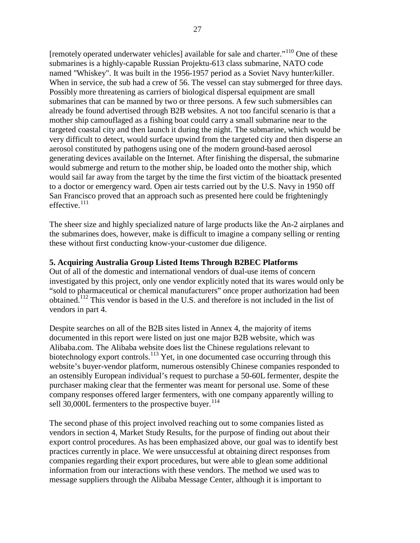[remotely operated underwater vehicles] available for sale and charter."<sup>[110](#page-70-18)</sup> One of these submarines is a highly-capable Russian Projektu-613 class submarine, NATO code named "Whiskey". It was built in the 1956-1957 period as a Soviet Navy hunter/killer. When in service, the sub had a crew of 56. The vessel can stay submerged for three days. Possibly more threatening as carriers of biological dispersal equipment are small submarines that can be manned by two or three persons. A few such submersibles can already be found advertised through B2B websites. A not too fanciful scenario is that a mother ship camouflaged as a fishing boat could carry a small submarine near to the targeted coastal city and then launch it during the night. The submarine, which would be very difficult to detect, would surface upwind from the targeted city and then disperse an aerosol constituted by pathogens using one of the modern ground-based aerosol generating devices available on the Internet. After finishing the dispersal, the submarine would submerge and return to the mother ship, be loaded onto the mother ship, which would sail far away from the target by the time the first victim of the bioattack presented to a doctor or emergency ward. Open air tests carried out by the U.S. Navy in 1950 off San Francisco proved that an approach such as presented here could be frighteningly effective.<sup>[111](#page-70-20)</sup>

The sheer size and highly specialized nature of large products like the An-2 airplanes and the submarines does, however, make is difficult to imagine a company selling or renting these without first conducting know-your-customer due diligence.

## **5. Acquiring Australia Group Listed Items Through B2BEC Platforms**

Out of all of the domestic and international vendors of dual-use items of concern investigated by this project, only one vendor explicitly noted that its wares would only be "sold to pharmaceutical or chemical manufacturers" once proper authorization had been obtained.[112](#page-70-4) This vendor is based in the U.S. and therefore is not included in the list of vendors in part 4.

Despite searches on all of the B2B sites listed in Annex 4, the majority of items documented in this report were listed on just one major B2B website, which was Alibaba.com. The Alibaba website does list the Chinese regulations relevant to biotechnology export controls.<sup>[113](#page-70-5)</sup> Yet, in one documented case occurring through this website's buyer-vendor platform, numerous ostensibly Chinese companies responded to an ostensibly European individual's request to purchase a 50-60L fermenter, despite the purchaser making clear that the fermenter was meant for personal use. Some of these company responses offered larger fermenters, with one company apparently willing to sell 30,000L fermenters to the prospective buyer.<sup>[114](#page-70-42)</sup>

The second phase of this project involved reaching out to some companies listed as vendors in section 4, Market Study Results, for the purpose of finding out about their export control procedures. As has been emphasized above, our goal was to identify best practices currently in place. We were unsuccessful at obtaining direct responses from companies regarding their export procedures, but were able to glean some additional information from our interactions with these vendors. The method we used was to message suppliers through the Alibaba Message Center, although it is important to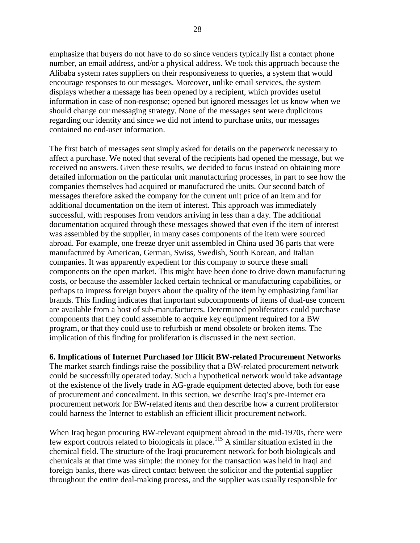emphasize that buyers do not have to do so since venders typically list a contact phone number, an email address, and/or a physical address. We took this approach because the Alibaba system rates suppliers on their responsiveness to queries, a system that would encourage responses to our messages. Moreover, unlike email services, the system displays whether a message has been opened by a recipient, which provides useful information in case of non-response; opened but ignored messages let us know when we should change our messaging strategy. None of the messages sent were duplicitous regarding our identity and since we did not intend to purchase units, our messages contained no end-user information.

The first batch of messages sent simply asked for details on the paperwork necessary to affect a purchase. We noted that several of the recipients had opened the message, but we received no answers. Given these results, we decided to focus instead on obtaining more detailed information on the particular unit manufacturing processes, in part to see how the companies themselves had acquired or manufactured the units. Our second batch of messages therefore asked the company for the current unit price of an item and for additional documentation on the item of interest. This approach was immediately successful, with responses from vendors arriving in less than a day. The additional documentation acquired through these messages showed that even if the item of interest was assembled by the supplier, in many cases components of the item were sourced abroad. For example, one freeze dryer unit assembled in China used 36 parts that were manufactured by American, German, Swiss, Swedish, South Korean, and Italian companies. It was apparently expedient for this company to source these small components on the open market. This might have been done to drive down manufacturing costs, or because the assembler lacked certain technical or manufacturing capabilities, or perhaps to impress foreign buyers about the quality of the item by emphasizing familiar brands. This finding indicates that important subcomponents of items of dual-use concern are available from a host of sub-manufacturers. Determined proliferators could purchase components that they could assemble to acquire key equipment required for a BW program, or that they could use to refurbish or mend obsolete or broken items. The implication of this finding for proliferation is discussed in the next section.

**6. Implications of Internet Purchased for Illicit BW-related Procurement Networks** The market search findings raise the possibility that a BW-related procurement network could be successfully operated today. Such a hypothetical network would take advantage of the existence of the lively trade in AG-grade equipment detected above, both for ease of procurement and concealment. In this section, we describe Iraq's pre-Internet era procurement network for BW-related items and then describe how a current proliferator could harness the Internet to establish an efficient illicit procurement network.

When Iraq began procuring BW-relevant equipment abroad in the mid-1970s, there were few export controls related to biologicals in place.<sup>[115](#page-70-8)</sup> A similar situation existed in the chemical field. The structure of the Iraqi procurement network for both biologicals and chemicals at that time was simple: the money for the transaction was held in Iraqi and foreign banks, there was direct contact between the solicitor and the potential supplier throughout the entire deal-making process, and the supplier was usually responsible for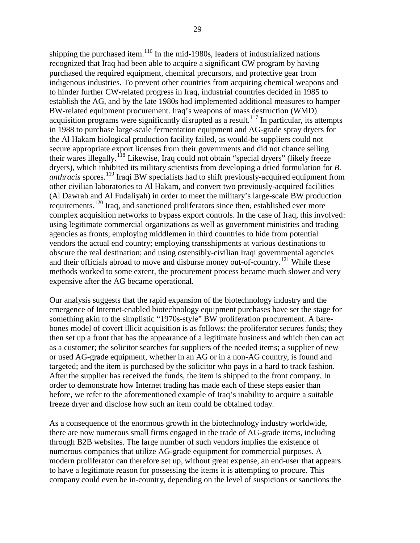shipping the purchased item.<sup>[116](#page-70-38)</sup> In the mid-1980s, leaders of industrialized nations recognized that Iraq had been able to acquire a significant CW program by having purchased the required equipment, chemical precursors, and protective gear from indigenous industries. To prevent other countries from acquiring chemical weapons and to hinder further CW-related progress in Iraq, industrial countries decided in 1985 to establish the AG, and by the late 1980s had implemented additional measures to hamper BW-related equipment procurement. Iraq's weapons of mass destruction (WMD) acquisition programs were significantly disrupted as a result.<sup>[117](#page-70-26)</sup> In particular, its attempts in 1988 to purchase large-scale fermentation equipment and AG-grade spray dryers for the Al Hakam biological production facility failed, as would-be suppliers could not secure appropriate export licenses from their governments and did not chance selling their wares illegally.<sup>[118](#page-70-27)</sup> Likewise, Iraq could not obtain "special dryers" (likely freeze dryers), which inhibited its military scientists from developing a dried formulation for *B. anthracis* spores. [119](#page-70-32) Iraqi BW specialists had to shift previously-acquired equipment from other civilian laboratories to Al Hakam, and convert two previously-acquired facilities (Al Dawrah and Al Fudaliyah) in order to meet the military's large-scale BW production requirements.<sup>[120](#page-70-43)</sup> Iraq, and sanctioned proliferators since then, established ever more complex acquisition networks to bypass export controls. In the case of Iraq, this involved: using legitimate commercial organizations as well as government ministries and trading agencies as fronts; employing middlemen in third countries to hide from potential vendors the actual end country; employing transshipments at various destinations to obscure the real destination; and using ostensibly-civilian Iraqi governmental agencies and their officials abroad to move and disburse money out-of-country.<sup>[121](#page-70-33)</sup> While these methods worked to some extent, the procurement process became much slower and very expensive after the AG became operational.

Our analysis suggests that the rapid expansion of the biotechnology industry and the emergence of Internet-enabled biotechnology equipment purchases have set the stage for something akin to the simplistic "1970s-style" BW proliferation procurement. A barebones model of covert illicit acquisition is as follows: the proliferator secures funds; they then set up a front that has the appearance of a legitimate business and which then can act as a customer; the solicitor searches for suppliers of the needed items; a supplier of new or used AG-grade equipment, whether in an AG or in a non-AG country, is found and targeted; and the item is purchased by the solicitor who pays in a hard to track fashion. After the supplier has received the funds, the item is shipped to the front company. In order to demonstrate how Internet trading has made each of these steps easier than before, we refer to the aforementioned example of Iraq's inability to acquire a suitable freeze dryer and disclose how such an item could be obtained today.

As a consequence of the enormous growth in the biotechnology industry worldwide, there are now numerous small firms engaged in the trade of AG-grade items, including through B2B websites. The large number of such vendors implies the existence of numerous companies that utilize AG-grade equipment for commercial purposes. A modern proliferator can therefore set up, without great expense, an end-user that appears to have a legitimate reason for possessing the items it is attempting to procure. This company could even be in-country, depending on the level of suspicions or sanctions the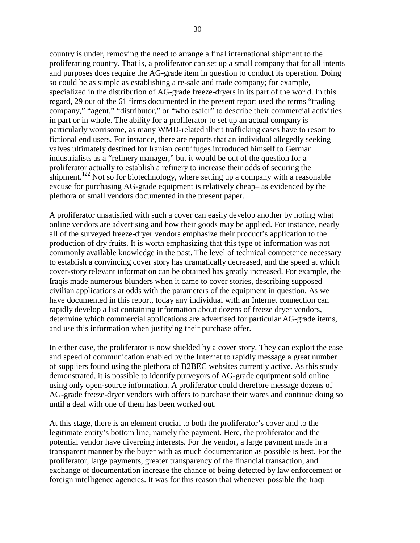country is under, removing the need to arrange a final international shipment to the proliferating country. That is, a proliferator can set up a small company that for all intents and purposes does require the AG-grade item in question to conduct its operation. Doing so could be as simple as establishing a re-sale and trade company; for example, specialized in the distribution of AG-grade freeze-dryers in its part of the world. In this regard, 29 out of the 61 firms documented in the present report used the terms "trading company," "agent," "distributor," or "wholesaler" to describe their commercial activities in part or in whole. The ability for a proliferator to set up an actual company is particularly worrisome, as many WMD-related illicit trafficking cases have to resort to fictional end users. For instance, there are reports that an individual allegedly seeking valves ultimately destined for Iranian centrifuges introduced himself to German industrialists as a "refinery manager," but it would be out of the question for a proliferator actually to establish a refinery to increase their odds of securing the shipment.<sup>[122](#page-70-14)</sup> Not so for biotechnology, where setting up a company with a reasonable excuse for purchasing AG-grade equipment is relatively cheap– as evidenced by the plethora of small vendors documented in the present paper.

A proliferator unsatisfied with such a cover can easily develop another by noting what online vendors are advertising and how their goods may be applied. For instance, nearly all of the surveyed freeze-dryer vendors emphasize their product's application to the production of dry fruits. It is worth emphasizing that this type of information was not commonly available knowledge in the past. The level of technical competence necessary to establish a convincing cover story has dramatically decreased, and the speed at which cover-story relevant information can be obtained has greatly increased. For example, the Iraqis made numerous blunders when it came to cover stories, describing supposed civilian applications at odds with the parameters of the equipment in question. As we have documented in this report, today any individual with an Internet connection can rapidly develop a list containing information about dozens of freeze dryer vendors, determine which commercial applications are advertised for particular AG-grade items, and use this information when justifying their purchase offer.

In either case, the proliferator is now shielded by a cover story. They can exploit the ease and speed of communication enabled by the Internet to rapidly message a great number of suppliers found using the plethora of B2BEC websites currently active. As this study demonstrated, it is possible to identify purveyors of AG-grade equipment sold online using only open-source information. A proliferator could therefore message dozens of AG-grade freeze-dryer vendors with offers to purchase their wares and continue doing so until a deal with one of them has been worked out.

At this stage, there is an element crucial to both the proliferator's cover and to the legitimate entity's bottom line, namely the payment. Here, the proliferator and the potential vendor have diverging interests. For the vendor, a large payment made in a transparent manner by the buyer with as much documentation as possible is best. For the proliferator, large payments, greater transparency of the financial transaction, and exchange of documentation increase the chance of being detected by law enforcement or foreign intelligence agencies. It was for this reason that whenever possible the Iraqi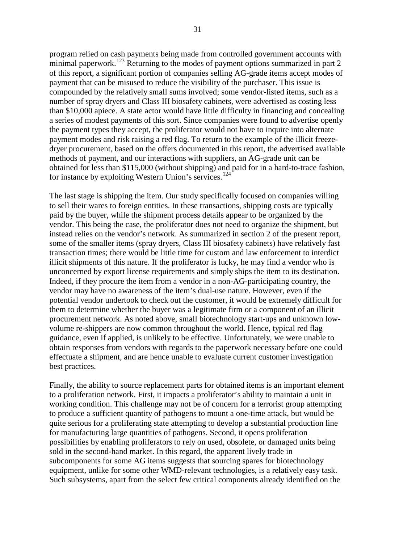program relied on cash payments being made from controlled government accounts with minimal paperwork.<sup>[123](#page-70-40)</sup> Returning to the modes of payment options summarized in part 2 of this report, a significant portion of companies selling AG-grade items accept modes of payment that can be misused to reduce the visibility of the purchaser. This issue is compounded by the relatively small sums involved; some vendor-listed items, such as a number of spray dryers and Class III biosafety cabinets, were advertised as costing less than \$10,000 apiece. A state actor would have little difficulty in financing and concealing a series of modest payments of this sort. Since companies were found to advertise openly the payment types they accept, the proliferator would not have to inquire into alternate payment modes and risk raising a red flag. To return to the example of the illicit freezedryer procurement, based on the offers documented in this report, the advertised available methods of payment, and our interactions with suppliers, an AG-grade unit can be obtained for less than \$115,000 (without shipping) and paid for in a hard-to-trace fashion, for instance by exploiting Western Union's services. [124](#page-70-29)

The last stage is shipping the item. Our study specifically focused on companies willing to sell their wares to foreign entities. In these transactions, shipping costs are typically paid by the buyer, while the shipment process details appear to be organized by the vendor. This being the case, the proliferator does not need to organize the shipment, but instead relies on the vendor's network. As summarized in section 2 of the present report, some of the smaller items (spray dryers, Class III biosafety cabinets) have relatively fast transaction times; there would be little time for custom and law enforcement to interdict illicit shipments of this nature. If the proliferator is lucky, he may find a vendor who is unconcerned by export license requirements and simply ships the item to its destination. Indeed, if they procure the item from a vendor in a non-AG-participating country, the vendor may have no awareness of the item's dual-use nature. However, even if the potential vendor undertook to check out the customer, it would be extremely difficult for them to determine whether the buyer was a legitimate firm or a component of an illicit procurement network. As noted above, small biotechnology start-ups and unknown lowvolume re-shippers are now common throughout the world. Hence, typical red flag guidance, even if applied, is unlikely to be effective. Unfortunately, we were unable to obtain responses from vendors with regards to the paperwork necessary before one could effectuate a shipment, and are hence unable to evaluate current customer investigation best practices.

Finally, the ability to source replacement parts for obtained items is an important element to a proliferation network. First, it impacts a proliferator's ability to maintain a unit in working condition. This challenge may not be of concern for a terrorist group attempting to produce a sufficient quantity of pathogens to mount a one-time attack, but would be quite serious for a proliferating state attempting to develop a substantial production line for manufacturing large quantities of pathogens. Second, it opens proliferation possibilities by enabling proliferators to rely on used, obsolete, or damaged units being sold in the second-hand market. In this regard, the apparent lively trade in subcomponents for some AG items suggests that sourcing spares for biotechnology equipment, unlike for some other WMD-relevant technologies, is a relatively easy task. Such subsystems, apart from the select few critical components already identified on the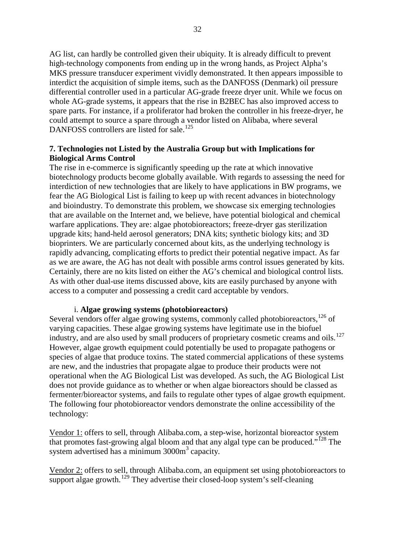AG list, can hardly be controlled given their ubiquity. It is already difficult to prevent high-technology components from ending up in the wrong hands, as Project Alpha's MKS pressure transducer experiment vividly demonstrated. It then appears impossible to interdict the acquisition of simple items, such as the DANFOSS (Denmark) oil pressure differential controller used in a particular AG-grade freeze dryer unit. While we focus on whole AG-grade systems, it appears that the rise in B2BEC has also improved access to spare parts. For instance, if a proliferator had broken the controller in his freeze-dryer, he could attempt to source a spare through a vendor listed on Alibaba, where several DANFOSS controllers are listed for sale.<sup>[125](#page-70-20)</sup>

## **7. Technologies not Listed by the Australia Group but with Implications for Biological Arms Control**

The rise in e-commerce is significantly speeding up the rate at which innovative biotechnology products become globally available. With regards to assessing the need for interdiction of new technologies that are likely to have applications in BW programs, we fear the AG Biological List is failing to keep up with recent advances in biotechnology and bioindustry. To demonstrate this problem, we showcase six emerging technologies that are available on the Internet and, we believe, have potential biological and chemical warfare applications. They are: algae photobioreactors; freeze-dryer gas sterilization upgrade kits; hand-held aerosol generators; DNA kits; synthetic biology kits; and 3D bioprinters. We are particularly concerned about kits, as the underlying technology is rapidly advancing, complicating efforts to predict their potential negative impact. As far as we are aware, the AG has not dealt with possible arms control issues generated by kits. Certainly, there are no kits listed on either the AG's chemical and biological control lists. As with other dual-use items discussed above, kits are easily purchased by anyone with access to a computer and possessing a credit card acceptable by vendors.

## i. **Algae growing systems (photobioreactors)**

Several vendors offer algae growing systems, commonly called photobioreactors,<sup>[126](#page-70-36)</sup> of varying capacities. These algae growing systems have legitimate use in the biofuel industry, and are also used by small producers of proprietary cosmetic creams and oils. $127$ However, algae growth equipment could potentially be used to propagate pathogens or species of algae that produce toxins. The stated commercial applications of these systems are new, and the industries that propagate algae to produce their products were not operational when the AG Biological List was developed. As such, the AG Biological List does not provide guidance as to whether or when algae bioreactors should be classed as fermenter/bioreactor systems, and fails to regulate other types of algae growth equipment. The following four photobioreactor vendors demonstrate the online accessibility of the technology:

Vendor 1: offers to sell, through Alibaba.com, a step-wise, horizontal bioreactor system that promotes fast-growing algal bloom and that any algal type can be produced."<sup>[128](#page-70-22)</sup> The system advertised has a minimum  $3000m<sup>3</sup>$  capacity.

Vendor 2: offers to sell, through Alibaba.com, an equipment set using photobioreactors to support algae growth.<sup>[129](#page-70-23)</sup> They advertise their closed-loop system's self-cleaning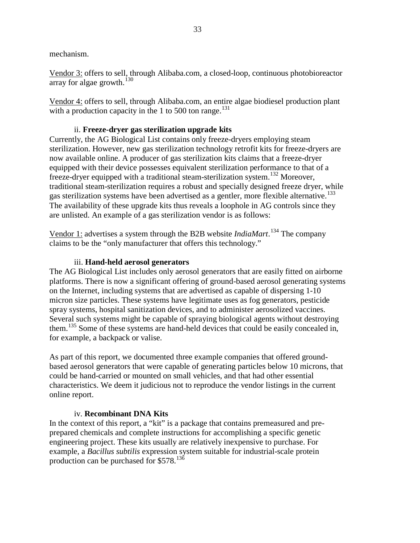mechanism.

Vendor 3: offers to sell, through Alibaba.com, a closed-loop, continuous photobioreactor array for algae growth. $130$ 

Vendor 4: offers to sell, through Alibaba.com, an entire algae biodiesel production plant with a production capacity in the 1 to 500 ton range.<sup>[131](#page-70-42)</sup>

## ii. **Freeze-dryer gas sterilization upgrade kits**

Currently, the AG Biological List contains only freeze-dryers employing steam sterilization. However, new gas sterilization technology retrofit kits for freeze-dryers are now available online. A producer of gas sterilization kits claims that a freeze-dryer equipped with their device possesses equivalent sterilization performance to that of a freeze-dryer equipped with a traditional steam-sterilization system. [132](#page-70-30) Moreover, traditional steam-sterilization requires a robust and specially designed freeze dryer, while gas sterilization systems have been advertised as a gentler, more flexible alternative.<sup>[133](#page-70-38)</sup> The availability of these upgrade kits thus reveals a loophole in AG controls since they are unlisted. An example of a gas sterilization vendor is as follows:

Vendor 1: advertises a system through the B2B website *IndiaMart*. [134](#page-70-26) The company claims to be the "only manufacturer that offers this technology."

## iii. **Hand-held aerosol generators**

The AG Biological List includes only aerosol generators that are easily fitted on airborne platforms. There is now a significant offering of ground-based aerosol generating systems on the Internet, including systems that are advertised as capable of dispersing 1-10 micron size particles. These systems have legitimate uses as fog generators, pesticide spray systems, hospital sanitization devices, and to administer aerosolized vaccines. Several such systems might be capable of spraying biological agents without destroying them.<sup>[135](#page-70-10)</sup> Some of these systems are hand-held devices that could be easily concealed in, for example, a backpack or valise.

As part of this report, we documented three example companies that offered groundbased aerosol generators that were capable of generating particles below 10 microns, that could be hand-carried or mounted on small vehicles, and that had other essential characteristics. We deem it judicious not to reproduce the vendor listings in the current online report.

## iv. **Recombinant DNA Kits**

In the context of this report, a "kit" is a package that contains premeasured and preprepared chemicals and complete instructions for accomplishing a specific genetic engineering project. These kits usually are relatively inexpensive to purchase. For example, a *Bacillus subtilis* expression system suitable for industrial-scale protein production can be purchased for \$578.<sup>[136](#page-70-12)</sup>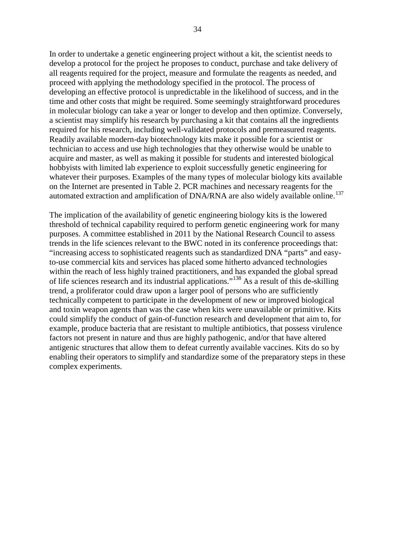In order to undertake a genetic engineering project without a kit, the scientist needs to develop a protocol for the project he proposes to conduct, purchase and take delivery of all reagents required for the project, measure and formulate the reagents as needed, and proceed with applying the methodology specified in the protocol. The process of developing an effective protocol is unpredictable in the likelihood of success, and in the time and other costs that might be required. Some seemingly straightforward procedures in molecular biology can take a year or longer to develop and then optimize. Conversely, a scientist may simplify his research by purchasing a kit that contains all the ingredients required for his research, including well-validated protocols and premeasured reagents. Readily available modern-day biotechnology kits make it possible for a scientist or technician to access and use high technologies that they otherwise would be unable to acquire and master, as well as making it possible for students and interested biological hobbyists with limited lab experience to exploit successfully genetic engineering for whatever their purposes. Examples of the many types of molecular biology kits available on the Internet are presented in Table 2. PCR machines and necessary reagents for the automated extraction and amplification of DNA/RNA are also widely available online.<sup>[137](#page-70-43)</sup>

The implication of the availability of genetic engineering biology kits is the lowered threshold of technical capability required to perform genetic engineering work for many purposes. A committee established in 2011 by the National Research Council to assess trends in the life sciences relevant to the BWC noted in its conference proceedings that: "increasing access to sophisticated reagents such as standardized DNA "parts" and easyto-use commercial kits and services has placed some hitherto advanced technologies within the reach of less highly trained practitioners, and has expanded the global spread of life sciences research and its industrial applications."[138](#page-70-20) As a result of this de-skilling trend, a proliferator could draw upon a larger pool of persons who are sufficiently technically competent to participate in the development of new or improved biological and toxin weapon agents than was the case when kits were unavailable or primitive. Kits could simplify the conduct of gain-of-function research and development that aim to, for example, produce bacteria that are resistant to multiple antibiotics, that possess virulence factors not present in nature and thus are highly pathogenic, and/or that have altered antigenic structures that allow them to defeat currently available vaccines. Kits do so by enabling their operators to simplify and standardize some of the preparatory steps in these complex experiments.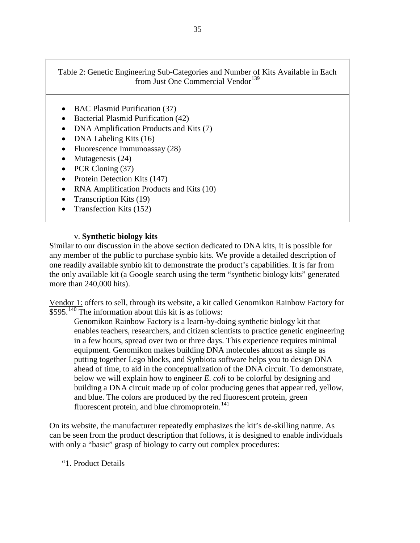Table 2: Genetic Engineering Sub-Categories and Number of Kits Available in Each from Just One Commercial Vendor<sup>[139](#page-70-3)</sup>

- BAC Plasmid Purification (37)
- Bacterial Plasmid Purification (42)
- DNA Amplification Products and Kits (7)
- DNA Labeling Kits (16)
- Fluorescence Immunoassay (28)
- Mutagenesis (24)
- PCR Cloning (37)
- Protein Detection Kits (147)
- RNA Amplification Products and Kits (10)
- Transcription Kits (19)
- Transfection Kits (152)

## v. **Synthetic biology kits**

Similar to our discussion in the above section dedicated to DNA kits, it is possible for any member of the public to purchase synbio kits. We provide a detailed description of one readily available synbio kit to demonstrate the product's capabilities. It is far from the only available kit (a Google search using the term "synthetic biology kits" generated more than 240,000 hits).

Vendor 1: offers to sell, through its website, a kit called Genomikon Rainbow Factory for  $\overline{$595.^{\overline{140}}$}$  $\overline{$595.^{\overline{140}}$}$  $\overline{$595.^{\overline{140}}$}$  The information about this kit is as follows:

Genomikon Rainbow Factory is a learn-by-doing synthetic biology kit that enables teachers, researchers, and citizen scientists to practice genetic engineering in a few hours, spread over two or three days. This experience requires minimal equipment. Genomikon makes building DNA molecules almost as simple as putting together Lego blocks, and Synbiota software helps you to design DNA ahead of time, to aid in the conceptualization of the DNA circuit. To demonstrate, below we will explain how to engineer *E. coli* to be colorful by designing and building a DNA circuit made up of color producing genes that appear red, yellow, and blue. The colors are produced by the red fluorescent protein, green fluorescent protein, and blue chromoprotein.<sup>[141](#page-70-22)</sup>

On its website, the manufacturer repeatedly emphasizes the kit's de-skilling nature. As can be seen from the product description that follows, it is designed to enable individuals with only a "basic" grasp of biology to carry out complex procedures:

## "1. Product Details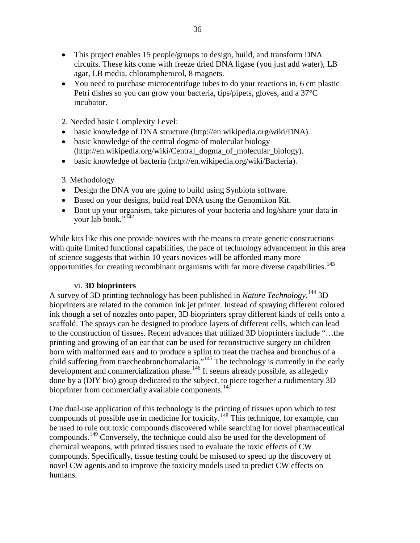- This project enables 15 people/groups to design, build, and transform DNA circuits. These kits come with freeze dried DNA ligase (you just add water), LB agar, LB media, chloramphenicol, 8 magnets.
- You need to purchase microcentrifuge tubes to do your reactions in, 6 cm plastic Petri dishes so you can grow your bacteria, tips/pipets, gloves, and a 37°C incubator.
- 2. Needed basic Complexity Level:
- basic knowledge of DNA structure (http://en.wikipedia.org/wiki/DNA).
- basic knowledge of the central dogma of molecular biology (http://en.wikipedia.org/wiki/Central\_dogma\_of\_molecular\_biology).
- basic knowledge of bacteria (http://en.wikipedia.org/wiki/Bacteria).

## 3. Methodology

- Design the DNA you are going to build using Synbiota software.
- Based on your designs, build real DNA using the Genomikon Kit.
- Boot up your organism, take pictures of your bacteria and log/share your data in your lab book."<sup>[142](#page-70-5)</sup>

While kits like this one provide novices with the means to create genetic constructions with quite limited functional capabilities, the pace of technology advancement in this area of science suggests that within 10 years novices will be afforded many more opportunities for creating recombinant organisms with far more diverse capabilities.<sup>[143](#page-70-23)</sup>

## vi. **3D bioprinters**

A survey of 3D printing technology has been published in *Nature Technology*. [144](#page-70-24) 3D bioprinters are related to the common ink jet printer. Instead of spraying different colored ink though a set of nozzles onto paper, 3D bioprinters spray different kinds of cells onto a scaffold. The sprays can be designed to produce layers of different cells, which can lead to the construction of tissues. Recent advances that utilized 3D bioprinters include "…the printing and growing of an ear that can be used for reconstructive surgery on children born with malformed ears and to produce a splint to treat the trachea and bronchus of a child suffering from traecheobronchomalacia."<sup>[145](#page-70-25)</sup> The technology is currently in the early development and commercialization phase.<sup>[146](#page-70-44)</sup> It seems already possible, as allegedly done by a (DIY bio) group dedicated to the subject, to piece together a rudimentary 3D bioprinter from commercially available components.<sup>[147](#page-70-37)</sup>

One dual-use application of this technology is the printing of tissues upon which to test compounds of possible use in medicine for toxicity.<sup>[148](#page-70-38)</sup> This technique, for example, can be used to rule out toxic compounds discovered while searching for novel pharmaceutical compounds.[149](#page-70-39) Conversely, the technique could also be used for the development of chemical weapons, with printed tissues used to evaluate the toxic effects of CW compounds. Specifically, tissue testing could be misused to speed up the discovery of novel CW agents and to improve the toxicity models used to predict CW effects on humans.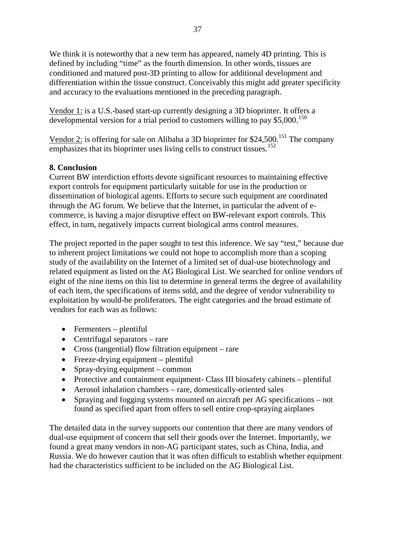We think it is noteworthy that a new term has appeared, namely 4D printing. This is defined by including "time" as the fourth dimension. In other words, tissues are conditioned and matured post-3D printing to allow for additional development and differentiation within the tissue construct. Conceivably this might add greater specificity and accuracy to the evaluations mentioned in the preceding paragraph.

Vendor 1: is a U.S.-based start-up currently designing a 3D bioprinter. It offers a developmental version for a trial period to customers willing to pay  $$5,000$ .<sup>[150](#page-70-11)</sup>

Vendor 2: is offering for sale on Alibaba a 3D bioprinter for \$24,500.<sup>[151](#page-70-13)</sup> The company emphasizes that its bioprinter uses living cells to construct tissues.<sup>[152](#page-70-14)</sup>

# **8. Conclusion**

Current BW interdiction efforts devote significant resources to maintaining effective export controls for equipment particularly suitable for use in the production or dissemination of biological agents. Efforts to secure such equipment are coordinated through the AG forum. We believe that the Internet, in particular the advent of ecommerce, is having a major disruptive effect on BW-relevant export controls. This effect, in turn, negatively impacts current biological arms control measures.

The project reported in the paper sought to test this inference. We say "test," because due to inherent project limitations we could not hope to accomplish more than a scoping study of the availability on the Internet of a limited set of dual-use biotechnology and related equipment as listed on the AG Biological List. We searched for online vendors of eight of the nine items on this list to determine in general terms the degree of availability of each item, the specifications of items sold, and the degree of vendor vulnerability to exploitation by would-be proliferators. The eight categories and the broad estimate of vendors for each was as follows:

- Fermenters plentiful
- Centrifugal separators rare
- Cross (tangential) flow filtration equipment rare
- Freeze-drying equipment plentiful
- Spray-drying equipment common
- Protective and containment equipment- Class III biosafety cabinets plentiful
- Aerosol inhalation chambers rare, domestically-oriented sales
- Spraying and fogging systems mounted on aircraft per AG specifications not found as specified apart from offers to sell entire crop-spraying airplanes

The detailed data in the survey supports our contention that there are many vendors of dual-use equipment of concern that sell their goods over the Internet. Importantly, we found a great many vendors in non-AG participant states, such as China, India, and Russia. We do however caution that it was often difficult to establish whether equipment had the characteristics sufficient to be included on the AG Biological List.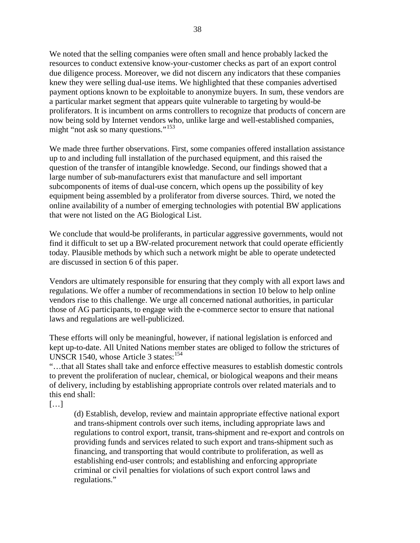We noted that the selling companies were often small and hence probably lacked the resources to conduct extensive know-your-customer checks as part of an export control due diligence process. Moreover, we did not discern any indicators that these companies knew they were selling dual-use items. We highlighted that these companies advertised payment options known to be exploitable to anonymize buyers. In sum, these vendors are a particular market segment that appears quite vulnerable to targeting by would-be proliferators. It is incumbent on arms controllers to recognize that products of concern are now being sold by Internet vendors who, unlike large and well-established companies, might "not ask so many questions."<sup>[153](#page-70-45)</sup>

We made three further observations. First, some companies offered installation assistance up to and including full installation of the purchased equipment, and this raised the question of the transfer of intangible knowledge. Second, our findings showed that a large number of sub-manufacturers exist that manufacture and sell important subcomponents of items of dual-use concern, which opens up the possibility of key equipment being assembled by a proliferator from diverse sources. Third, we noted the online availability of a number of emerging technologies with potential BW applications that were not listed on the AG Biological List.

We conclude that would-be proliferants, in particular aggressive governments, would not find it difficult to set up a BW-related procurement network that could operate efficiently today. Plausible methods by which such a network might be able to operate undetected are discussed in section 6 of this paper.

Vendors are ultimately responsible for ensuring that they comply with all export laws and regulations. We offer a number of recommendations in section 10 below to help online vendors rise to this challenge. We urge all concerned national authorities, in particular those of AG participants, to engage with the e-commerce sector to ensure that national laws and regulations are well-publicized.

These efforts will only be meaningful, however, if national legislation is enforced and kept up-to-date. All United Nations member states are obliged to follow the strictures of UNSCR [154](#page-70-16)0, whose Article 3 states: $154$ 

"…that all States shall take and enforce effective measures to establish domestic controls to prevent the proliferation of nuclear, chemical, or biological weapons and their means of delivery, including by establishing appropriate controls over related materials and to this end shall:

[…]

(d) Establish, develop, review and maintain appropriate effective national export and trans-shipment controls over such items, including appropriate laws and regulations to control export, transit, trans-shipment and re-export and controls on providing funds and services related to such export and trans-shipment such as financing, and transporting that would contribute to proliferation, as well as establishing end-user controls; and establishing and enforcing appropriate criminal or civil penalties for violations of such export control laws and regulations."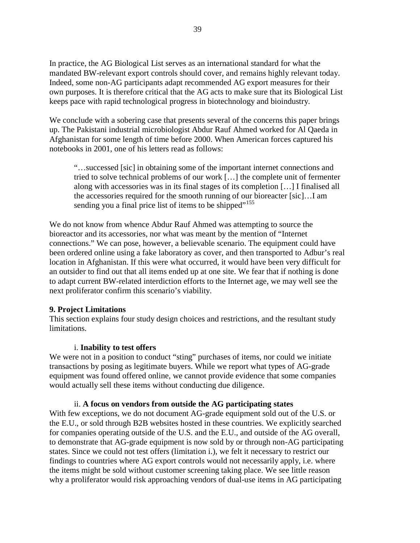In practice, the AG Biological List serves as an international standard for what the mandated BW-relevant export controls should cover, and remains highly relevant today. Indeed, some non-AG participants adapt recommended AG export measures for their own purposes. It is therefore critical that the AG acts to make sure that its Biological List keeps pace with rapid technological progress in biotechnology and bioindustry.

We conclude with a sobering case that presents several of the concerns this paper brings up. The Pakistani industrial microbiologist Abdur Rauf Ahmed worked for Al Qaeda in Afghanistan for some length of time before 2000. When American forces captured his notebooks in 2001, one of his letters read as follows:

"…successed [sic] in obtaining some of the important internet connections and tried to solve technical problems of our work […] the complete unit of fermenter along with accessories was in its final stages of its completion […] I finalised all the accessories required for the smooth running of our bioreacter [sic]…I am sending you a final price list of items to be shipped"<sup>[155](#page-70-0)</sup>

We do not know from whence Abdur Rauf Ahmed was attempting to source the bioreactor and its accessories, nor what was meant by the mention of "Internet connections." We can pose, however, a believable scenario. The equipment could have been ordered online using a fake laboratory as cover, and then transported to Adbur's real location in Afghanistan. If this were what occurred, it would have been very difficult for an outsider to find out that all items ended up at one site. We fear that if nothing is done to adapt current BW-related interdiction efforts to the Internet age, we may well see the next proliferator confirm this scenario's viability.

#### **9. Project Limitations**

This section explains four study design choices and restrictions, and the resultant study limitations.

#### i. **Inability to test offers**

We were not in a position to conduct "sting" purchases of items, nor could we initiate transactions by posing as legitimate buyers. While we report what types of AG-grade equipment was found offered online, we cannot provide evidence that some companies would actually sell these items without conducting due diligence.

#### ii. **A focus on vendors from outside the AG participating states**

With few exceptions, we do not document AG-grade equipment sold out of the U.S. or the E.U., or sold through B2B websites hosted in these countries. We explicitly searched for companies operating outside of the U.S. and the E.U., and outside of the AG overall, to demonstrate that AG-grade equipment is now sold by or through non-AG participating states. Since we could not test offers (limitation i.), we felt it necessary to restrict our findings to countries where AG export controls would not necessarily apply, i.e. where the items might be sold without customer screening taking place. We see little reason why a proliferator would risk approaching vendors of dual-use items in AG participating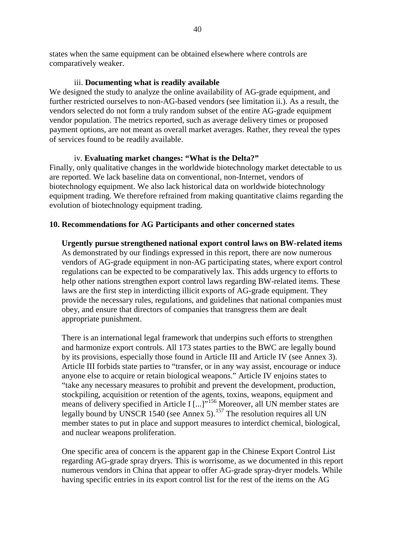states when the same equipment can be obtained elsewhere where controls are comparatively weaker.

## iii. **Documenting what is readily available**

We designed the study to analyze the online availability of AG-grade equipment, and further restricted ourselves to non-AG-based vendors (see limitation ii.). As a result, the vendors selected do not form a truly random subset of the entire AG-grade equipment vendor population. The metrics reported, such as average delivery times or proposed payment options, are not meant as overall market averages. Rather, they reveal the types of services found to be readily available.

## iv. **Evaluating market changes: "What is the Delta?"**

Finally, only qualitative changes in the worldwide biotechnology market detectable to us are reported. We lack baseline data on conventional, non-Internet, vendors of biotechnology equipment. We also lack historical data on worldwide biotechnology equipment trading. We therefore refrained from making quantitative claims regarding the evolution of biotechnology equipment trading.

## **10. Recommendations for AG Participants and other concerned states**

**Urgently pursue strengthened national export control laws on BW-related items** As demonstrated by our findings expressed in this report, there are now numerous vendors of AG-grade equipment in non-AG participating states, where export control regulations can be expected to be comparatively lax. This adds urgency to efforts to help other nations strengthen export control laws regarding BW-related items. These laws are the first step in interdicting illicit exports of AG-grade equipment. They provide the necessary rules, regulations, and guidelines that national companies must obey, and ensure that directors of companies that transgress them are dealt appropriate punishment.

There is an international legal framework that underpins such efforts to strengthen and harmonize export controls. All 173 states parties to the BWC are legally bound by its provisions, especially those found in Article III and Article IV (see Annex 3). Article III forbids state parties to "transfer, or in any way assist, encourage or induce anyone else to acquire or retain biological weapons." Article IV enjoins states to "take any necessary measures to prohibit and prevent the development, production, stockpiling, acquisition or retention of the agents, toxins, weapons, equipment and means of delivery specified in Article I [...]"<sup>[156](#page-70-18)</sup> Moreover, all UN member states are legally bound by UNSCR 1540 (see Annex 5).<sup>[157](#page-70-2)</sup> The resolution requires all UN member states to put in place and support measures to interdict chemical, biological, and nuclear weapons proliferation.

One specific area of concern is the apparent gap in the Chinese Export Control List regarding AG-grade spray dryers. This is worrisome, as we documented in this report numerous vendors in China that appear to offer AG-grade spray-dryer models. While having specific entries in its export control list for the rest of the items on the AG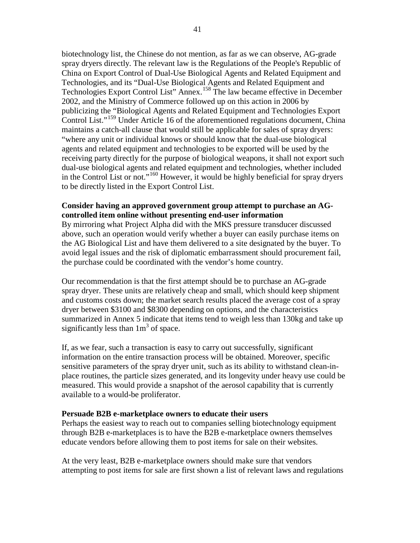biotechnology list, the Chinese do not mention, as far as we can observe, AG-grade spray dryers directly. The relevant law is the Regulations of the People's Republic of China on Export Control of Dual-Use Biological Agents and Related Equipment and Technologies, and its "Dual-Use Biological Agents and Related Equipment and Technologies Export Control List" Annex.[158](#page-70-3) The law became effective in December 2002, and the Ministry of Commerce followed up on this action in 2006 by publicizing the "Biological Agents and Related Equipment and Technologies Export Control List."[159](#page-70-6) Under Article 16 of the aforementioned regulations document, China maintains a catch-all clause that would still be applicable for sales of spray dryers: "where any unit or individual knows or should know that the dual-use biological agents and related equipment and technologies to be exported will be used by the receiving party directly for the purpose of biological weapons, it shall not export such dual-use biological agents and related equipment and technologies, whether included in the Control List or not."[160](#page-70-25) However, it would be highly beneficial for spray dryers to be directly listed in the Export Control List.

#### **Consider having an approved government group attempt to purchase an AGcontrolled item online without presenting end-user information**

By mirroring what Project Alpha did with the MKS pressure transducer discussed above, such an operation would verify whether a buyer can easily purchase items on the AG Biological List and have them delivered to a site designated by the buyer. To avoid legal issues and the risk of diplomatic embarrassment should procurement fail, the purchase could be coordinated with the vendor's home country.

Our recommendation is that the first attempt should be to purchase an AG-grade spray dryer. These units are relatively cheap and small, which should keep shipment and customs costs down; the market search results placed the average cost of a spray dryer between \$3100 and \$8300 depending on options, and the characteristics summarized in Annex 5 indicate that items tend to weigh less than 130kg and take up significantly less than  $1m<sup>3</sup>$  of space.

If, as we fear, such a transaction is easy to carry out successfully, significant information on the entire transaction process will be obtained. Moreover, specific sensitive parameters of the spray dryer unit, such as its ability to withstand clean-inplace routines, the particle sizes generated, and its longevity under heavy use could be measured. This would provide a snapshot of the aerosol capability that is currently available to a would-be proliferator.

#### **Persuade B2B e-marketplace owners to educate their users**

Perhaps the easiest way to reach out to companies selling biotechnology equipment through B2B e-marketplaces is to have the B2B e-marketplace owners themselves educate vendors before allowing them to post items for sale on their websites.

At the very least, B2B e-marketplace owners should make sure that vendors attempting to post items for sale are first shown a list of relevant laws and regulations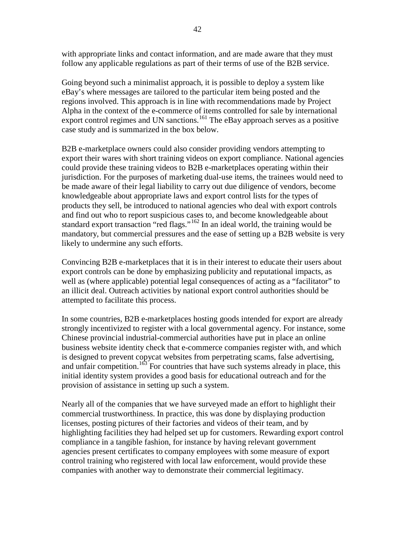with appropriate links and contact information, and are made aware that they must follow any applicable regulations as part of their terms of use of the B2B service.

Going beyond such a minimalist approach, it is possible to deploy a system like eBay's where messages are tailored to the particular item being posted and the regions involved. This approach is in line with recommendations made by Project Alpha in the context of the e-commerce of items controlled for sale by international export control regimes and UN sanctions.<sup>[161](#page-70-42)</sup> The eBay approach serves as a positive case study and is summarized in the box below.

B2B e-marketplace owners could also consider providing vendors attempting to export their wares with short training videos on export compliance. National agencies could provide these training videos to B2B e-marketplaces operating within their jurisdiction. For the purposes of marketing dual-use items, the trainees would need to be made aware of their legal liability to carry out due diligence of vendors, become knowledgeable about appropriate laws and export control lists for the types of products they sell, be introduced to national agencies who deal with export controls and find out who to report suspicious cases to, and become knowledgeable about standard export transaction "red flags."<sup>[162](#page-70-30)</sup> In an ideal world, the training would be mandatory, but commercial pressures and the ease of setting up a B2B website is very likely to undermine any such efforts.

Convincing B2B e-marketplaces that it is in their interest to educate their users about export controls can be done by emphasizing publicity and reputational impacts, as well as (where applicable) potential legal consequences of acting as a "facilitator" to an illicit deal. Outreach activities by national export control authorities should be attempted to facilitate this process.

In some countries, B2B e-marketplaces hosting goods intended for export are already strongly incentivized to register with a local governmental agency. For instance, some Chinese provincial industrial-commercial authorities have put in place an online business website identity check that e-commerce companies register with, and which is designed to prevent copycat websites from perpetrating scams, false advertising, and unfair competition.<sup>[163](#page-70-9)</sup> For countries that have such systems already in place, this initial identity system provides a good basis for educational outreach and for the provision of assistance in setting up such a system.

Nearly all of the companies that we have surveyed made an effort to highlight their commercial trustworthiness. In practice, this was done by displaying production licenses, posting pictures of their factories and videos of their team, and by highlighting facilities they had helped set up for customers. Rewarding export control compliance in a tangible fashion, for instance by having relevant government agencies present certificates to company employees with some measure of export control training who registered with local law enforcement, would provide these companies with another way to demonstrate their commercial legitimacy.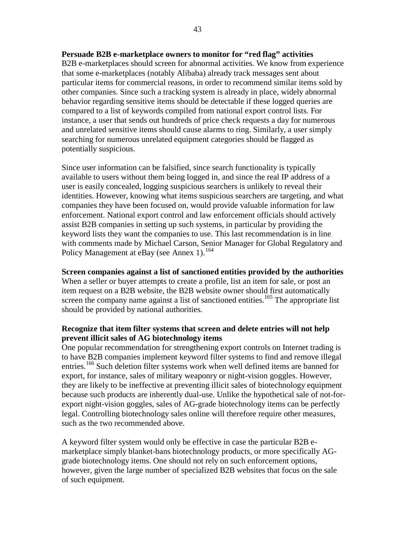#### **Persuade B2B e-marketplace owners to monitor for "red flag" activities**

B2B e-marketplaces should screen for abnormal activities. We know from experience that some e-marketplaces (notably Alibaba) already track messages sent about particular items for commercial reasons, in order to recommend similar items sold by other companies. Since such a tracking system is already in place, widely abnormal behavior regarding sensitive items should be detectable if these logged queries are compared to a list of keywords compiled from national export control lists. For instance, a user that sends out hundreds of price check requests a day for numerous and unrelated sensitive items should cause alarms to ring. Similarly, a user simply searching for numerous unrelated equipment categories should be flagged as potentially suspicious.

Since user information can be falsified, since search functionality is typically available to users without them being logged in, and since the real IP address of a user is easily concealed, logging suspicious searchers is unlikely to reveal their identities. However, knowing what items suspicious searchers are targeting, and what companies they have been focused on, would provide valuable information for law enforcement. National export control and law enforcement officials should actively assist B2B companies in setting up such systems, in particular by providing the keyword lists they want the companies to use. This last recommendation is in line with comments made by Michael Carson, Senior Manager for Global Regulatory and Policy Management at eBay (see Annex 1).<sup>[164](#page-70-26)</sup>

#### **Screen companies against a list of sanctioned entities provided by the authorities**

When a seller or buyer attempts to create a profile, list an item for sale, or post an item request on a B2B website, the B2B website owner should first automatically screen the company name against a list of sanctioned entities.<sup>[165](#page-70-27)</sup> The appropriate list should be provided by national authorities.

## **Recognize that item filter systems that screen and delete entries will not help prevent illicit sales of AG biotechnology items**

One popular recommendation for strengthening export controls on Internet trading is to have B2B companies implement keyword filter systems to find and remove illegal entries.[166](#page-70-12) Such deletion filter systems work when well defined items are banned for export, for instance, sales of military weaponry or night-vision goggles. However, they are likely to be ineffective at preventing illicit sales of biotechnology equipment because such products are inherently dual-use. Unlike the hypothetical sale of not-forexport night-vision goggles, sales of AG-grade biotechnology items can be perfectly legal. Controlling biotechnology sales online will therefore require other measures, such as the two recommended above.

A keyword filter system would only be effective in case the particular B2B emarketplace simply blanket-bans biotechnology products, or more specifically AGgrade biotechnology items. One should not rely on such enforcement options, however, given the large number of specialized B2B websites that focus on the sale of such equipment.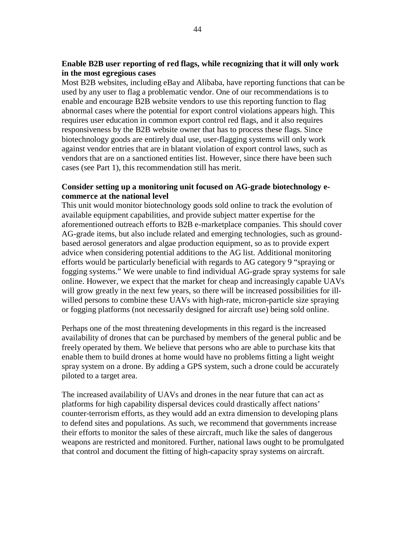## **Enable B2B user reporting of red flags, while recognizing that it will only work in the most egregious cases**

Most B2B websites, including eBay and Alibaba, have reporting functions that can be used by any user to flag a problematic vendor. One of our recommendations is to enable and encourage B2B website vendors to use this reporting function to flag abnormal cases where the potential for export control violations appears high. This requires user education in common export control red flags, and it also requires responsiveness by the B2B website owner that has to process these flags. Since biotechnology goods are entirely dual use, user-flagging systems will only work against vendor entries that are in blatant violation of export control laws, such as vendors that are on a sanctioned entities list. However, since there have been such cases (see Part 1), this recommendation still has merit.

# **Consider setting up a monitoring unit focused on AG-grade biotechnology ecommerce at the national level**

This unit would monitor biotechnology goods sold online to track the evolution of available equipment capabilities, and provide subject matter expertise for the aforementioned outreach efforts to B2B e-marketplace companies. This should cover AG-grade items, but also include related and emerging technologies, such as groundbased aerosol generators and algae production equipment, so as to provide expert advice when considering potential additions to the AG list. Additional monitoring efforts would be particularly beneficial with regards to AG category 9 "spraying or fogging systems." We were unable to find individual AG-grade spray systems for sale online. However, we expect that the market for cheap and increasingly capable UAVs will grow greatly in the next few years, so there will be increased possibilities for illwilled persons to combine these UAVs with high-rate, micron-particle size spraying or fogging platforms (not necessarily designed for aircraft use) being sold online.

Perhaps one of the most threatening developments in this regard is the increased availability of drones that can be purchased by members of the general public and be freely operated by them. We believe that persons who are able to purchase kits that enable them to build drones at home would have no problems fitting a light weight spray system on a drone. By adding a GPS system, such a drone could be accurately piloted to a target area.

The increased availability of UAVs and drones in the near future that can act as platforms for high capability dispersal devices could drastically affect nations' counter-terrorism efforts, as they would add an extra dimension to developing plans to defend sites and populations. As such, we recommend that governments increase their efforts to monitor the sales of these aircraft, much like the sales of dangerous weapons are restricted and monitored. Further, national laws ought to be promulgated that control and document the fitting of high-capacity spray systems on aircraft.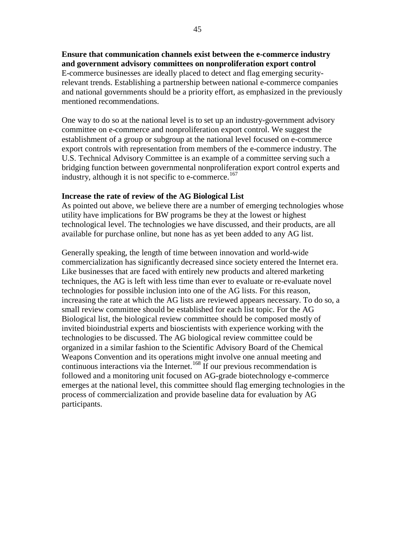**Ensure that communication channels exist between the e-commerce industry and government advisory committees on nonproliferation export control** E-commerce businesses are ideally placed to detect and flag emerging securityrelevant trends. Establishing a partnership between national e-commerce companies and national governments should be a priority effort, as emphasized in the previously mentioned recommendations.

One way to do so at the national level is to set up an industry-government advisory committee on e-commerce and nonproliferation export control. We suggest the establishment of a group or subgroup at the national level focused on e-commerce export controls with representation from members of the e-commerce industry. The U.S. Technical Advisory Committee is an example of a committee serving such a bridging function between governmental nonproliferation export control experts and industry, although it is not specific to e-commerce.<sup>[167](#page-70-32)</sup>

#### **Increase the rate of review of the AG Biological List**

As pointed out above, we believe there are a number of emerging technologies whose utility have implications for BW programs be they at the lowest or highest technological level. The technologies we have discussed, and their products, are all available for purchase online, but none has as yet been added to any AG list.

Generally speaking, the length of time between innovation and world-wide commercialization has significantly decreased since society entered the Internet era. Like businesses that are faced with entirely new products and altered marketing techniques, the AG is left with less time than ever to evaluate or re-evaluate novel technologies for possible inclusion into one of the AG lists. For this reason, increasing the rate at which the AG lists are reviewed appears necessary. To do so, a small review committee should be established for each list topic. For the AG Biological list, the biological review committee should be composed mostly of invited bioindustrial experts and bioscientists with experience working with the technologies to be discussed. The AG biological review committee could be organized in a similar fashion to the Scientific Advisory Board of the Chemical Weapons Convention and its operations might involve one annual meeting and continuous interactions via the Internet.<sup>[168](#page-70-43)</sup> If our previous recommendation is followed and a monitoring unit focused on AG-grade biotechnology e-commerce emerges at the national level, this committee should flag emerging technologies in the process of commercialization and provide baseline data for evaluation by AG participants.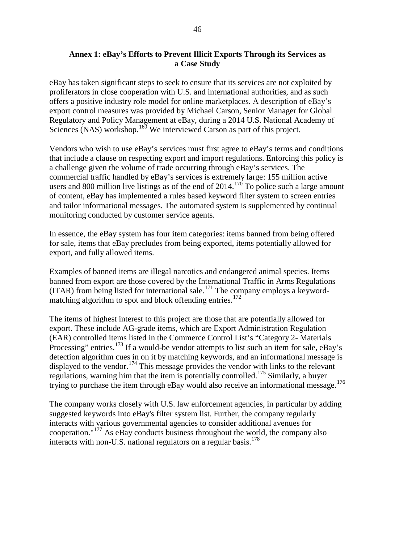# **Annex 1: eBay's Efforts to Prevent Illicit Exports Through its Services as a Case Study**

eBay has taken significant steps to seek to ensure that its services are not exploited by proliferators in close cooperation with U.S. and international authorities, and as such offers a positive industry role model for online marketplaces. A description of eBay's export control measures was provided by Michael Carson, Senior Manager for Global Regulatory and Policy Management at eBay, during a 2014 U.S. National Academy of Sciences (NAS) workshop.<sup>[169](#page-70-28)</sup> We interviewed Carson as part of this project.

Vendors who wish to use eBay's services must first agree to eBay's terms and conditions that include a clause on respecting export and import regulations. Enforcing this policy is a challenge given the volume of trade occurring through eBay's services. The commercial traffic handled by eBay's services is extremely large: 155 million active users and 800 million live listings as of the end of  $2014$ .<sup>[170](#page-70-34)</sup> To police such a large amount of content, eBay has implemented a rules based keyword filter system to screen entries and tailor informational messages. The automated system is supplemented by continual monitoring conducted by customer service agents.

In essence, the eBay system has four item categories: items banned from being offered for sale, items that eBay precludes from being exported, items potentially allowed for export, and fully allowed items.

Examples of banned items are illegal narcotics and endangered animal species. Items banned from export are those covered by the International Traffic in Arms Regulations  $(ITAR)$  from being listed for international sale.<sup>[171](#page-70-46)</sup> The company employs a keyword-matching algorithm to spot and block offending entries.<sup>[172](#page-70-14)</sup>

The items of highest interest to this project are those that are potentially allowed for export. These include AG-grade items, which are Export Administration Regulation (EAR) controlled items listed in the Commerce Control List's "Category 2- Materials Processing" entries.<sup>[173](#page-70-45)</sup> If a would-be vendor attempts to list such an item for sale, eBay's detection algorithm cues in on it by matching keywords, and an informational message is displayed to the vendor.<sup>[174](#page-70-29)</sup> This message provides the vendor with links to the relevant regulations, warning him that the item is potentially controlled.<sup>[175](#page-70-41)</sup> Similarly, a buyer trying to purchase the item through eBay would also receive an informational message.<sup>[176](#page-70-0)</sup>

The company works closely with U.S. law enforcement agencies, in particular by adding suggested keywords into eBay's filter system list. Further, the company regularly interacts with various governmental agencies to consider additional avenues for cooperation."<sup>[177](#page-70-35)</sup> As eBay conducts business throughout the world, the company also interacts with non-U.S. national regulators on a regular basis. [178](#page-70-17)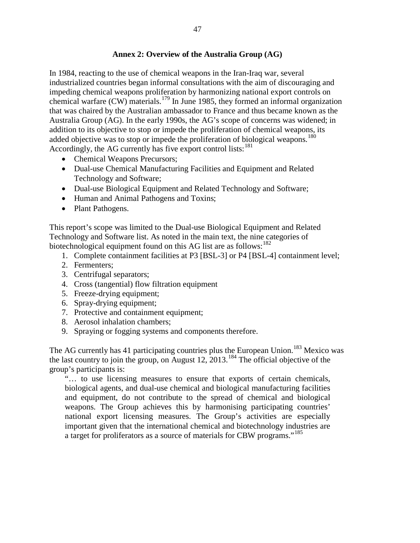# **Annex 2: Overview of the Australia Group (AG)**

In 1984, reacting to the use of chemical weapons in the Iran-Iraq war, several industrialized countries began informal consultations with the aim of discouraging and impeding chemical weapons proliferation by harmonizing national export controls on chemical warfare  $(CW)$  materials.<sup>[179](#page-70-1)</sup> In June 1985, they formed an informal organization that was chaired by the Australian ambassador to France and thus became known as the Australia Group (AG). In the early 1990s, the AG's scope of concerns was widened; in addition to its objective to stop or impede the proliferation of chemical weapons, its added objective was to stop or impede the proliferation of biological weapons.<sup>[180](#page-70-19)</sup> Accordingly, the AG currently has five export control lists:  $181$ 

- Chemical Weapons Precursors;
- Dual-use Chemical Manufacturing Facilities and Equipment and Related Technology and Software;
- Dual-use Biological Equipment and Related Technology and Software;
- Human and Animal Pathogens and Toxins;
- Plant Pathogens.

This report's scope was limited to the Dual-use Biological Equipment and Related Technology and Software list. As noted in the main text, the nine categories of biotechnological equipment found on this AG list are as follows:  $182$ 

- 1. Complete containment facilities at P3 [BSL-3] or P4 [BSL-4] containment level;
- 2. Fermenters;
- 3. Centrifugal separators;
- 4. Cross (tangential) flow filtration equipment
- 5. Freeze-drying equipment;
- 6. Spray-drying equipment;
- 7. Protective and containment equipment;
- 8. Aerosol inhalation chambers;
- 9. Spraying or fogging systems and components therefore.

The AG currently has 41 participating countries plus the European Union.<sup>[183](#page-70-3)</sup> Mexico was the last country to join the group, on August 12, 2013. [184](#page-70-48) The official objective of the group's participants is:

"… to use licensing measures to ensure that exports of certain chemicals, biological agents, and dual-use chemical and biological manufacturing facilities and equipment, do not contribute to the spread of chemical and biological weapons. The Group achieves this by harmonising participating countries' national export licensing measures. The Group's activities are especially important given that the international chemical and biotechnology industries are a target for proliferators as a source of materials for CBW programs."[185](#page-70-4)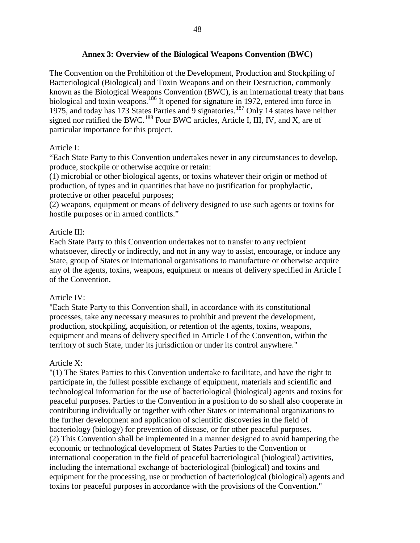The Convention on the Prohibition of the Development, Production and Stockpiling of Bacteriological (Biological) and Toxin Weapons and on their Destruction, commonly known as the Biological Weapons Convention (BWC), is an international treaty that bans biological and toxin weapons.<sup>[186](#page-70-22)</sup> It opened for signature in 1972, entered into force in 1975, and today has 173 States Parties and 9 signatories.<sup>[187](#page-70-42)</sup> Only 14 states have neither signed nor ratified the BWC.<sup>[188](#page-70-9)</sup> Four BWC articles, Article I, III, IV, and X, are of particular importance for this project.

# Article I:

"Each State Party to this Convention undertakes never in any circumstances to develop, produce, stockpile or otherwise acquire or retain:

(1) microbial or other biological agents, or toxins whatever their origin or method of production, of types and in quantities that have no justification for prophylactic, protective or other peaceful purposes;

(2) weapons, equipment or means of delivery designed to use such agents or toxins for hostile purposes or in armed conflicts."

# Article III:

Each State Party to this Convention undertakes not to transfer to any recipient whatsoever, directly or indirectly, and not in any way to assist, encourage, or induce any State, group of States or international organisations to manufacture or otherwise acquire any of the agents, toxins, weapons, equipment or means of delivery specified in Article I of the Convention.

## Article IV:

"Each State Party to this Convention shall, in accordance with its constitutional processes, take any necessary measures to prohibit and prevent the development, production, stockpiling, acquisition, or retention of the agents, toxins, weapons, equipment and means of delivery specified in Article I of the Convention, within the territory of such State, under its jurisdiction or under its control anywhere."

## Article X:

"(1) The States Parties to this Convention undertake to facilitate, and have the right to participate in, the fullest possible exchange of equipment, materials and scientific and technological information for the use of bacteriological (biological) agents and toxins for peaceful purposes. Parties to the Convention in a position to do so shall also cooperate in contributing individually or together with other States or international organizations to the further development and application of scientific discoveries in the field of bacteriology (biology) for prevention of disease, or for other peaceful purposes. (2) This Convention shall be implemented in a manner designed to avoid hampering the economic or technological development of States Parties to the Convention or international cooperation in the field of peaceful bacteriological (biological) activities, including the international exchange of bacteriological (biological) and toxins and equipment for the processing, use or production of bacteriological (biological) agents and toxins for peaceful purposes in accordance with the provisions of the Convention."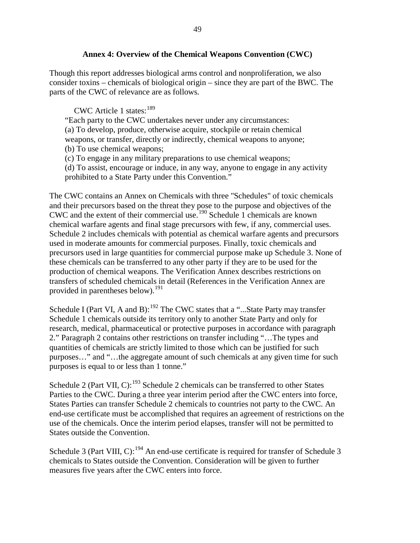## **Annex 4: Overview of the Chemical Weapons Convention (CWC)**

Though this report addresses biological arms control and nonproliferation, we also consider toxins – chemicals of biological origin – since they are part of the BWC. The parts of the CWC of relevance are as follows.

CWC Article 1 states:  $189$ 

"Each party to the CWC undertakes never under any circumstances: (a) To develop, produce, otherwise acquire, stockpile or retain chemical weapons, or transfer, directly or indirectly, chemical weapons to anyone; (b) To use chemical weapons;

(c) To engage in any military preparations to use chemical weapons;

(d) To assist, encourage or induce, in any way, anyone to engage in any activity prohibited to a State Party under this Convention."

The CWC contains an Annex on Chemicals with three "Schedules" of toxic chemicals and their precursors based on the threat they pose to the purpose and objectives of the CWC and the extent of their commercial use.<sup>[190](#page-70-10)</sup> Schedule 1 chemicals are known chemical warfare agents and final stage precursors with few, if any, commercial uses. Schedule 2 includes chemicals with potential as chemical warfare agents and precursors used in moderate amounts for commercial purposes. Finally, toxic chemicals and precursors used in large quantities for commercial purpose make up Schedule 3. None of these chemicals can be transferred to any other party if they are to be used for the production of chemical weapons. The Verification Annex describes restrictions on transfers of scheduled chemicals in detail (References in the Verification Annex are provided in parentheses below).<sup>[191](#page-70-11)</sup>

Schedule I (Part VI, A and B):  $192$  The CWC states that a "... State Party may transfer Schedule 1 chemicals outside its territory only to another State Party and only for research, medical, pharmaceutical or protective purposes in accordance with paragraph 2." Paragraph 2 contains other restrictions on transfer including "…The types and quantities of chemicals are strictly limited to those which can be justified for such purposes…" and "…the aggregate amount of such chemicals at any given time for such purposes is equal to or less than 1 tonne."

Schedule 2 (Part VII, C): $^{193}$  $^{193}$  $^{193}$  Schedule 2 chemicals can be transferred to other States Parties to the CWC. During a three year interim period after the CWC enters into force, States Parties can transfer Schedule 2 chemicals to countries not party to the CWC. An end-use certificate must be accomplished that requires an agreement of restrictions on the use of the chemicals. Once the interim period elapses, transfer will not be permitted to States outside the Convention.

Schedule 3 (Part VIII, C):<sup>[194](#page-70-15)</sup> An end-use certificate is required for transfer of Schedule 3 chemicals to States outside the Convention. Consideration will be given to further measures five years after the CWC enters into force.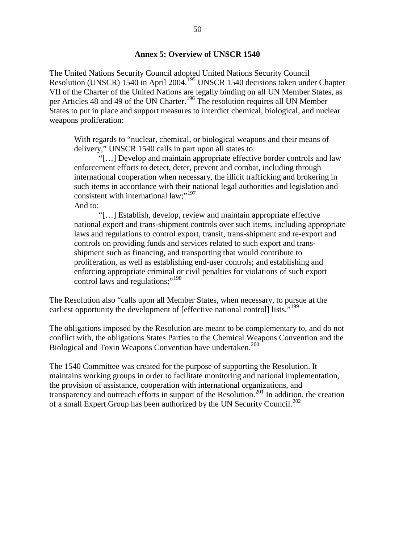#### **Annex 5: Overview of UNSCR 1540**

The United Nations Security Council adopted United Nations Security Council Resolution (UNSCR) 1540 in April 2004.[195](#page-70-41) UNSCR 1540 decisions taken under Chapter VII of the Charter of the United Nations are legally binding on all UN Member States, as per Articles 48 and 49 of the UN Charter.<sup>[196](#page-70-35)</sup> The resolution requires all UN Member States to put in place and support measures to interdict chemical, biological, and nuclear weapons proliferation:

With regards to "nuclear, chemical, or biological weapons and their means of delivery," UNSCR 1540 calls in part upon all states to:

"[…] Develop and maintain appropriate effective border controls and law enforcement efforts to detect, deter, prevent and combat, including through international cooperation when necessary, the illicit trafficking and brokering in such items in accordance with their national legal authorities and legislation and consistent with international law;"<sup>[197](#page-70-1)</sup> And to:

"[…] Establish, develop, review and maintain appropriate effective national export and trans-shipment controls over such items, including appropriate laws and regulations to control export, transit, trans-shipment and re-export and controls on providing funds and services related to such export and transshipment such as financing, and transporting that would contribute to proliferation, as well as establishing end-user controls; and establishing and enforcing appropriate criminal or civil penalties for violations of such export control laws and regulations;"<sup>[198](#page-70-47)</sup>

The Resolution also "calls upon all Member States, when necessary, to pursue at the earliest opportunity the development of [effective national control] lists."<sup>[199](#page-70-20)</sup>

The obligations imposed by the Resolution are meant to be complementary to, and do not conflict with, the obligations States Parties to the Chemical Weapons Convention and the Biological and Toxin Weapons Convention have undertaken.<sup>[200](#page-70-2)</sup>

The 1540 Committee was created for the purpose of supporting the Resolution. It maintains working groups in order to facilitate monitoring and national implementation, the provision of assistance, cooperation with international organizations, and transparency and outreach efforts in support of the Resolution.<sup>[201](#page-70-36)</sup> In addition, the creation of a small Expert Group has been authorized by the UN Security Council.<sup>[202](#page-70-21)</sup>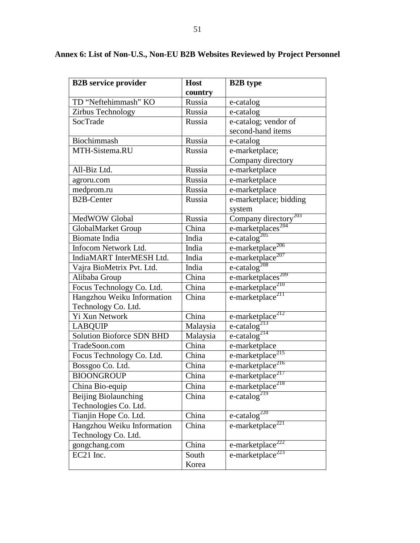| <b>B2B</b> service provider      | <b>Host</b> | <b>B2B</b> type                          |
|----------------------------------|-------------|------------------------------------------|
|                                  | country     |                                          |
| TD "Neftehimmash" KO             | Russia      | e-catalog                                |
| Zirbus Technology                | Russia      | e-catalog                                |
| SocTrade                         | Russia      | e-catalog; vendor of                     |
|                                  |             | second-hand items                        |
| Biochimmash                      | Russia      | e-catalog                                |
| MTH-Sistema.RU                   | Russia      | e-marketplace;                           |
|                                  |             | Company directory                        |
| All-Biz Ltd.                     | Russia      | e-marketplace                            |
| agroru.com                       | Russia      | e-marketplace                            |
| medprom.ru                       | Russia      | e-marketplace                            |
| <b>B2B-Center</b>                | Russia      | e-marketplace; bidding                   |
|                                  |             | system                                   |
| MedWOW Global                    | Russia      | Company directory <sup>203</sup>         |
| GlobalMarket Group               | China       | e-marketplaces <sup>204</sup>            |
| <b>Biomate</b> India             | India       | e-catalog <sup>205</sup>                 |
| Infocom Network Ltd.             | India       | e-marketplace $206$                      |
| IndiaMART InterMESH Ltd.         | India       | $e$ -marketplace <sup>207</sup>          |
| Vajra BioMetrix Pvt. Ltd.        | India       | e-catalog <sup>208</sup>                 |
| Alibaba Group                    | China       | e-marketplaces <sup>209</sup>            |
| Focus Technology Co. Ltd.        | China       | e-marketplace $210$                      |
| Hangzhou Weiku Information       | China       | e-marketplace <sup>211</sup>             |
| Technology Co. Ltd.              |             |                                          |
| Yi Xun Network                   | China       | $e$ -marketplace <sup>212</sup>          |
| <b>LABQUIP</b>                   | Malaysia    | e-catalog <sup><math>^{213}</math></sup> |
| <b>Solution Bioforce SDN BHD</b> | Malaysia    | $e$ -catalog <sup>214</sup>              |
| TradeSoon.com                    | China       | e-marketplace                            |
| Focus Technology Co. Ltd.        | China       | $e$ -marketplace <sup>215</sup>          |
| Bossgoo Co. Ltd.                 | China       | e-marketplace <sup>216</sup>             |
| <b>BIOONGROUP</b>                | China       | $e$ -marketplace <sup>217</sup>          |
| China Bio-equip                  | China       | e-marketplace <sup>218</sup>             |
| <b>Beijing Biolaunching</b>      | China       | e-catalog <sup><math>219</math></sup>    |
| Technologies Co. Ltd.            |             |                                          |
| Tianjin Hope Co. Ltd.            | China       | $e$ -catalog <sup>220</sup>              |
| Hangzhou Weiku Information       | China       | e-marketplace <sup>221</sup>             |
| Technology Co. Ltd.              |             |                                          |
| gongchang.com                    | China       | $e$ -marketplace <sup>222</sup>          |
| EC21 Inc.                        | South       | e-marketplace <sup>223</sup>             |
|                                  | Korea       |                                          |

# **Annex 6: List of Non-U.S., Non-EU B2B Websites Reviewed by Project Personnel**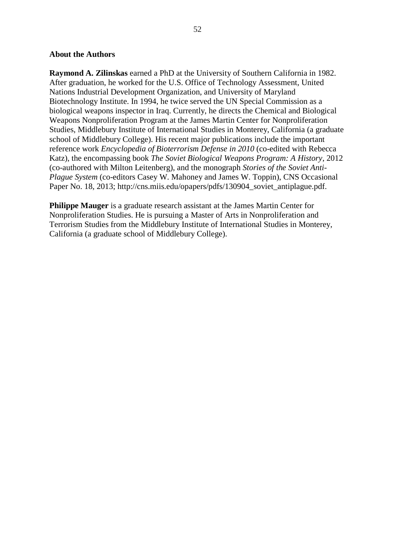#### **About the Authors**

**Raymond A. Zilinskas** earned a PhD at the University of Southern California in 1982. After graduation, he worked for the U.S. Office of Technology Assessment, United Nations Industrial Development Organization, and University of Maryland Biotechnology Institute. In 1994, he twice served the UN Special Commission as a biological weapons inspector in Iraq. Currently, he directs the Chemical and Biological Weapons Nonproliferation Program at the James Martin Center for Nonproliferation Studies, Middlebury Institute of International Studies in Monterey, California (a graduate school of Middlebury College). His recent major publications include the important reference work *Encyclopedia of Bioterrorism Defense in 2010* (co-edited with Rebecca Katz), the encompassing book *The Soviet Biological Weapons Program: A History*, 2012 (co-authored with Milton Leitenberg), and the monograph *Stories of the Soviet Anti-Plague System* (co-editors Casey W. Mahoney and James W. Toppin), CNS Occasional Paper No. 18, 2013; http://cns.miis.edu/opapers/pdfs/130904 soviet antiplague.pdf.

**Philippe Mauger** is a graduate research assistant at the James Martin Center for Nonproliferation Studies. He is pursuing a Master of Arts in Nonproliferation and Terrorism Studies from the Middlebury Institute of International Studies in Monterey, California (a graduate school of Middlebury College).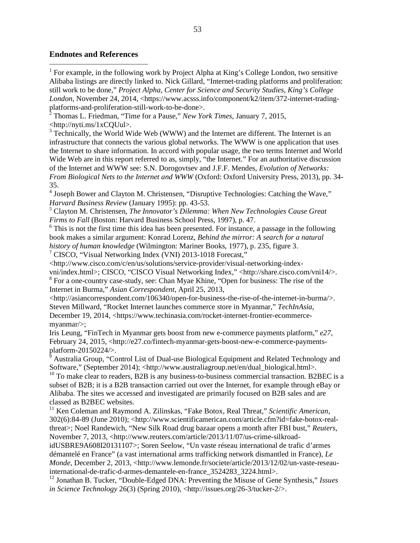#### **Endnotes and References**

<sup>1</sup> For example, in the following work by Project Alpha at King's College London, two sensitive Alibaba listings are directly linked to. Nick Gillard, "Internet-trading platforms and proliferation: still work to be done," *Project Alpha, Center for Science and Security Studies, King's College*  London, November 24, 2014, <https://www.acsss.info/component/k2/item/372-internet-tradingplatforms-and-proliferation-still-work-to-be-done>.

<sup>2</sup> Thomas L. Friedman, "Time for a Pause," *New York Times*, January 7, 2015, <http://nyti.ms/1xCQUul>.

<sup>3</sup> Technically, the World Wide Web (WWW) and the Internet are different. The Internet is an infrastructure that connects the various global networks. The WWW is one application that uses the Internet to share information. In accord with popular usage, the two terms Internet and World Wide Web are in this report referred to as, simply, "the Internet." For an authoritative discussion of the Internet and WWW see: S.N. Dorogovtsev and J.F.F. Mendes, *Evolution of Networks: From Biological Nets to the Internet and WWW* (Oxford: Oxford University Press, 2013), pp. 34- 35.

<sup>4</sup> Joseph Bower and Clayton M. Christensen, "Disruptive Technologies: Catching the Wave," *Harvard Business Review* (January 1995): pp. 43-53.

<sup>5</sup> Clayton M. Christensen, *The Innovator's Dilemma: When New Technologies Cause Great Firms to Fall* (Boston: Harvard Business School Press, 1997), p. 47.

 $6$  This is not the first time this idea has been presented. For instance, a passage in the following book makes a similar argument: Konrad Lorenz, *Behind the mirror: A search for a natural history of human knowledge* (Wilmington: Mariner Books, 1977), p. 235, figure 3.

 $\frac{7}{7}$  CISCO, "Visual Networking Index (VNI) 2013-1018 Forecast,"

<http://www.cisco.com/c/en/us/solutions/service-provider/visual-networking-index-

vni/index.html>; CISCO, "CISCO Visual Networking Index," <http://share.cisco.com/vni14/>. <sup>8</sup> For a one-country case-study, see: Chan Myae Khine, "Open for business: The rise of the Internet in Burma," *Asian Correspondent*, April 25, 2013,

<http://asiancorrespondent.com/106340/open-for-business-the-rise-of-the-internet-in-burma/>. Steven Millward, "Rocket Internet launches commerce store in Myanmar," *TechInAsia*, December 19, 2014, <https://www.techinasia.com/rocket-internet-frontier-ecommercemyanmar/>;

Iris Leung, "FinTech in Myanmar gets boost from new e-commerce payments platform," *e27*, February 24, 2015, <http://e27.co/fintech-myanmar-gets-boost-new-e-commerce-paymentsplatform-20150224/>.

<sup>9</sup> Australia Group, "Control List of Dual-use Biological Equipment and Related Technology and Software," (September 2014); <http://www.australiagroup.net/en/dual\_biological.html>.

 $10$  To make clear to readers, B2B is any business-to-business commercial transaction. B2BEC is a subset of B2B; it is a B2B transaction carried out over the Internet, for example through eBay or Alibaba. The sites we accessed and investigated are primarily focused on B2B sales and are classed as B2BEC websites.

<sup>11</sup> Ken Coleman and Raymond A. Zilinskas, "Fake Botox, Real Threat," *Scientific American*, 302(6):84-89 (June 2010); <http://www.scientificamerican.com/article.cfm?id=fake-botox-realthreat>; Noel Randewich, "New Silk Road drug bazaar opens a month after FBI bust," *Reuters*, November 7, 2013, <http://www.reuters.com/article/2013/11/07/us-crime-silkroad-

idUSBRE9A608I20131107>; Soren Seelow, "Un vaste réseau international de trafic d'armes démantelé en France" (a vast international arms trafficking network dismantled in France), *Le Monde*, December 2, 2013, <http://www.lemonde.fr/societe/article/2013/12/02/un-vaste-reseauinternational-de-trafic-d-armes-demantele-en-france\_3524283\_3224.html>.

<sup>12</sup> Jonathan B. Tucker, "Double-Edged DNA: Preventing the Misuse of Gene Synthesis," *Issues in Science Technology* 26(3) (Spring 2010), <http://issues.org/26-3/tucker-2/>.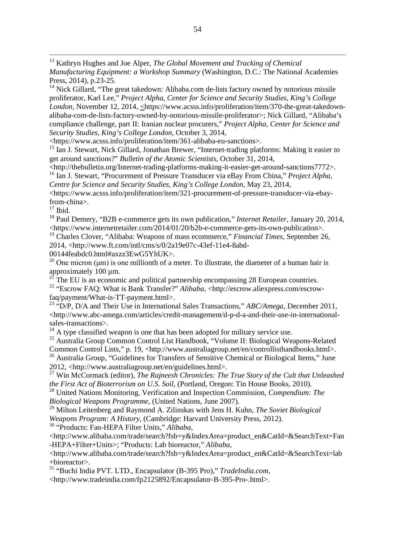<span id="page-59-0"></span> 13 Kathryn Hughes and Joe Alper, *The Global Movement and Tracking of Chemical Manufacturing Equipment: a Workshop Summary* (Washington, D.C.: The National Academies Press, 2014), p.23-25.

 $14$  Nick Gillard, "The great takedown: Alibaba.com de-lists factory owned by notorious missile proliferator, Karl Lee," *Project Alpha, Center for Science and Security Studies, King's College London*, November 12, 2014, <https://www.acsss.info/proliferation/item/370-the-great-takedownalibaba-com-de-lists-factory-owned-by-notorious-missile-proliferator>; Nick Gillard, "Alibaba's compliance challenge, part II: Iranian nuclear procurers," *Project Alpha, Center for Science and Security Studies, King's College London*, October 3, 2014,

<https://www.acsss.info/proliferation/item/361-alibaba-eu-sanctions>.

<sup>15</sup> Ian J. Stewart, Nick Gillard, Jonathan Brewer, "Internet-trading platforms: Making it easier to get around sanctions?" *Bulletin of the Atomic Scientists*, October 31, 2014,

<http://thebulletin.org/Internet-trading-platforms-making-it-easier-get-around-sanctions7772>. <sup>16</sup> Ian J. Stewart, "Procurement of Pressure Transducer via eBay From China," *Project Alpha,* 

*Centre for Science and Security Studies, King's College London*, May 23, 2014,

<https://www.acsss.info/proliferation/item/321-procurement-of-pressure-transducer-via-ebayfrom-china>.

 $17$  Ibid.

<sup>18</sup> Paul Demery, "B2B e-commerce gets its own publication," *Internet Retailer*, January 20, 2014, <https://www.internetretailer.com/2014/01/20/b2b-e-commerce-gets-its-own-publication>.

<sup>19</sup> Charles Clover, "Alibaba: Weapons of mass ecommerce," *Financial Times*, September 26,

2014, <http://www.ft.com/intl/cms/s/0/2a19e07c-43ef-11e4-8abd-

00144feabdc0.html#axzz3EwG5YhUK>.

<sup>20</sup> One micron ( $\mu$ m) is one millionth of a meter. To illustrate, the diameter of a human hair is approximately 100 µm.

<sup>21</sup> The EU is an economic and political partnership encompassing 28 European countries.

<sup>22</sup> "Escrow FAQ: What is Bank Transfer?" *Alibaba*, <http://escrow.aliexpress.com/escrowfaq/payment/What-is-TT-payment.html>.

<sup>23</sup> "D/P, D/A and Their Use in International Sales Transactions," *ABC/Amega*, December 2011, <http://www.abc-amega.com/articles/credit-management/d-p-d-a-and-their-use-in-internationalsales-transactions>.

 $24$  A type classified weapon is one that has been adopted for military service use.

<sup>25</sup> Australia Group Common Control List Handbook, "Volume II: Biological Weapons-Related Common Control Lists," p. 19, <http://www.australiagroup.net/en/controllisthandbooks.html>.

<sup>26</sup> Australia Group, "Guidelines for Transfers of Sensitive Chemical or Biological Items," June 2012, <http://www.australiagroup.net/en/guidelines.html>.

<sup>27</sup> Win McCormack (editor), *The Rajneesh Chronicles: The True Story of the Cult that Unleashed the First Act of Bioterrorism on U.S. Soil*, (Portland, Oregon: Tin House Books, 2010).

<sup>28</sup> United Nations Monitoring, Verification and Inspection Commission, *Compendium: The Biological Weapons Programme*, (United Nations, June 2007).

<sup>29</sup> Milton Leitenberg and Raymond A. Zilinskas with Jens H. Kuhn, *The Soviet Biological Weapons Program: A History*, (Cambridge: Harvard University Press, 2012).

<sup>30</sup> "Products: Fan-HEPA Filter Units," *Alibaba*,

<http://www.alibaba.com/trade/search?fsb=y&IndexArea=product\_en&CatId=&SearchText=Fan -HEPA+Filter+Units>; "Products: Lab bioreactor," *Alibaba*,

<http://www.alibaba.com/trade/search?fsb=y&IndexArea=product\_en&CatId=&SearchText=lab +bioreactor>.

<sup>31</sup> "Buchi India PVT. LTD., Encapsulator (B-395 Pro)," *TradeIndia.com*,

<http://www.tradeindia.com/fp2125892/Encapsulator-B-395-Pro-.html>.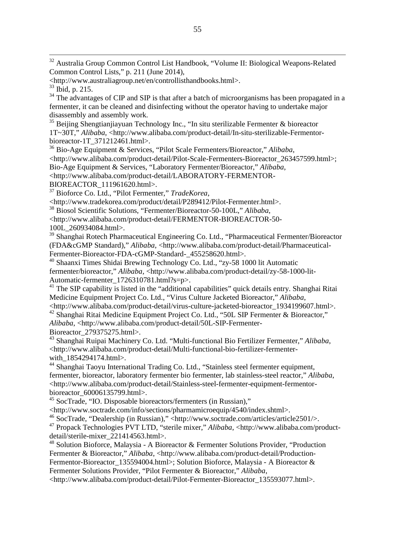32 Australia Group Common Control List Handbook, "Volume II: Biological Weapons-Related Common Control Lists," p. 211 (June 2014),

 $34$  The advantages of CIP and SIP is that after a batch of microorganisms has been propagated in a fermenter, it can be cleaned and disinfecting without the operator having to undertake major disassembly and assembly work.

<span id="page-60-1"></span><span id="page-60-0"></span><sup>35</sup> Beijing Shengtianjiayuan Technology Inc., "In situ sterilizable Fermenter & bioreactor 1T~30T," *Alibaba*, <http://www.alibaba.com/product-detail/In-situ-sterilizable-Fermentorbioreactor-1T\_371212461.html>.

<sup>36</sup> Bio-Age Equipment & Services, "Pilot Scale Fermenters/Bioreactor," *Alibaba*,

<http://www.alibaba.com/product-detail/Pilot-Scale-Fermenters-Bioreactor\_263457599.html>;

Bio-Age Equipment & Services, "Laboratory Fermenter/Bioreactor," *Alibaba*,

<http://www.alibaba.com/product-detail/LABORATORY-FERMENTOR-

BIOREACTOR\_111961620.html>.

<span id="page-60-2"></span><sup>37</sup> Bioforce Co. Ltd., "Pilot Fermenter," *TradeKorea*,

<http://www.tradekorea.com/product/detail/P289412/Pilot-Fermenter.html>.

<span id="page-60-3"></span><sup>38</sup> Biosol Scientific Solutions, "Fermenter/Bioreactor-50-100L," *Alibaba*,

<span id="page-60-4"></span><sup>39</sup> Shanghai Rotech Pharmaceutical Engineering Co. Ltd., "Pharmaceutical Fermenter/Bioreactor (FDA&cGMP Standard)," *Alibaba*, <http://www.alibaba.com/product-detail/Pharmaceutical-Fermenter-Bioreactor-FDA-cGMP-Standard-\_455258620.html>.

<sup>40</sup> Shaanxi Times Shidai Brewing Technology Co. Ltd., "zy-58 1000 lit Automatic fermenter/bioreactor," *Alibaba*, <http://www.alibaba.com/product-detail/zy-58-1000-lit-Automatic-fermenter\_1726310781.html?s=p>.

<sup>41</sup> The SIP capability is listed in the "additional capabilities" quick details entry. Shanghai Ritai Medicine Equipment Project Co. Ltd., "Virus Culture Jacketed Bioreactor," *Alibaba*,

<http://www.alibaba.com/product-detail/virus-culture-jacketed-bioreactor\_1934199607.html>.

<sup>42</sup> Shanghai Ritai Medicine Equipment Project Co. Ltd., "50L SIP Fermenter & Bioreactor," *Alibaba*, <http://www.alibaba.com/product-detail/50L-SIP-Fermenter-Bioreactor\_279375275.html>.

<sup>43</sup> Shanghai Ruipai Machinery Co. Ltd. "Multi-functional Bio Fertilizer Fermenter," *Alibaba*, <http://www.alibaba.com/product-detail/Multi-functional-bio-fertilizer-fermenterwith  $1854294174.html$ .

<sup>44</sup> Shanghai Taoyu International Trading Co. Ltd., "Stainless steel fermenter equipment, fermenter, bioreactor, laboratory fermenter bio fermenter, lab stainless-steel reactor," *Alibaba*, <http://www.alibaba.com/product-detail/Stainless-steel-fermenter-equipment-fermentorbioreactor\_60006135799.html>.

<sup>45</sup> SocTrade, "IO. Disposable bioreactors/fermenters (in Russian),"

<http://www.soctrade.com/info/sections/pharmamicroequip/4540/index.shtml>.

<sup>46</sup> SocTrade, "Dealership (in Russian)," <http://www.soctrade.com/articles/article2501/>.

<sup>47</sup> Propack Technologies PVT LTD, "sterile mixer," *Alibaba*, <http://www.alibaba.com/productdetail/sterile-mixer\_221414563.html>.

 $48$  Solution Bioforce, Malaysia - A Bioreactor & Fermenter Solutions Provider, "Production Fermenter & Bioreactor," *Alibaba*, <http://www.alibaba.com/product-detail/Production-Fermentor-Bioreactor 135594004.html>; Solution Bioforce, Malaysia - A Bioreactor & Fermenter Solutions Provider, "Pilot Fermenter & Bioreactor," *Alibaba*,

<http://www.alibaba.com/product-detail/Pilot-Fermenter-Bioreactor\_135593077.html>.

<sup>&</sup>lt;http://www.australiagroup.net/en/controllisthandbooks.html>.

 $33$  Ibid, p. 215.

<sup>&</sup>lt;http://www.alibaba.com/product-detail/FERMENTOR-BIOREACTOR-50- 100L\_260934084.html>.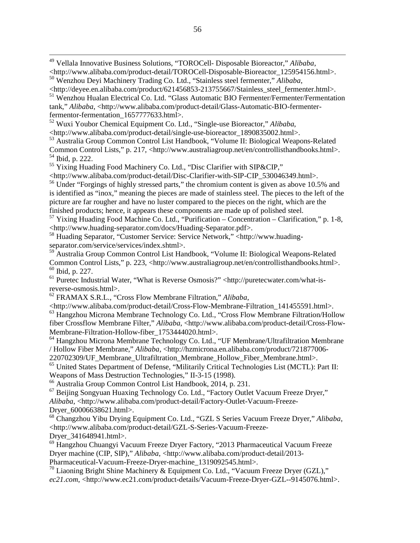49 Vellala Innovative Business Solutions, "TOROCell- Disposable Bioreactor," *Alibaba*, <http://www.alibaba.com/product-detail/TOROCell-Disposable-Bioreactor\_125954156.html>. <sup>50</sup> Wenzhou Deyi Machinery Trading Co. Ltd., "Stainless steel fermenter," *Alibaba*,

<http://deyee.en.alibaba.com/product/621456853-213755667/Stainless\_steel\_fermenter.html>. <sup>51</sup> Wenzhou Hualan Electrical Co. Ltd. "Glass Automatic BIO Fermenter/Fermenter/Fermentation tank," *Alibaba*, <http://www.alibaba.com/product-detail/Glass-Automatic-BIO-fermenterfermentor-fermentation 1657777633.html>.

<sup>52</sup> Wuxi Youbor Chemical Equipment Co. Ltd., "Single-use Bioreactor," *Alibaba*, <http://www.alibaba.com/product-detail/single-use-bioreactor\_1890835002.html>.

<sup>53</sup> Australia Group Common Control List Handbook, "Volume II: Biological Weapons-Related Common Control Lists," p. 217, <http://www.australiagroup.net/en/controllisthandbooks.html>. <sup>54</sup> Ibid, p. 222.

<sup>55</sup> Yixing Huading Food Machinery Co. Ltd., "Disc Clarifier with SIP&CIP,"

<http://www.alibaba.com/product-detail/Disc-Clarifier-with-SIP-CIP\_530046349.html>.

<sup>56</sup> Under "Forgings of highly stressed parts," the chromium content is given as above 10.5% and is identified as "inox," meaning the pieces are made of stainless steel. The pieces to the left of the picture are far rougher and have no luster compared to the pieces on the right, which are the finished products; hence, it appears these components are made up of polished steel.

<sup>57</sup> Yixing Huading Food Machine Co. Ltd., "Purification – Concentration – Clarification," p. 1-8, <http://www.huading-separator.com/docs/Huading-Separator.pdf>.

<sup>58</sup> Huading Separator, "Customer Service: Service Network," <http://www.huadingseparator.com/service/services/index.shtml>.

<span id="page-61-0"></span><sup>59</sup> Australia Group Common Control List Handbook, "Volume II: Biological Weapons-Related Common Control Lists," p. 223, <http://www.australiagroup.net/en/controllisthandbooks.html>. <sup>60</sup> Ibid, p. 227.

<span id="page-61-1"></span><sup>61</sup> Puretec Industrial Water, "What is Reverse Osmosis?" <http://puretecwater.com/what-isreverse-osmosis.html>.

<sup>62</sup> FRAMAX S.R.L., "Cross Flow Membrane Filtration," *Alibaba*,

<http://www.alibaba.com/product-detail/Cross-Flow-Membrane-Filtration\_141455591.html>. <sup>63</sup> Hangzhou Microna Membrane Technology Co. Ltd., "Cross Flow Membrane Filtration/Hollow fiber Crossflow Membrane Filter," *Alibaba*, <http://www.alibaba.com/product-detail/Cross-Flow-Membrane-Filtration-Hollow-fiber\_1753444020.html>.

<sup>64</sup> Hangzhou Microna Membrane Technology Co. Ltd., "UF Membrane/Ultrafiltration Membrane / Hollow Fiber Membrane," *Alibaba*, <http://hzmicrona.en.alibaba.com/product/721877006-

220702309/UF\_Membrane\_Ultrafiltration\_Membrane\_Hollow\_Fiber\_Membrane.html>.

<span id="page-61-2"></span><sup>65</sup> United States Department of Defense, "Militarily Critical Technologies List (MCTL): Part II: Weapons of Mass Destruction Technologies," II-3-15 (1998).

<sup>66</sup> Australia Group Common Control List Handbook, 2014, p. 231.

<sup>67</sup> Beijing Songyuan Huaxing Technology Co. Ltd., "Factory Outlet Vacuum Freeze Dryer," *Alibaba*, <http://www.alibaba.com/product-detail/Factory-Outlet-Vacuum-Freeze-Dryer\_60006638621.html>.

<sup>68</sup> Changzhou Yibu Drying Equipment Co. Ltd., "GZL S Series Vacuum Freeze Dryer," *Alibaba*, <http://www.alibaba.com/product-detail/GZL-S-Series-Vacuum-Freeze-Dryer\_341648941.html>.

<sup>69</sup> Hangzhou Chuangyi Vacuum Freeze Dryer Factory, "2013 Pharmaceutical Vacuum Freeze Dryer machine (CIP, SIP)," *Alibaba*, <http://www.alibaba.com/product-detail/2013- Pharmaceutical-Vacuum-Freeze-Dryer-machine\_1319092545.html>.

<sup>70</sup> Liaoning Bright Shine Machinery & Equipment Co. Ltd., "Vacuum Freeze Dryer (GZL)," *ec21.com*, <http://www.ec21.com/product-details/Vacuum-Freeze-Dryer-GZL--9145076.html>.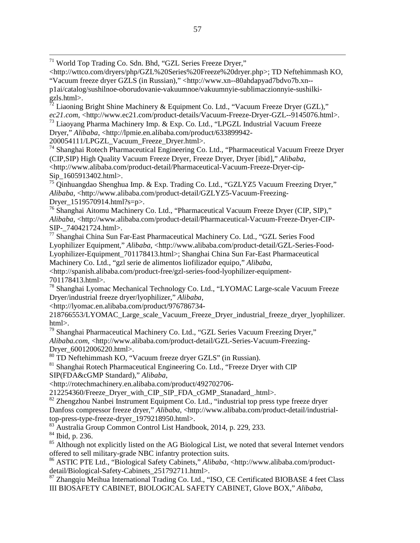71 World Top Trading Co. Sdn. Bhd, "GZL Series Freeze Dryer,"

<http://wttco.com/dryers/php/GZL%20Series%20Freeze%20dryer.php>; TD Neftehimmash KO, "Vacuum freeze dryer GZLS (in Russian)," <http://www.xn--80ahdapyad7bdvo7b.xn- p1ai/catalog/sushilnoe-oborudovanie-vakuumnoe/vakuumnyie-sublimaczionnyie-sushilkigzls.html>.

 $72$  Liaoning Bright Shine Machinery & Equipment Co. Ltd., "Vacuum Freeze Dryer (GZL)," *ec21.com*, <http://www.ec21.com/product-details/Vacuum-Freeze-Dryer-GZL--9145076.html>.

<sup>73</sup> Liaoyang Pharma Machinery Imp. & Exp. Co. Ltd., "LPGZL Industrial Vacuum Freeze Dryer," *Alibaba*, <http://lpmie.en.alibaba.com/product/633899942-

200054111/LPGZL\_Vacuum\_Freeze\_Dryer.html>.

<sup>74</sup> Shanghai Rotech Pharmaceutical Engineering Co. Ltd., "Pharmaceutical Vacuum Freeze Dryer (CIP,SIP) High Quality Vacuum Freeze Dryer, Freeze Dryer, Dryer [ibid]," *Alibaba*, <http://www.alibaba.com/product-detail/Pharmaceutical-Vacuum-Freeze-Dryer-cip-Sip\_1605913402.html>.

<sup>75</sup> Qinhuangdao Shenghua Imp. & Exp. Trading Co. Ltd., "GZLYZ5 Vacuum Freezing Dryer," *Alibaba*, <http://www.alibaba.com/product-detail/GZLYZ5-Vacuum-Freezing-Dryer\_1519570914.html?s=p>.

<sup>76</sup> Shanghai Aitomu Machinery Co. Ltd., "Pharmaceutical Vacuum Freeze Dryer (CIP, SIP)," *Alibaba*, <http://www.alibaba.com/product-detail/Pharmaceutical-Vacuum-Freeze-Dryer-CIP-SIP-\_740421724.html>.

77 Shanghai China Sun Far-East Pharmaceutical Machinery Co. Ltd., "GZL Series Food Lyophilizer Equipment," *Alibaba*, <http://www.alibaba.com/product-detail/GZL-Series-Food-Lyophilizer-Equipment\_701178413.html>; Shanghai China Sun Far-East Pharmaceutical Machinery Co. Ltd., "gzl serie de alimentos liofilizador equipo," *Alibaba*, <http://spanish.alibaba.com/product-free/gzl-series-food-lyophilizer-equipment-

701178413.html>.

<sup>78</sup> Shanghai Lyomac Mechanical Technology Co. Ltd., "LYOMAC Large-scale Vacuum Freeze Dryer/industrial freeze dryer/lyophilizer," *Alibaba*,

<http://lyomac.en.alibaba.com/product/976786734-

218766553/LYOMAC\_Large\_scale\_Vacuum\_Freeze\_Dryer\_industrial\_freeze\_dryer\_lyophilizer. html>.

 $79$  Shanghai Pharmaceutical Machinery Co. Ltd., "GZL Series Vacuum Freezing Dryer," Alibaba.com, <http://www.alibaba.com/product-detail/GZL-Series-Vacuum-Freezing-Dryer\_60012006220.html>.

<sup>80</sup> TD Neftehimmash KO, "Vacuum freeze dryer GZLS" (in Russian).

<sup>81</sup> Shanghai Rotech Pharmaceutical Engineering Co. Ltd., "Freeze Dryer with CIP SIP(FDA&cGMP Standard)," *Alibaba*,

<span id="page-62-0"></span><http://rotechmachinery.en.alibaba.com/product/492702706-

212254360/Freeze\_Dryer\_with\_CIP\_SIP\_FDA\_cGMP\_Stanadard\_.html>.

<span id="page-62-1"></span>82 Zhengzhou Nanbei Instrument Equipment Co. Ltd., "industrial top press type freeze dryer Danfoss compressor freeze dryer," *Alibaba*, <http://www.alibaba.com/product-detail/industrialtop-press-type-freeze-dryer\_1979218950.html>.

<sup>83</sup> Australia Group Common Control List Handbook, 2014, p. 229, 233.

<sup>84</sup> Ibid, p. 236.

<sup>85</sup> Although not explicitly listed on the AG Biological List, we noted that several Internet vendors offered to sell military-grade NBC infantry protection suits.

<sup>86</sup> ASTIC PTE Ltd., "Biological Safety Cabinets," *Alibaba*, <http://www.alibaba.com/productdetail/Biological-Safety-Cabinets\_251792711.html>.

<span id="page-62-2"></span><sup>87</sup> Zhangqiu Meihua International Trading Co. Ltd., "ISO, CE Certificated BIOBASE 4 feet Class III BIOSAFETY CABINET, BIOLOGICAL SAFETY CABINET, Glove BOX," *Alibaba*,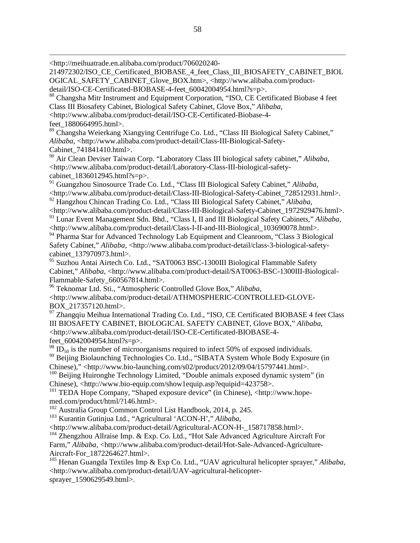<span id="page-63-0"></span><http://meihuatrade.en.alibaba.com/product/706020240-

214972302/ISO\_CE\_Certificated\_BIOBASE\_4\_feet\_Class\_III\_BIOSAFETY\_CABINET\_BIOL OGICAL\_SAFETY\_CABINET\_Glove\_BOX.htm>, <http://www.alibaba.com/product-

<span id="page-63-1"></span>detail/ISO-CE-Certificated-BIOBASE-4-feet\_60042004954.html?s=p>.

<sup>88</sup> Changsha Mitr Instrument and Equipment Corporation, "ISO, CE Certificated Biobase 4 feet Class III Biosafety Cabinet, Biological Safety Cabinet, Glove Box," *Alibaba*,

<http://www.alibaba.com/product-detail/ISO-CE-Certificated-Biobase-4-

feet\_1880664995.html>.

 $\overline{a}$ 

<sup>89</sup> Changsha Weierkang Xiangying Centrifuge Co. Ltd., "Class III Biological Safety Cabinet," *Alibaba*, <http://www.alibaba.com/product-detail/Class-III-Biological-Safety-Cabinet\_741841410.html>.

<span id="page-63-2"></span><sup>90</sup> Air Clean Deviser Taiwan Corp. "Laboratory Class III biological safety cabinet," *Alibaba*, <http://www.alibaba.com/product-detail/Laboratory-Class-III-biological-safetycabinet 1836012945.html?s=p>.

<span id="page-63-3"></span><sup>91</sup> Guangzhou Sinosource Trade Co. Ltd., "Class III Biological Safety Cabinet," *Alibaba*, <http://www.alibaba.com/product-detail/Class-III-Biological-Safety-Cabinet\_728512931.html>. <sup>92</sup> Hangzhou Chincan Trading Co. Ltd., "Class III Biological Safety Cabinet," *Alibaba*,

<span id="page-63-5"></span><span id="page-63-4"></span><http://www.alibaba.com/product-detail/Class-III-Biological-Safety-Cabinet\_1972929476.html>. <sup>93</sup> Lunar Event Management Sdn. Bhd., "Class I, II and III Biological Safety Cabinets," *Alibaba*, <http://www.alibaba.com/product-detail/Class-I-II-and-III-Biological\_103690078.html>.

<span id="page-63-6"></span><sup>94</sup> Pharma Star for Advanced Technology Lab Equipment and Cleanroom, "Class 3 Biological" Safety Cabinet," *Alibaba*, <http://www.alibaba.com/product-detail/class-3-biological-safety-

cabinet\_137970973.html>.

<sup>95</sup> Suzhou Antai Airtech Co. Ltd., "SAT0063 BSC-1300III Biological Flammable Safety Cabinet," *Alibaba*, <http://www.alibaba.com/product-detail/SAT0063-BSC-1300III-Biological-Flammable-Safety\_660567814.html>.

<sup>96</sup> Teknomar Ltd. Sti., "Atmospheric Controlled Glove Box," *Alibaba*, <http://www.alibaba.com/product-detail/ATHMOSPHERIC-CONTROLLED-GLOVE-BOX\_217357120.html>.

97 Zhangqiu Meihua International Trading Co. Ltd., "ISO, CE Certificated BIOBASE 4 feet Class III BIOSAFETY CABINET, BIOLOGICAL SAFETY CABINET, Glove BOX," *Alibaba*, <http://www.alibaba.com/product-detail/ISO-CE-Certificated-BIOBASE-4 feet 60042004954.html?s=p>.

 $^{98}$  ID<sub>50</sub> is the number of microorganisms required to infect 50% of exposed individuals. <sup>99</sup> Beijing Biolaunching Technologies Co. Ltd., "SIBATA System Whole Body Exposure (in

Chinese)," <http://www.bio-launching.com/s02/product/2012/09/04/15797441.html>.

<sup>100</sup> Beijing Huironghe Technology Limited, "Double animals exposed dynamic system" (in Chinese), <http://www.bio-equip.com/show1equip.asp?equipid=423758>.

<sup>101</sup> TEDA Hope Company, "Shaped exposure device" (in Chinese), <http://www.hopemed.com/product/html/?146.html>. 102 Australia Group Common Control List Handbook, 2014, p. 245.

<sup>103</sup> Kurantin Gutinjua Ltd., "Agricultural 'ACON-H'," *Alibaba*,

<http://www.alibaba.com/product-detail/Agricultural-ACON-H-\_158717858.html>.

<sup>104</sup> Zhengzhou Allraise Imp. & Exp. Co. Ltd., "Hot Sale Advanced Agriculture Aircraft For Farm," *Alibaba*, <http://www.alibaba.com/product-detail/Hot-Sale-Advanced-Agriculture-Aircraft-For\_1872264627.html>.

<sup>105</sup> Henan Guangda Textiles Imp & Exp Co. Ltd., "UAV agricultural helicopter sprayer," *Alibaba*, <http://www.alibaba.com/product-detail/UAV-agricultural-helicoptersprayer\_1590629549.html>.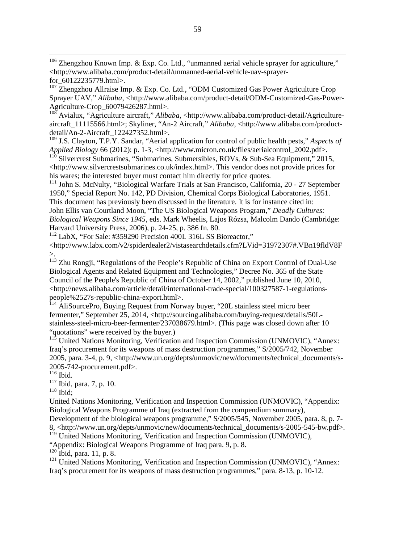<sup>106</sup> Zhengzhou Known Imp. & Exp. Co. Ltd., "unmanned aerial vehicle sprayer for agriculture," <http://www.alibaba.com/product-detail/unmanned-aerial-vehicle-uav-sprayerfor\_60122235779.html>.

 $107$  Zhengzhou Allraise Imp. & Exp. Co. Ltd., "ODM Customized Gas Power Agriculture Crop Sprayer UAV," *Alibaba*, <http://www.alibaba.com/product-detail/ODM-Customized-Gas-Power-Agriculture-Crop\_60079426287.html>.

<sup>108</sup> Avialux, "Agriculture aircraft," *Alibaba*, <http://www.alibaba.com/product-detail/Agricultureaircraft\_11115566.html>; Skyliner, "An-2 Aircraft," *Alibaba*, <http://www.alibaba.com/productdetail/An-2-Aircraft\_122427352.html>.

<sup>109</sup> J.S. Clayton, T.P.Y. Sandar, "Aerial application for control of public health pests," *Aspects of Applied Biology* 66 (2012): p. 1-3, <http://www.micron.co.uk/files/aerialcontrol\_2002.pdf>.

 $110$  Silvercrest Submarines, "Submarines, Submersibles, ROVs, & Sub-Sea Equipment," 2015, <http://www.silvercrestsubmarines.co.uk/index.html>. This vendor does not provide prices for his wares; the interested buyer must contact him directly for price quotes.

<sup>111</sup> John S. McNulty, "Biological Warfare Trials at San Francisco, California, 20 - 27 September 1950," Special Report No. 142, PD Division, Chemical Corps Biological Laboratories, 1951. This document has previously been discussed in the literature. It is for instance cited in: John Ellis van Courtland Moon, "The US Biological Weapons Program," *Deadly Cultures: Biological Weapons Since 1945*, eds. Mark Wheelis, Lajos Rózsa, Malcolm Dando (Cambridge: Harvard University Press, 2006), p. 24-25, p. 386 fn. 80.

<sup>112</sup> LabX, "For Sale: #359290 Precision 400L 316L SS Bioreactor," <http://www.labx.com/v2/spiderdealer2/vistasearchdetails.cfm?LVid=31972307#.VBn19fldV8F >.

<span id="page-64-1"></span><span id="page-64-0"></span><sup>113</sup> Zhu Rongji, "Regulations of the People's Republic of China on Export Control of Dual-Use Biological Agents and Related Equipment and Technologies," Decree No. 365 of the State Council of the People's Republic of China of October 14, 2002," published June 10, 2010, <http://news.alibaba.com/article/detail/international-trade-special/100327587-1-regulationspeople%2527s-republic-china-export.html>.

<sup>114</sup> AliSourcePro, Buying Request from Norway buyer, "20L stainless steel micro beer fermenter," September 25, 2014, <http://sourcing.alibaba.com/buying-request/details/50Lstainless-steel-micro-beer-fermenter/237038679.html>. (This page was closed down after 10 "quotations" were received by the buyer.)

 $11\overline{5}$  United Nations Monitoring, Verification and Inspection Commission (UNMOVIC), "Annex: Iraq's procurement for its weapons of mass destruction programmes," S/2005/742, November 2005, para. 3-4, p. 9, <http://www.un.org/depts/unmovic/new/documents/technical\_documents/s-2005-742-procurement.pdf>.

 $116$  Ibid.

<sup>117</sup> Ibid, para. 7, p. 10.

 $118$  Ibid;

United Nations Monitoring, Verification and Inspection Commission (UNMOVIC), "Appendix: Biological Weapons Programme of Iraq (extracted from the compendium summary),

Development of the biological weapons programme," S/2005/545, November 2005, para. 8, p. 7- 8, <http://www.un.org/depts/unmovic/new/documents/technical\_documents/s-2005-545-bw.pdf>. <sup>119</sup> United Nations Monitoring, Verification and Inspection Commission (UNMOVIC),

"Appendix: Biological Weapons Programme of Iraq para. 9, p. 8.

 $^{120}$  Ibid, para. 11, p. 8.

<sup>121</sup> United Nations Monitoring, Verification and Inspection Commission (UNMOVIC), "Annex: Iraq's procurement for its weapons of mass destruction programmes," para. 8-13, p. 10-12.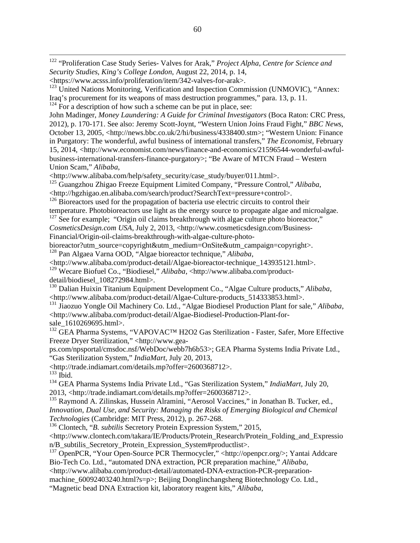122 "Proliferation Case Study Series- Valves for Arak," *Project Alpha*, *Centre for Science and Security Studies, King's College London*, August 22, 2014, p. 14,

John Madinger, *Money Laundering: A Guide for Criminal Investigators* (Boca Raton: CRC Press, 2012), p. 170-171. See also: Jeremy Scott-Joynt, "Western Union Joins Fraud Fight," *BBC News*, October 13, 2005, <http://news.bbc.co.uk/2/hi/business/4338400.stm>; "Western Union: Finance in Purgatory: The wonderful, awful business of international transfers," *The Economist*, February 15, 2014, <http://www.economist.com/news/finance-and-economics/21596544-wonderful-awfulbusiness-international-transfers-finance-purgatory>; "Be Aware of MTCN Fraud – Western Union Scam," *Alibaba*,

<http://www.alibaba.com/help/safety\_security/case\_study/buyer/011.html>.

<sup>125</sup> Guangzhou Zhigao Freeze Equipment Limited Company, "Pressure Control," *Alibaba*, <http://hgzhigao.en.alibaba.com/search/product?SearchText=pressure+control>.

<sup>126</sup> Bioreactors used for the propagation of bacteria use electric circuits to control their

temperature. Photobioreactors use light as the energy source to propagate algae and microalgae.

 $127$  See for example; "Origin oil claims breakthrough with algae culture photo bioreactor,"

*CosmeticsDesign.com USA*, July 2, 2013, <http://www.cosmeticsdesign.com/Business-Financial/Origin-oil-claims-breakthrough-with-algae-culture-photo-

bioreactor?utm\_source=copyright&utm\_medium=OnSite&utm\_campaign=copyright>. <sup>128</sup> Pan Algaea Varna OOD, "Algae bioreactor technique," *Alibaba*,

<http://www.alibaba.com/product-detail/Algae-bioreactor-technique\_143935121.html>.

129 Wecare Biofuel Co., "Biodiesel," *Alibaba*, <http://www.alibaba.com/productdetail/biodiesel\_108272984.html>.

<span id="page-65-0"></span><sup>130</sup> Dalian Huixin Titanium Equipment Development Co., "Algae Culture products," *Alibaba*, <http://www.alibaba.com/product-detail/Algae-Culture-products\_514333853.html>.

<span id="page-65-1"></span><sup>131</sup> Jiaozuo Yongle Oil Machinery Co. Ltd., "Algae Biodiesel Production Plant for sale," *Alibaba*, <http://www.alibaba.com/product-detail/Algae-Biodiesel-Production-Plant-forsale\_1610269695.html>.

<sup>132</sup> GEA Pharma Systems, "VAPOVAC<sup>™</sup> H2O2 Gas Sterilization - Faster, Safer, More Effective Freeze Dryer Sterilization," <http://www.gea-

ps.com/npsportal/cmsdoc.nsf/WebDoc/webb7h6b53>; GEA Pharma Systems India Private Ltd., "Gas Sterilization System," *IndiaMart*, July 20, 2013,

<http://trade.indiamart.com/details.mp?offer=2600368712>.

 $^{133}$  Ibid.

<sup>134</sup> GEA Pharma Systems India Private Ltd., "Gas Sterilization System," *IndiaMart*, July 20, 2013, <http://trade.indiamart.com/details.mp?offer=2600368712>.

<sup>135</sup> Raymond A. Zilinskas, Hussein Alramini, "Aerosol Vaccines," in Jonathan B. Tucker, ed., *Innovation, Dual Use, and Security: Managing the Risks of Emerging Biological and Chemical Technologies* (Cambridge: MIT Press, 2012), p. 267-268.

<sup>136</sup> Clontech, "*B. subtilis* Secretory Protein Expression System," 2015,

<http://www.clontech.com/takara/IE/Products/Protein\_Research/Protein\_Folding\_and\_Expressio

n/B\_subtilis\_Secretory\_Protein\_Expression\_System#productlist>. <sup>137</sup> OpenPCR, "Your Open-Source PCR Thermocycler," <http://openpcr.org/>; Yantai Addcare Bio-Tech Co. Ltd., "automated DNA extraction, PCR preparation machine," *Alibaba*,

<http://www.alibaba.com/product-detail/automated-DNA-extraction-PCR-preparation-

machine 60092403240.html?s=p>; Beijing Donglinchangsheng Biotechnology Co. Ltd.,

"Magnetic bead DNA Extraction kit, laboratory reagent kits," *Alibaba*,

<sup>&</sup>lt;https://www.acsss.info/proliferation/item/342-valves-for-arak>.

 $123$  United Nations Monitoring, Verification and Inspection Commission (UNMOVIC), "Annex: Iraq's procurement for its weapons of mass destruction programmes," para. 13, p. 11.

 $124$  For a description of how such a scheme can be put in place, see: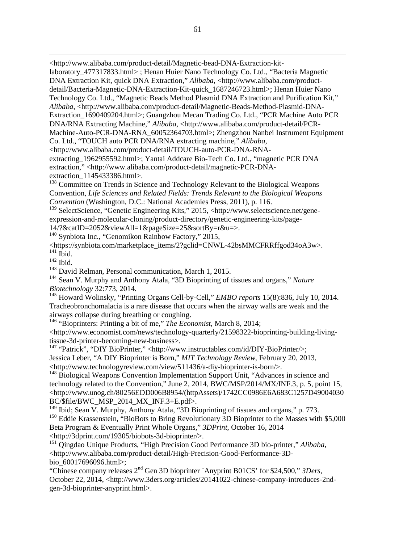<http://www.alibaba.com/product-detail/Magnetic-bead-DNA-Extraction-kit-

laboratory\_477317833.html> ; Henan Huier Nano Technology Co. Ltd., "Bacteria Magnetic DNA Extraction Kit, quick DNA Extraction," *Alibaba*, <http://www.alibaba.com/productdetail/Bacteria-Magnetic-DNA-Extraction-Kit-quick\_1687246723.html>; Henan Huier Nano Technology Co. Ltd., "Magnetic Beads Method Plasmid DNA Extraction and Purification Kit," Alibaba, <http://www.alibaba.com/product-detail/Magnetic-Beads-Method-Plasmid-DNA-Extraction\_1690409204.html>; Guangzhou Mecan Trading Co. Ltd., "PCR Machine Auto PCR DNA/RNA Extracting Machine," *Alibaba*, <http://www.alibaba.com/product-detail/PCR-Machine-Auto-PCR-DNA-RNA\_60052364703.html>; Zhengzhou Nanbei Instrument Equipment Co. Ltd., "TOUCH auto PCR DNA/RNA extracting machine," *Alibaba*, <http://www.alibaba.com/product-detail/TOUCH-auto-PCR-DNA-RNAextracting\_1962955592.html>; Yantai Addcare Bio-Tech Co. Ltd., "magnetic PCR DNA extraction," <http://www.alibaba.com/product-detail/magnetic-PCR-DNAextraction 1145433386.html>.

<sup>138</sup> Committee on Trends in Science and Technology Relevant to the Biological Weapons Convention, *Life Sciences and Related Fields: Trends Relevant to the Biological Weapons Convention* (Washington, D.C.: National Academies Press, 2011), p. 116.

<sup>139</sup> SelectScience, "Genetic Engineering Kits," 2015, <http://www.selectscience.net/geneexpression-and-molecular-cloning/product-directory/genetic-engineering-kits/page-

14/?&catID=2052&viewAll=1&pageSize=25&sortBy=r&u=>. <sup>140</sup> Synbiota Inc., "Genomikon Rainbow Factory," 2015,

<https://synbiota.com/marketplace\_items/2?gclid=CNWL-42bsMMCFRRffgod34oA3w>. <sup>141</sup> Ibid.

<sup>142</sup> Ibid.

 $\overline{a}$ 

<sup>143</sup> David Relman, Personal communication, March 1, 2015.

<sup>144</sup> Sean V. Murphy and Anthony Atala, "3D Bioprinting of tissues and organs," *Nature Biotechnology* 32:773, 2014.

<sup>145</sup> Howard Wolinsky, "Printing Organs Cell-by-Cell," *EMBO reports* 15(8):836, July 10, 2014. Tracheobronchomalacia is a rare disease that occurs when the airway walls are weak and the airways collapse during breathing or coughing.

<sup>146</sup> "Bioprinters: Printing a bit of me," *The Economist*, March 8, 2014;

<span id="page-66-1"></span><span id="page-66-0"></span><http://www.economist.com/news/technology-quarterly/21598322-bioprinting-building-livingtissue-3d-printer-becoming-new-business>.

<sup>147</sup> "Patrick", "DIY BioPrinter," <http://www.instructables.com/id/DIY-BioPrinter/>; Jessica Leber, "A DIY Bioprinter is Born," *MIT Technology Review*, February 20, 2013, <http://www.technologyreview.com/view/511436/a-diy-bioprinter-is-born/>.

<sup>148</sup> Biological Weapons Convention Implementation Support Unit, "Advances in science and technology related to the Convention," June 2, 2014, BWC/MSP/2014/MX/INF.3, p. 5, point 15, <http://www.unog.ch/80256EDD006B8954/(httpAssets)/1742CC0986E6A683C1257D49004030 BC/\$file/BWC\_MSP\_2014\_MX\_INF.3+E.pdf>.

 $149$  Ibid; Sean V. Murphy, Anthony Atala, "3D Bioprinting of tissues and organs," p. 773.

<sup>150</sup> Eddie Krassenstein, "BioBots to Bring Revolutionary 3D Bioprinter to the Masses with \$5,000 Beta Program & Eventually Print Whole Organs," *3DPrint*, October 16, 2014 <http://3dprint.com/19305/biobots-3d-bioprinter/>.

<sup>151</sup> Oingdao Unique Products, "High Precision Good Performance 3D bio-printer," *Alibaba*, <http://www.alibaba.com/product-detail/High-Precision-Good-Performance-3Dbio\_60017696096.html>;

"Chinese company releases 2nd Gen 3D bioprinter `Anyprint B01CS' for \$24,500," *3Ders*, October 22, 2014, <http://www.3ders.org/articles/20141022-chinese-company-introduces-2ndgen-3d-bioprinter-anyprint.html>.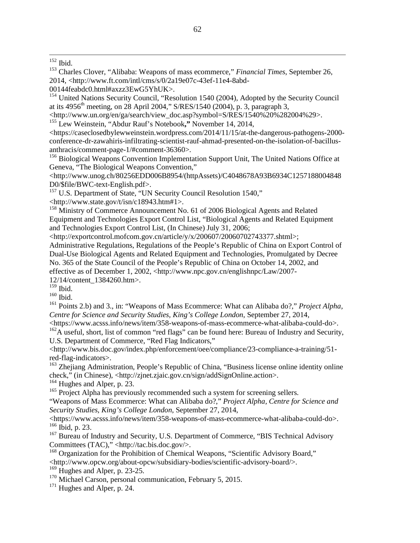<sup>153</sup> Charles Clover, "Alibaba: Weapons of mass ecommerce," *Financial Times*, September 26, 2014, <http://www.ft.com/intl/cms/s/0/2a19e07c-43ef-11e4-8abd-

00144feabdc0.html#axzz3EwG5YhUK>.

<sup>154</sup> United Nations Security Council, "Resolution 1540 (2004), Adopted by the Security Council at its 4956<sup>th</sup> meeting, on 28 April 2004," S/RES/1540 (2004), p. 3, paragraph 3,

<http://www.un.org/en/ga/search/view\_doc.asp?symbol=S/RES/1540%20%282004%29>.

<sup>155</sup> Lew Weinstein, "Abdur Rauf's Notebook**,"** November 14, 2014,

<https://caseclosedbylewweinstein.wordpress.com/2014/11/15/at-the-dangerous-pathogens-2000 conference-dr-zawahiris-infiltrating-scientist-rauf-ahmad-presented-on-the-isolation-of-bacillusanthracis/comment-page-1/#comment-36360>.

<sup>156</sup> Biological Weapons Convention Implementation Support Unit, The United Nations Office at Geneva, "The Biological Weapons Convention,"

<http://www.unog.ch/80256EDD006B8954/(httpAssets)/C4048678A93B6934C1257188004848 D0/\$file/BWC-text-English.pdf>.

<sup>157</sup> U.S. Department of State, "UN Security Council Resolution 1540,"

<http://www.state.gov/t/isn/c18943.htm#1>.

<sup>158</sup> Ministry of Commerce Announcement No. 61 of 2006 Biological Agents and Related Equipment and Technologies Export Control List, "Biological Agents and Related Equipment and Technologies Export Control List, (In Chinese) July 31, 2006;

<http://exportcontrol.mofcom.gov.cn/article/y/x/200607/20060702743377.shtml>;

Administrative Regulations, Regulations of the People's Republic of China on Export Control of Dual-Use Biological Agents and Related Equipment and Technologies, Promulgated by Decree No. 365 of the State Council of the People's Republic of China on October 14, 2002, and effective as of December 1, 2002, <http://www.npc.gov.cn/englishnpc/Law/2007- 12/14/content\_1384260.htm>.

 $^{159}$  Ibid.

<sup>160</sup> Ibid.

<sup>161</sup> Points 2.b) and 3., in: "Weapons of Mass Ecommerce: What can Alibaba do?," *Project Alpha, Centre for Science and Security Studies, King's College London*, September 27, 2014,

<https://www.acsss.info/news/item/358-weapons-of-mass-ecommerce-what-alibaba-could-do>.  $162\text{\AA}$  useful, short, list of common "red flags" can be found here: Bureau of Industry and Security, U.S. Department of Commerce, "Red Flag Indicators,"

<http://www.bis.doc.gov/index.php/enforcement/oee/compliance/23-compliance-a-training/51 red-flag-indicators>.

<span id="page-67-1"></span><span id="page-67-0"></span><sup>163</sup> Zhejiang Administration, People's Republic of China, "Business license online identity online check," (in Chinese), <http://zjnet.zjaic.gov.cn/sign/addSignOnline.action>.

<sup>164</sup> Hughes and Alper, p. 23.

<span id="page-67-2"></span><sup>165</sup> Project Alpha has previously recommended such a system for screening sellers.

"Weapons of Mass Ecommerce: What can Alibaba do?," *Project Alpha, Centre for Science and Security Studies, King's College London*, September 27, 2014,

<https://www.acsss.info/news/item/358-weapons-of-mass-ecommerce-what-alibaba-could-do>. <sup>166</sup> Ibid, p. 23.

<sup>167</sup> Bureau of Industry and Security, U.S. Department of Commerce, "BIS Technical Advisory Committees (TAC)," <http://tac.bis.doc.gov/>.

<sup>168</sup> Organization for the Prohibition of Chemical Weapons, "Scientific Advisory Board,"

<http://www.opcw.org/about-opcw/subsidiary-bodies/scientific-advisory-board/>.

 $169$  Hughes and Alper, p. 23-25.

 $170$  Michael Carson, personal communication, February 5, 2015.

<sup>171</sup> Hughes and Alper, p. 24.

 $^{152}$  Ibid.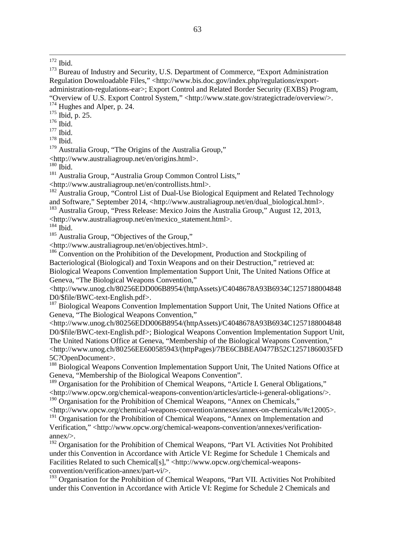$174$  Hughes and Alper, p. 24.

<sup>175</sup> Ibid, p. 25.

 $176$  Ibid.

 $177$  Ibid.

<sup>178</sup> Ibid.

<sup>179</sup> Australia Group, "The Origins of the Australia Group,"

<http://www.australiagroup.net/en/origins.html>.

 $180$  Ibid.

<sup>181</sup> Australia Group, "Australia Group Common Control Lists,"

<http://www.australiagroup.net/en/controllists.html>.

<sup>182</sup> Australia Group, "Control List of Dual-Use Biological Equipment and Related Technology and Software," September 2014, <http://www.australiagroup.net/en/dual\_biological.html>. <sup>183</sup> Australia Group, "Press Release: Mexico Joins the Australia Group," August 12, 2013,

<http://www.australiagroup.net/en/mexico\_statement.html>.

 $184$  Ibid.

<sup>185</sup> Australia Group, "Objectives of the Group,"

<http://www.australiagroup.net/en/objectives.html>.

<sup>186</sup> Convention on the Prohibition of the Development, Production and Stockpiling of Bacteriological (Biological) and Toxin Weapons and on their Destruction," retrieved at: Biological Weapons Convention Implementation Support Unit, The United Nations Office at Geneva, "The Biological Weapons Convention,"

<http://www.unog.ch/80256EDD006B8954/(httpAssets)/C4048678A93B6934C1257188004848 D0/\$file/BWC-text-English.pdf>.

<sup>187</sup> Biological Weapons Convention Implementation Support Unit, The United Nations Office at Geneva, "The Biological Weapons Convention,"

<http://www.unog.ch/80256EDD006B8954/(httpAssets)/C4048678A93B6934C1257188004848 D0/\$file/BWC-text-English.pdf>; Biological Weapons Convention Implementation Support Unit, The United Nations Office at Geneva, "Membership of the Biological Weapons Convention," <http://www.unog.ch/80256EE600585943/(httpPages)/7BE6CBBEA0477B52C12571860035FD 5C?OpenDocument>.

<sup>188</sup> Biological Weapons Convention Implementation Support Unit, The United Nations Office at Geneva, "Membership of the Biological Weapons Convention".

<sup>189</sup> Organisation for the Prohibition of Chemical Weapons, "Article I. General Obligations," <http://www.opcw.org/chemical-weapons-convention/articles/article-i-general-obligations/>. <sup>190</sup> Organisation for the Prohibition of Chemical Weapons, "Annex on Chemicals,"

<span id="page-68-0"></span><http://www.opcw.org/chemical-weapons-convention/annexes/annex-on-chemicals/#c12005>.

<span id="page-68-1"></span> $191$  Organisation for the Prohibition of Chemical Weapons, "Annex on Implementation and Verification," <http://www.opcw.org/chemical-weapons-convention/annexes/verificationannex/>.

 $192$  Organisation for the Prohibition of Chemical Weapons, "Part VI. Activities Not Prohibited under this Convention in Accordance with Article VI: Regime for Schedule 1 Chemicals and Facilities Related to such Chemical[s]," <http://www.opcw.org/chemical-weaponsconvention/verification-annex/part-vi/>.

<span id="page-68-2"></span><sup>193</sup> Organisation for the Prohibition of Chemical Weapons, "Part VII. Activities Not Prohibited under this Convention in Accordance with Article VI: Regime for Schedule 2 Chemicals and

<sup>&</sup>lt;sup>172</sup> Ibid.

<sup>&</sup>lt;sup>173</sup> Bureau of Industry and Security, U.S. Department of Commerce, "Export Administration Regulation Downloadable Files," <http://www.bis.doc.gov/index.php/regulations/exportadministration-regulations-ear>; Export Control and Related Border Security (EXBS) Program, "Overview of U.S. Export Control System," <http://www.state.gov/strategictrade/overview/>.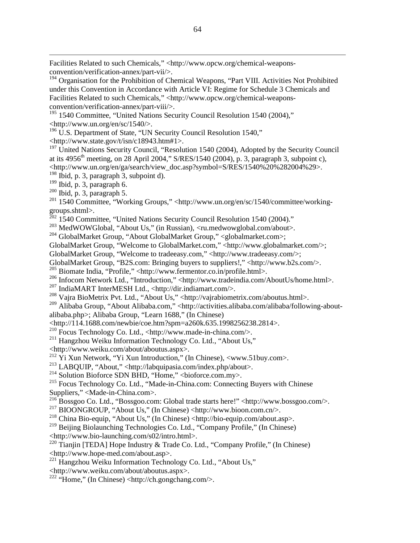<span id="page-69-0"></span>Facilities Related to such Chemicals," <http://www.opcw.org/chemical-weaponsconvention/verification-annex/part-vii/>.

<span id="page-69-1"></span><sup>194</sup> Organisation for the Prohibition of Chemical Weapons, "Part VIII. Activities Not Prohibited under this Convention in Accordance with Article VI: Regime for Schedule 3 Chemicals and Facilities Related to such Chemicals," <http://www.opcw.org/chemical-weaponsconvention/verification-annex/part-viii/>.

<span id="page-69-2"></span><sup>195</sup> 1540 Committee, "United Nations Security Council Resolution 1540 (2004)."  $\langle \frac{http://www.un.org/en/sc/1540}{\rangle}$ .

 $196 \text{ U.S. Department of State, "UN Security Council Resolution 1540,"$ 

 $\langle$ http://www.state.gov/t/isn/c18943.htm#1>.

<sup>197</sup> United Nations Security Council, "Resolution 1540 (2004), Adopted by the Security Council at its  $4956<sup>th</sup>$  meeting, on 28 April 2004," S/RES/1540 (2004), p. 3, paragraph 3, subpoint c),  $\lt$ http://www.un.org/en/ga/search/view\_doc.asp?symbol=S/RES/1540%20%282004%29>.

 $198$  Ibid, p. 3, paragraph 3, subpoint d).

<sup>199</sup> Ibid, p. 3, paragraph 6.

 $\overline{a}$ 

 $200$  Ibid, p. 3, paragraph 5.

<sup>201</sup> 1540 Committee, "Working Groups," <http://www.un.org/en/sc/1540/committee/workinggroups.shtml>.

 $^{202}$  1540 Committee, "United Nations Security Council Resolution 1540 (2004)."

<sup>203</sup> MedWOWGlobal, "About Us," (in Russian), <ru.medwowglobal.com/about>.

<sup>204</sup> GlobalMarket Group, "About GlobalMarket Group," <globalmarket.com>;

GlobalMarket Group, "Welcome to GlobalMarket.com," <http://www.globalmarket.com/>;

GlobalMarket Group, "Welcome to tradeeasy.com," <http://www.tradeeasy.com/>;

GlobalMarket Group, "B2S.com: Bringing buyers to suppliers!," <http://www.b2s.com/>.

<sup>205</sup> Biomate India, "Profile," <http://www.fermentor.co.in/profile.html>.

<sup>206</sup> Infocom Network Ltd., "Introduction," <http://www.tradeindia.com/AboutUs/home.html>.

 $^{207}$  IndiaMART InterMESH Ltd., <http://dir.indiamart.com/>.

<sup>208</sup> Vajra BioMetrix Pvt. Ltd., "About Us," <http://vajrabiometrix.com/aboutus.html>.

<sup>209</sup> Alibaba Group, "About Alibaba.com," <http://activities.alibaba.com/alibaba/following-aboutalibaba.php>; Alibaba Group, "Learn 1688," (In Chinese)

<http://114.1688.com/newbie/coe.htm?spm=a260k.635.1998256238.2814>.

<sup>210</sup> Focus Technology Co. Ltd., <http://www.made-in-china.com/>.

<sup>211</sup> Hangzhou Weiku Information Technology Co. Ltd., "About Us,"

<http://www.weiku.com/about/aboutus.aspx>.

<sup>212</sup> Yi Xun Network, "Yi Xun Introduction," (In Chinese), <www.51buy.com>.

<sup>213</sup> LABQUIP, "About," <http://labquipasia.com/index.php/about>.

 $^{214}$  Solution Bioforce SDN BHD, "Home," <br/> <br/> <br/> <br/> <br/> <br/> <br/> <br/> <br/>Alomostom.my>.

<sup>215</sup> Focus Technology Co. Ltd., "Made-in-China.com: Connecting Buyers with Chinese Suppliers," <Made-in-China.com>.

<sup>216</sup> Bossgoo Co. Ltd., "Bossgoo.com: Global trade starts here!" <http://www.bossgoo.com/>.

<sup>217</sup> BIOONGROUP, "About Us," (In Chinese) <http://www.bioon.com.cn/>.

<sup>218</sup> China Bio-equip, "About Us," (In Chinese) <http://bio-equip.com/about.asp>.

<sup>219</sup> Beijing Biolaunching Technologies Co. Ltd., "Company Profile," (In Chinese) <http://www.bio-launching.com/s02/intro.html>.

<sup>220</sup> Tianjin [TEDA] Hope Industry & Trade Co. Ltd., "Company Profile," (In Chinese) <http://www.hope-med.com/about.asp>.

<sup>221</sup> Hangzhou Weiku Information Technology Co. Ltd., "About Us,"

<http://www.weiku.com/about/aboutus.aspx>.

<sup>222</sup> "Home," (In Chinese) <http://ch.gongchang.com/>.